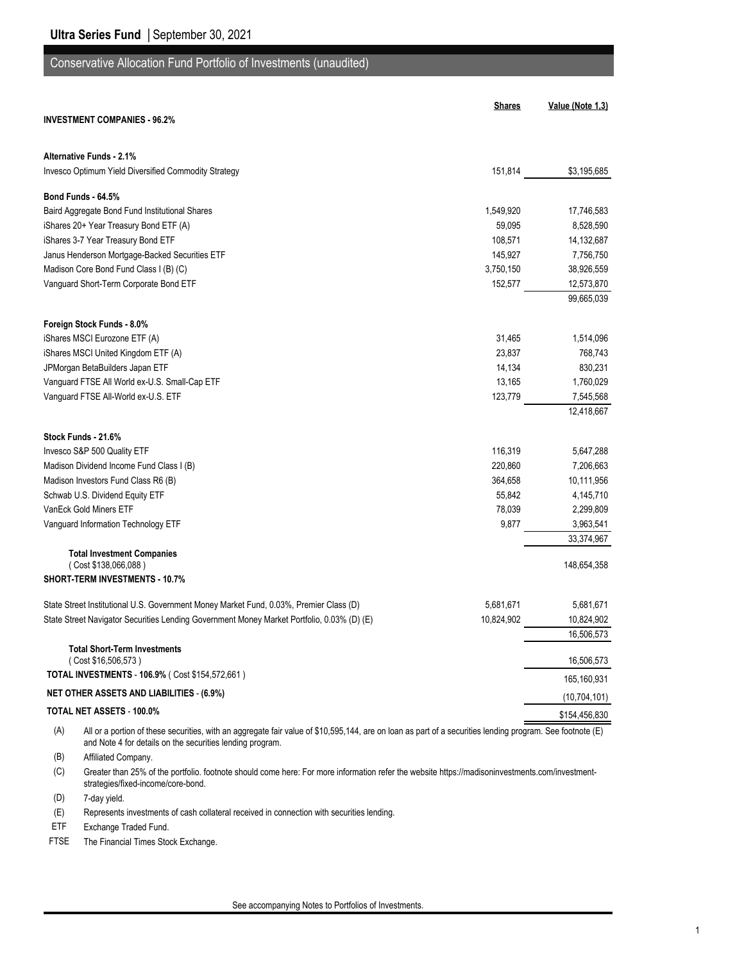#### Conservative Allocation Fund Portfolio of Investments (unaudited)

|     |                                                                                                                                                                                                                        | <b>Shares</b> | Value (Note 1,3) |
|-----|------------------------------------------------------------------------------------------------------------------------------------------------------------------------------------------------------------------------|---------------|------------------|
|     | <b>INVESTMENT COMPANIES - 96.2%</b>                                                                                                                                                                                    |               |                  |
|     | <b>Alternative Funds - 2.1%</b>                                                                                                                                                                                        |               |                  |
|     | Invesco Optimum Yield Diversified Commodity Strategy                                                                                                                                                                   | 151,814       | \$3,195,685      |
|     | Bond Funds - 64.5%                                                                                                                                                                                                     |               |                  |
|     | Baird Aggregate Bond Fund Institutional Shares                                                                                                                                                                         | 1,549,920     | 17,746,583       |
|     | iShares 20+ Year Treasury Bond ETF (A)                                                                                                                                                                                 | 59,095        | 8,528,590        |
|     | iShares 3-7 Year Treasury Bond ETF                                                                                                                                                                                     | 108,571       | 14,132,687       |
|     | Janus Henderson Mortgage-Backed Securities ETF                                                                                                                                                                         | 145,927       | 7,756,750        |
|     | Madison Core Bond Fund Class I (B) (C)                                                                                                                                                                                 | 3,750,150     | 38,926,559       |
|     | Vanguard Short-Term Corporate Bond ETF                                                                                                                                                                                 | 152,577       | 12,573,870       |
|     |                                                                                                                                                                                                                        |               | 99,665,039       |
|     | Foreign Stock Funds - 8.0%                                                                                                                                                                                             |               |                  |
|     | iShares MSCI Eurozone ETF (A)                                                                                                                                                                                          | 31,465        | 1,514,096        |
|     | iShares MSCI United Kingdom ETF (A)                                                                                                                                                                                    | 23,837        | 768,743          |
|     | JPMorgan BetaBuilders Japan ETF                                                                                                                                                                                        | 14,134        | 830,231          |
|     | Vanguard FTSE All World ex-U.S. Small-Cap ETF                                                                                                                                                                          | 13,165        | 1,760,029        |
|     | Vanguard FTSE All-World ex-U.S. ETF                                                                                                                                                                                    | 123,779       | 7,545,568        |
|     |                                                                                                                                                                                                                        |               | 12,418,667       |
|     | Stock Funds - 21.6%                                                                                                                                                                                                    |               |                  |
|     | Invesco S&P 500 Quality ETF                                                                                                                                                                                            | 116,319       | 5,647,288        |
|     | Madison Dividend Income Fund Class I (B)                                                                                                                                                                               | 220,860       | 7,206,663        |
|     | Madison Investors Fund Class R6 (B)                                                                                                                                                                                    | 364,658       | 10,111,956       |
|     | Schwab U.S. Dividend Equity ETF                                                                                                                                                                                        | 55,842        | 4,145,710        |
|     | VanEck Gold Miners ETF                                                                                                                                                                                                 | 78,039        | 2,299,809        |
|     | Vanguard Information Technology ETF                                                                                                                                                                                    | 9,877         | 3,963,541        |
|     |                                                                                                                                                                                                                        |               | 33,374,967       |
|     | <b>Total Investment Companies</b>                                                                                                                                                                                      |               |                  |
|     | (Cost \$138,066,088)<br><b>SHORT-TERM INVESTMENTS - 10.7%</b>                                                                                                                                                          |               | 148,654,358      |
|     |                                                                                                                                                                                                                        |               |                  |
|     | State Street Institutional U.S. Government Money Market Fund, 0.03%, Premier Class (D)                                                                                                                                 | 5,681,671     | 5,681,671        |
|     | State Street Navigator Securities Lending Government Money Market Portfolio, 0.03% (D) (E)                                                                                                                             | 10,824,902    | 10,824,902       |
|     |                                                                                                                                                                                                                        |               | 16,506,573       |
|     | <b>Total Short-Term Investments</b>                                                                                                                                                                                    |               |                  |
|     | (Cost \$16,506,573)                                                                                                                                                                                                    |               | 16,506,573       |
|     | TOTAL INVESTMENTS - 106.9% (Cost \$154,572,661)                                                                                                                                                                        |               | 165,160,931      |
|     | <b>NET OTHER ASSETS AND LIABILITIES - (6.9%)</b>                                                                                                                                                                       |               | (10, 704, 101)   |
|     | TOTAL NET ASSETS - 100.0%                                                                                                                                                                                              |               | \$154,456,830    |
| (A) | All or a portion of these securities, with an aggregate fair value of \$10,595,144, are on loan as part of a securities lending program. See footnote (E)<br>and Note 4 for details on the securities lending program. |               |                  |

(B) Affiliated Company.

(C) Greater than 25% of the portfolio. footnote should come here: For more information refer the website https://madisoninvestments.com/investmentstrategies/fixed-income/core-bond.

(D) 7-day yield.

(E) Represents investments of cash collateral received in connection with securities lending.

ETF Exchange Traded Fund.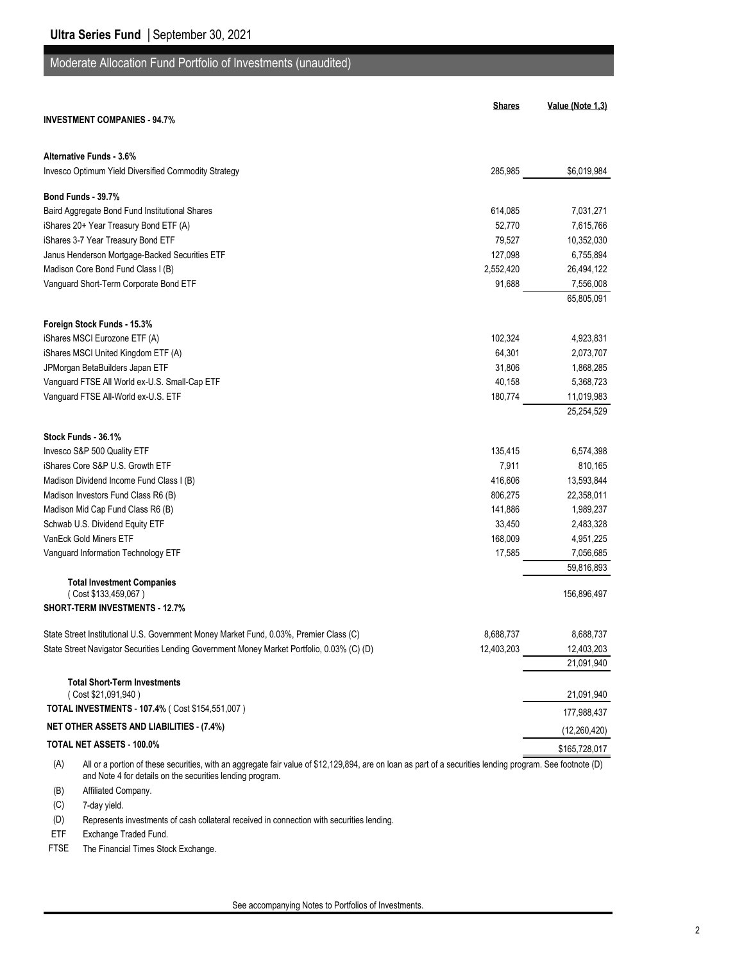# Moderate Allocation Fund Portfolio of Investments (unaudited)

|                                                                                                                                                                  | <b>Shares</b> | Value (Note 1,3) |
|------------------------------------------------------------------------------------------------------------------------------------------------------------------|---------------|------------------|
| <b>INVESTMENT COMPANIES - 94.7%</b>                                                                                                                              |               |                  |
| Alternative Funds - 3.6%                                                                                                                                         |               |                  |
| Invesco Optimum Yield Diversified Commodity Strategy                                                                                                             | 285,985       | \$6,019,984      |
|                                                                                                                                                                  |               |                  |
| Bond Funds - 39.7%                                                                                                                                               |               |                  |
| Baird Aggregate Bond Fund Institutional Shares                                                                                                                   | 614,085       | 7,031,271        |
| iShares 20+ Year Treasury Bond ETF (A)                                                                                                                           | 52,770        | 7,615,766        |
| iShares 3-7 Year Treasury Bond ETF                                                                                                                               | 79,527        | 10,352,030       |
| Janus Henderson Mortgage-Backed Securities ETF                                                                                                                   | 127,098       | 6,755,894        |
| Madison Core Bond Fund Class I (B)                                                                                                                               | 2,552,420     | 26,494,122       |
| Vanguard Short-Term Corporate Bond ETF                                                                                                                           | 91,688        | 7,556,008        |
|                                                                                                                                                                  |               | 65,805,091       |
| Foreign Stock Funds - 15.3%                                                                                                                                      |               |                  |
| iShares MSCI Eurozone ETF (A)                                                                                                                                    | 102,324       | 4,923,831        |
| iShares MSCI United Kingdom ETF (A)                                                                                                                              | 64,301        | 2,073,707        |
| JPMorgan BetaBuilders Japan ETF                                                                                                                                  | 31,806        | 1,868,285        |
| Vanguard FTSE All World ex-U.S. Small-Cap ETF                                                                                                                    | 40,158        | 5,368,723        |
| Vanguard FTSE All-World ex-U.S. ETF                                                                                                                              | 180,774       | 11,019,983       |
|                                                                                                                                                                  |               | 25,254,529       |
| Stock Funds - 36.1%                                                                                                                                              |               |                  |
| Invesco S&P 500 Quality ETF                                                                                                                                      | 135,415       | 6,574,398        |
| iShares Core S&P U.S. Growth ETF                                                                                                                                 | 7,911         | 810,165          |
| Madison Dividend Income Fund Class I (B)                                                                                                                         | 416,606       | 13,593,844       |
| Madison Investors Fund Class R6 (B)                                                                                                                              | 806,275       | 22,358,011       |
| Madison Mid Cap Fund Class R6 (B)                                                                                                                                | 141,886       | 1,989,237        |
| Schwab U.S. Dividend Equity ETF                                                                                                                                  | 33,450        | 2,483,328        |
| VanEck Gold Miners ETF                                                                                                                                           | 168,009       | 4,951,225        |
| Vanguard Information Technology ETF                                                                                                                              | 17,585        | 7,056,685        |
|                                                                                                                                                                  |               | 59,816,893       |
| <b>Total Investment Companies</b>                                                                                                                                |               |                  |
| (Cost \$133,459,067)                                                                                                                                             |               | 156,896,497      |
| <b>SHORT-TERM INVESTMENTS - 12.7%</b>                                                                                                                            |               |                  |
| State Street Institutional U.S. Government Money Market Fund, 0.03%, Premier Class (C)                                                                           | 8.688.737     | 8,688,737        |
| State Street Navigator Securities Lending Government Money Market Portfolio, 0.03% (C) (D)                                                                       | 12,403,203    | 12,403,203       |
|                                                                                                                                                                  |               | 21,091,940       |
| <b>Total Short-Term Investments</b>                                                                                                                              |               |                  |
| (Cost \$21,091,940)                                                                                                                                              |               | 21,091,940       |
| TOTAL INVESTMENTS - 107.4% ( Cost \$154,551,007 )                                                                                                                |               | 177,988,437      |
| <b>NET OTHER ASSETS AND LIABILITIES - (7.4%)</b>                                                                                                                 |               | (12, 260, 420)   |
| TOTAL NET ASSETS - 100.0%                                                                                                                                        |               | \$165,728,017    |
| (A)<br>All or a portion of these securities, with an aggregate fair value of \$12,129,894, are on loan as part of a securities lending program. See footnote (D) |               |                  |

and Note 4 for details on the securities lending program.

(B) Affiliated Company.

(C) 7-day yield.

(D) Represents investments of cash collateral received in connection with securities lending.

ETF Exchange Traded Fund.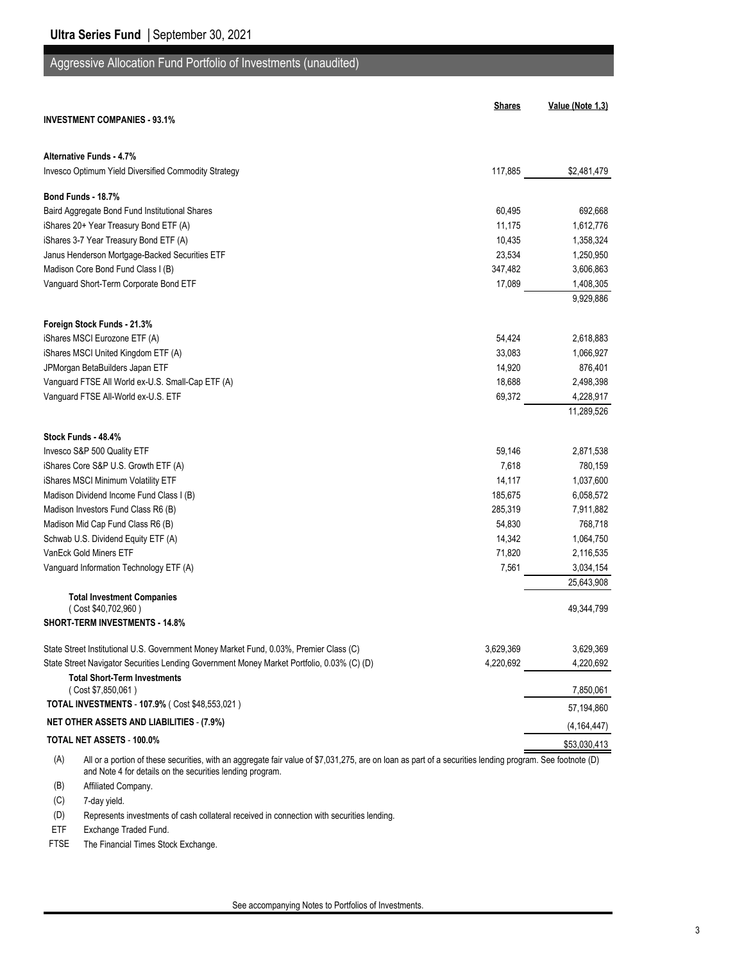## Aggressive Allocation Fund Portfolio of Investments (unaudited)

|                                                                                                                                                                 | <b>Shares</b> | Value (Note 1,3) |
|-----------------------------------------------------------------------------------------------------------------------------------------------------------------|---------------|------------------|
| <b>INVESTMENT COMPANIES - 93.1%</b>                                                                                                                             |               |                  |
| Alternative Funds - 4.7%                                                                                                                                        |               |                  |
| Invesco Optimum Yield Diversified Commodity Strategy                                                                                                            | 117.885       | \$2,481,479      |
| Bond Funds - 18.7%                                                                                                                                              |               |                  |
| Baird Aggregate Bond Fund Institutional Shares                                                                                                                  | 60,495        | 692,668          |
| iShares 20+ Year Treasury Bond ETF (A)                                                                                                                          | 11,175        | 1,612,776        |
| iShares 3-7 Year Treasury Bond ETF (A)                                                                                                                          | 10,435        | 1,358,324        |
| Janus Henderson Mortgage-Backed Securities ETF                                                                                                                  | 23,534        | 1,250,950        |
| Madison Core Bond Fund Class I (B)                                                                                                                              | 347,482       | 3,606,863        |
| Vanguard Short-Term Corporate Bond ETF                                                                                                                          | 17,089        | 1,408,305        |
|                                                                                                                                                                 |               | 9,929,886        |
| Foreign Stock Funds - 21.3%                                                                                                                                     |               |                  |
| iShares MSCI Eurozone ETF (A)                                                                                                                                   | 54,424        | 2,618,883        |
| iShares MSCI United Kingdom ETF (A)                                                                                                                             | 33,083        | 1,066,927        |
| JPMorgan BetaBuilders Japan ETF                                                                                                                                 | 14,920        | 876,401          |
| Vanguard FTSE All World ex-U.S. Small-Cap ETF (A)                                                                                                               | 18,688        | 2,498,398        |
| Vanguard FTSE All-World ex-U.S. ETF                                                                                                                             | 69,372        | 4,228,917        |
|                                                                                                                                                                 |               | 11,289,526       |
| Stock Funds - 48.4%                                                                                                                                             |               |                  |
| Invesco S&P 500 Quality ETF                                                                                                                                     | 59,146        | 2,871,538        |
| iShares Core S&P U.S. Growth ETF (A)                                                                                                                            | 7,618         | 780,159          |
| iShares MSCI Minimum Volatility ETF                                                                                                                             | 14,117        | 1,037,600        |
| Madison Dividend Income Fund Class I (B)                                                                                                                        | 185,675       | 6,058,572        |
| Madison Investors Fund Class R6 (B)                                                                                                                             | 285,319       | 7,911,882        |
| Madison Mid Cap Fund Class R6 (B)                                                                                                                               | 54,830        | 768,718          |
| Schwab U.S. Dividend Equity ETF (A)                                                                                                                             | 14,342        | 1,064,750        |
| VanEck Gold Miners ETF                                                                                                                                          | 71,820        | 2,116,535        |
| Vanguard Information Technology ETF (A)                                                                                                                         | 7,561         | 3,034,154        |
|                                                                                                                                                                 |               | 25,643,908       |
| <b>Total Investment Companies</b><br>(Cost \$40,702,960)                                                                                                        |               | 49,344,799       |
| <b>SHORT-TERM INVESTMENTS - 14.8%</b>                                                                                                                           |               |                  |
| State Street Institutional U.S. Government Money Market Fund, 0.03%, Premier Class (C)                                                                          | 3,629,369     | 3,629,369        |
| State Street Navigator Securities Lending Government Money Market Portfolio, 0.03% (C) (D)                                                                      | 4,220,692     | 4,220,692        |
| <b>Total Short-Term Investments</b>                                                                                                                             |               |                  |
| (Cost \$7,850,061)<br>TOTAL INVESTMENTS - 107.9% (Cost \$48,553,021)                                                                                            |               | 7,850,061        |
| <b>NET OTHER ASSETS AND LIABILITIES - (7.9%)</b>                                                                                                                |               | 57,194,860       |
| TOTAL NET ASSETS - 100.0%                                                                                                                                       |               | (4, 164, 447)    |
| All or a portion of these securities, with an aggregate fair value of \$7,031,275, are on loan as part of a securities lending program. See footnote (D)<br>(A) |               | \$53,030,413     |

and Note 4 for details on the securities lending program.

(B) Affiliated Company.

(C) 7-day yield.

(D) Represents investments of cash collateral received in connection with securities lending.

ETF Exchange Traded Fund.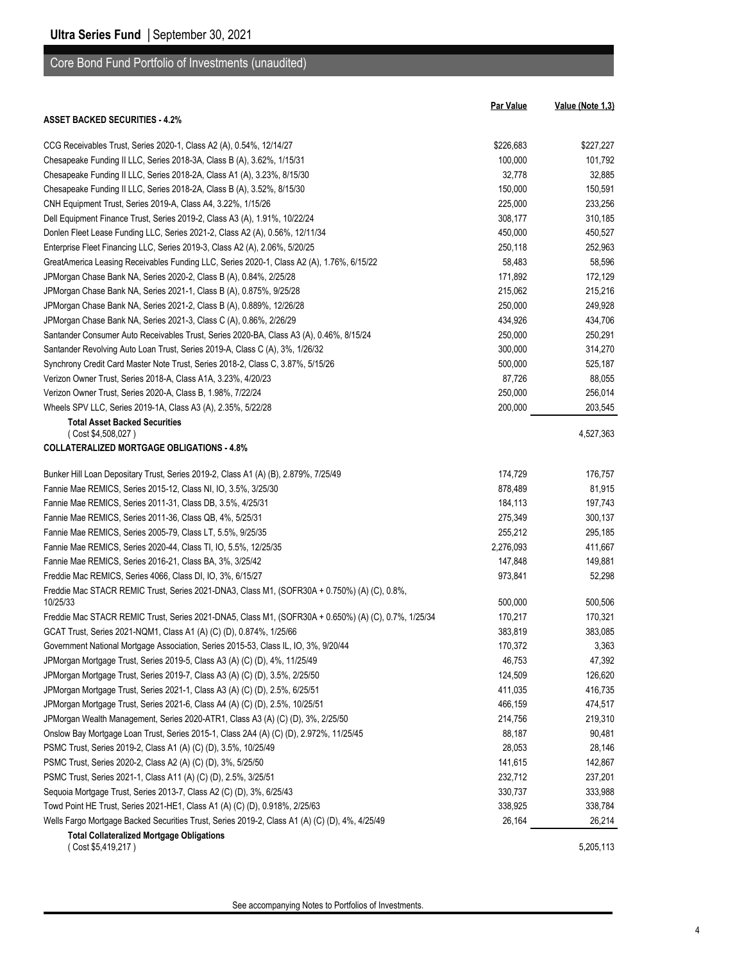| Core Bond Fund Portfolio of Investments (unaudited) |  |  |  |
|-----------------------------------------------------|--|--|--|
|-----------------------------------------------------|--|--|--|

|                                                                                                          | <b>Par Value</b> | Value (Note 1,3) |
|----------------------------------------------------------------------------------------------------------|------------------|------------------|
| <b>ASSET BACKED SECURITIES 4.2%</b>                                                                      |                  |                  |
| CCG Receivables Trust, Series 2020-1, Class A2 (A), 0.54%, 12/14/27                                      | \$226,683        | \$227,227        |
| Chesapeake Funding II LLC, Series 2018-3A, Class B (A), 3.62%, 1/15/31                                   | 100,000          | 101,792          |
| Chesapeake Funding II LLC, Series 2018-2A, Class A1 (A), 3.23%, 8/15/30                                  | 32,778           | 32,885           |
| Chesapeake Funding II LLC, Series 2018-2A, Class B (A), 3.52%, 8/15/30                                   | 150,000          | 150,591          |
| CNH Equipment Trust, Series 2019-A, Class A4, 3.22%, 1/15/26                                             | 225,000          | 233,256          |
| Dell Equipment Finance Trust, Series 2019-2, Class A3 (A), 1.91%, 10/22/24                               | 308,177          | 310,185          |
| Donlen Fleet Lease Funding LLC, Series 2021-2, Class A2 (A), 0.56%, 12/11/34                             | 450,000          | 450,527          |
| Enterprise Fleet Financing LLC, Series 2019-3, Class A2 (A), 2.06%, 5/20/25                              | 250,118          | 252,963          |
| GreatAmerica Leasing Receivables Funding LLC, Series 2020-1, Class A2 (A), 1.76%, 6/15/22                | 58,483           | 58,596           |
|                                                                                                          |                  | 172,129          |
| JPMorgan Chase Bank NA, Series 2020-2, Class B (A), 0.84%, 2/25/28                                       | 171,892          |                  |
| JPMorgan Chase Bank NA, Series 2021-1, Class B (A), 0.875%, 9/25/28                                      | 215,062          | 215,216          |
| JPMorgan Chase Bank NA, Series 2021-2, Class B (A), 0.889%, 12/26/28                                     | 250,000          | 249,928          |
| JPMorgan Chase Bank NA, Series 2021-3, Class C (A), 0.86%, 2/26/29                                       | 434,926          | 434,706          |
| Santander Consumer Auto Receivables Trust, Series 2020-BA, Class A3 (A), 0.46%, 8/15/24                  | 250,000          | 250,291          |
| Santander Revolving Auto Loan Trust, Series 2019-A, Class C (A), 3%, 1/26/32                             | 300,000          | 314,270          |
| Synchrony Credit Card Master Note Trust, Series 2018-2, Class C, 3.87%, 5/15/26                          | 500,000          | 525,187          |
| Verizon Owner Trust, Series 2018-A, Class A1A, 3.23%, 4/20/23                                            | 87,726           | 88,055           |
| Verizon Owner Trust, Series 2020-A, Class B, 1.98%, 7/22/24                                              | 250,000          | 256,014          |
| Wheels SPV LLC, Series 2019-1A, Class A3 (A), 2.35%, 5/22/28                                             | 200,000          | 203,545          |
| <b>Total Asset Backed Securities</b><br>(Cost \$4,508,027)                                               |                  | 4,527,363        |
| <b>COLLATERALIZED MORTGAGE OBLIGATIONS - 4.8%</b>                                                        |                  |                  |
| Bunker Hill Loan Depositary Trust, Series 2019-2, Class A1 (A) (B), 2.879%, 7/25/49                      | 174,729          | 176,757          |
| Fannie Mae REMICS, Series 2015-12, Class NI, IO, 3.5%, 3/25/30                                           | 878,489          | 81,915           |
| Fannie Mae REMICS, Series 2011-31, Class DB, 3.5%, 4/25/31                                               | 184,113          | 197,743          |
| Fannie Mae REMICS, Series 2011-36, Class QB, 4%, 5/25/31                                                 | 275,349          | 300,137          |
| Fannie Mae REMICS, Series 2005-79, Class LT, 5.5%, 9/25/35                                               | 255,212          | 295,185          |
| Fannie Mae REMICS, Series 2020-44, Class TI, IO, 5.5%, 12/25/35                                          | 2,276,093        | 411,667          |
| Fannie Mae REMICS, Series 2016-21, Class BA, 3%, 3/25/42                                                 | 147,848          | 149,881          |
| Freddie Mac REMICS, Series 4066, Class DI, IO, 3%, 6/15/27                                               |                  | 52,298           |
|                                                                                                          | 973,841          |                  |
| Freddie Mac STACR REMIC Trust, Series 2021-DNA3, Class M1, (SOFR30A + 0.750%) (A) (C), 0.8%,<br>10/25/33 | 500,000          | 500,506          |
| Freddie Mac STACR REMIC Trust, Series 2021-DNA5, Class M1, (SOFR30A + 0.650%) (A) (C), 0.7%, 1/25/34     | 170,217          | 170,321          |
| GCAT Trust, Series 2021-NQM1, Class A1 (A) (C) (D), 0.874%, 1/25/66                                      | 383,819          | 383,085          |
| Government National Mortgage Association, Series 2015-53, Class IL, IO, 3%, 9/20/44                      | 170,372          | 3,363            |
| JPMorgan Mortgage Trust, Series 2019-5, Class A3 (A) (C) (D), 4%, 11/25/49                               | 46,753           | 47,392           |
| JPMorgan Mortgage Trust, Series 2019-7, Class A3 (A) (C) (D), 3.5%, 2/25/50                              | 124,509          | 126,620          |
| JPMorgan Mortgage Trust, Series 2021-1, Class A3 (A) (C) (D), 2.5%, 6/25/51                              | 411,035          | 416,735          |
| JPMorgan Mortgage Trust, Series 2021-6, Class A4 (A) (C) (D), 2.5%, 10/25/51                             | 466,159          | 474,517          |
| JPMorgan Wealth Management, Series 2020-ATR1, Class A3 (A) (C) (D), 3%, 2/25/50                          | 214,756          | 219,310          |
| Onslow Bay Mortgage Loan Trust, Series 2015-1, Class 2A4 (A) (C) (D), 2.972%, 11/25/45                   | 88,187           | 90,481           |
| PSMC Trust, Series 2019-2, Class A1 (A) (C) (D), 3.5%, 10/25/49                                          | 28,053           | 28,146           |
| PSMC Trust, Series 2020-2, Class A2 (A) (C) (D), 3%, 5/25/50                                             | 141,615          | 142,867          |
| PSMC Trust, Series 2021-1, Class A11 (A) (C) (D), 2.5%, 3/25/51                                          | 232,712          | 237,201          |
| Sequoia Mortgage Trust, Series 2013-7, Class A2 (C) (D), 3%, 6/25/43                                     | 330,737          | 333,988          |
|                                                                                                          | 338,925          |                  |
| Towd Point HE Trust, Series 2021-HE1, Class A1 (A) (C) (D), 0.918%, 2/25/63                              |                  | 338,784          |
| Wells Fargo Mortgage Backed Securities Trust, Series 2019-2, Class A1 (A) (C) (D), 4%, 4/25/49           | 26,164           | 26,214           |
| <b>Total Collateralized Mortgage Obligations</b><br>(Cost \$5,419,217)                                   |                  | 5,205,113        |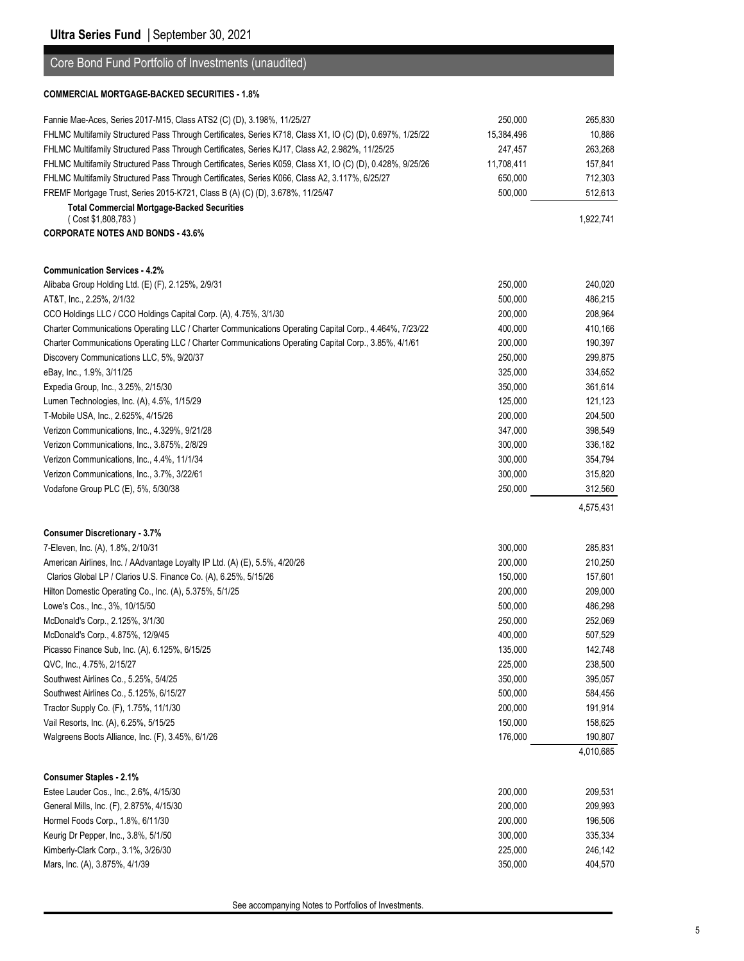### Core Bond Fund Portfolio of Investments (unaudited)

#### **COMMERCIAL MORTGAGE-BACKED SECURITIES - 1.8%**

| Fannie Mae-Aces, Series 2017-M15, Class ATS2 (C) (D), 3.198%, 11/25/27                                     | 250,000    | 265,830   |
|------------------------------------------------------------------------------------------------------------|------------|-----------|
| FHLMC Multifamily Structured Pass Through Certificates, Series K718, Class X1, IO (C) (D), 0.697%, 1/25/22 | 15,384,496 | 10,886    |
| FHLMC Multifamily Structured Pass Through Certificates, Series KJ17, Class A2, 2.982%, 11/25/25            | 247,457    | 263,268   |
| FHLMC Multifamily Structured Pass Through Certificates, Series K059, Class X1, IO (C) (D), 0.428%, 9/25/26 | 11,708,411 | 157,841   |
| FHLMC Multifamily Structured Pass Through Certificates, Series K066, Class A2, 3.117%, 6/25/27             | 650,000    | 712,303   |
| FREMF Mortgage Trust, Series 2015-K721, Class B (A) (C) (D), 3.678%, 11/25/47                              | 500,000    | 512,613   |
| <b>Total Commercial Mortgage-Backed Securities</b>                                                         |            |           |
| (Cost \$1,808,783)                                                                                         |            | 1,922,741 |
| <b>CORPORATE NOTES AND BONDS - 43.6%</b>                                                                   |            |           |
|                                                                                                            |            |           |
| <b>Communication Services - 4.2%</b>                                                                       |            |           |
| Alibaba Group Holding Ltd. (E) (F), 2.125%, 2/9/31                                                         | 250,000    | 240,020   |
| AT&T, Inc., 2.25%, 2/1/32                                                                                  | 500,000    | 486,215   |
| CCO Holdings LLC / CCO Holdings Capital Corp. (A), 4.75%, 3/1/30                                           | 200,000    | 208,964   |
| Charter Communications Operating LLC / Charter Communications Operating Capital Corp., 4.464%, 7/23/22     | 400,000    | 410,166   |
| Charter Communications Operating LLC / Charter Communications Operating Capital Corp., 3.85%, 4/1/61       | 200,000    | 190,397   |
| Discovery Communications LLC, 5%, 9/20/37                                                                  | 250,000    | 299,875   |
| eBay, Inc., 1.9%, 3/11/25                                                                                  | 325,000    | 334,652   |
| Expedia Group, Inc., 3.25%, 2/15/30                                                                        | 350,000    | 361,614   |
| Lumen Technologies, Inc. (A), 4.5%, 1/15/29                                                                | 125,000    | 121,123   |
| T-Mobile USA, Inc., 2.625%, 4/15/26                                                                        | 200,000    | 204,500   |
| Verizon Communications, Inc., 4.329%, 9/21/28                                                              | 347,000    | 398,549   |
| Verizon Communications, Inc., 3.875%, 2/8/29                                                               | 300,000    | 336,182   |
| Verizon Communications, Inc., 4.4%, 11/1/34                                                                | 300,000    | 354,794   |
| Verizon Communications, Inc., 3.7%, 3/22/61                                                                | 300,000    | 315,820   |
| Vodafone Group PLC (E), 5%, 5/30/38                                                                        | 250,000    | 312,560   |
|                                                                                                            |            | 4,575,431 |
|                                                                                                            |            |           |
| <b>Consumer Discretionary - 3.7%</b>                                                                       |            |           |
| 7-Eleven, Inc. (A), 1.8%, 2/10/31                                                                          | 300,000    | 285,831   |
| American Airlines, Inc. / AAdvantage Loyalty IP Ltd. (A) (E), 5.5%, 4/20/26                                | 200,000    | 210,250   |
| Clarios Global LP / Clarios U.S. Finance Co. (A), 6.25%, 5/15/26                                           | 150,000    | 157,601   |
| Hilton Domestic Operating Co., Inc. (A), 5.375%, 5/1/25                                                    | 200,000    | 209,000   |
| Lowe's Cos., Inc., 3%, 10/15/50                                                                            | 500,000    | 486,298   |
| McDonald's Corp., 2.125%, 3/1/30                                                                           | 250,000    | 252,069   |
| McDonald's Corp., 4.875%, 12/9/45                                                                          | 400,000    | 507,529   |
| Picasso Finance Sub, Inc. (A), 6.125%, 6/15/25                                                             | 135,000    | 142,748   |
| QVC, Inc., 4.75%, 2/15/27                                                                                  | 225,000    | 238,500   |
| Southwest Airlines Co., 5.25%, 5/4/25                                                                      | 350,000    | 395,057   |
| Southwest Airlines Co., 5.125%, 6/15/27                                                                    | 500,000    | 584,456   |
| Tractor Supply Co. (F), 1.75%, 11/1/30                                                                     | 200,000    | 191,914   |
| Vail Resorts, Inc. (A), 6.25%, 5/15/25                                                                     | 150,000    | 158,625   |
| Walgreens Boots Alliance, Inc. (F), 3.45%, 6/1/26                                                          | 176,000    | 190,807   |
|                                                                                                            |            | 4,010,685 |
| <b>Consumer Staples - 2.1%</b>                                                                             |            |           |
| Estee Lauder Cos., Inc., 2.6%, 4/15/30                                                                     | 200,000    | 209,531   |
| General Mills, Inc. (F), 2.875%, 4/15/30                                                                   | 200,000    | 209,993   |
| Hormel Foods Corp., 1.8%, 6/11/30                                                                          | 200,000    | 196,506   |
| Keurig Dr Pepper, Inc., 3.8%, 5/1/50                                                                       | 300,000    | 335,334   |
| Kimberly-Clark Corp., 3.1%, 3/26/30                                                                        | 225,000    | 246,142   |
| Mars, Inc. (A), 3.875%, 4/1/39                                                                             | 350,000    | 404,570   |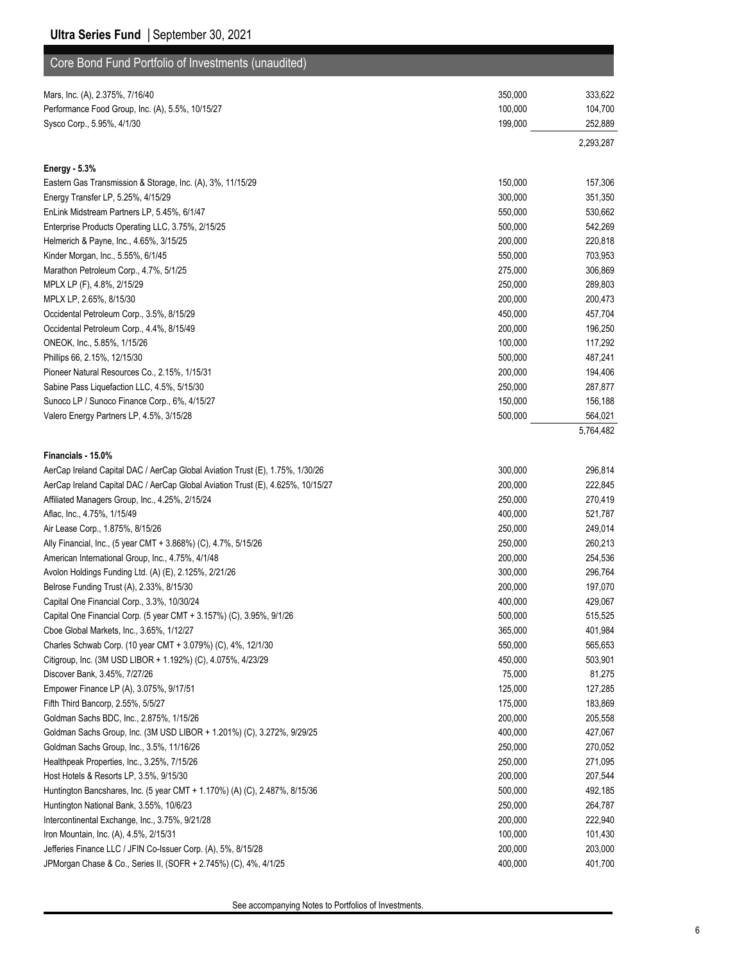| Core Bond Fund Portfolio of Investments (unaudited)                             |         |           |
|---------------------------------------------------------------------------------|---------|-----------|
| Mars, Inc. (A), 2.375%, 7/16/40                                                 | 350,000 | 333,622   |
| Performance Food Group, Inc. (A), 5.5%, 10/15/27                                | 100,000 | 104,700   |
| Sysco Corp., 5.95%, 4/1/30                                                      | 199,000 | 252,889   |
|                                                                                 |         | 2,293,287 |
| <b>Energy - 5.3%</b>                                                            |         |           |
| Eastern Gas Transmission & Storage, Inc. (A), 3%, 11/15/29                      | 150,000 | 157,306   |
| Energy Transfer LP, 5.25%, 4/15/29                                              | 300,000 | 351,350   |
| EnLink Midstream Partners LP, 5.45%, 6/1/47                                     | 550,000 | 530,662   |
| Enterprise Products Operating LLC, 3.75%, 2/15/25                               | 500,000 | 542,269   |
| Helmerich & Payne, Inc., 4.65%, 3/15/25                                         | 200,000 | 220,818   |
| Kinder Morgan, Inc., 5.55%, 6/1/45                                              | 550,000 | 703,953   |
| Marathon Petroleum Corp., 4.7%, 5/1/25                                          | 275,000 | 306,869   |
| MPLX LP (F), 4.8%, 2/15/29                                                      | 250,000 | 289,803   |
| MPLX LP, 2.65%, 8/15/30                                                         | 200,000 | 200,473   |
| Occidental Petroleum Corp., 3.5%, 8/15/29                                       | 450,000 | 457,704   |
| Occidental Petroleum Corp., 4.4%, 8/15/49                                       | 200,000 | 196,250   |
| ONEOK, Inc., 5.85%, 1/15/26                                                     | 100,000 | 117,292   |
| Phillips 66, 2.15%, 12/15/30                                                    | 500,000 | 487,241   |
| Pioneer Natural Resources Co., 2.15%, 1/15/31                                   | 200,000 | 194,406   |
| Sabine Pass Liquefaction LLC, 4.5%, 5/15/30                                     | 250,000 | 287,877   |
| Sunoco LP / Sunoco Finance Corp., 6%, 4/15/27                                   | 150,000 | 156,188   |
| Valero Energy Partners LP, 4.5%, 3/15/28                                        | 500,000 | 564,021   |
|                                                                                 |         | 5,764,482 |
|                                                                                 |         |           |
| Financials - 15.0%                                                              |         |           |
| AerCap Ireland Capital DAC / AerCap Global Aviation Trust (E), 1.75%, 1/30/26   | 300,000 | 296,814   |
| AerCap Ireland Capital DAC / AerCap Global Aviation Trust (E), 4.625%, 10/15/27 | 200,000 | 222,845   |
| Affiliated Managers Group, Inc., 4.25%, 2/15/24                                 | 250,000 | 270,419   |
| Aflac, Inc., 4.75%, 1/15/49                                                     | 400,000 | 521,787   |
| Air Lease Corp., 1.875%, 8/15/26                                                | 250,000 | 249,014   |
| Ally Financial, Inc., (5 year CMT + 3.868%) (C), 4.7%, 5/15/26                  | 250,000 | 260,213   |
| American International Group, Inc., 4.75%, 4/1/48                               | 200,000 | 254,536   |
| Avolon Holdings Funding Ltd. (A) (E), 2.125%, 2/21/26                           | 300,000 | 296,764   |
| Belrose Funding Trust (A), 2.33%, 8/15/30                                       | 200,000 | 197,070   |
| Capital One Financial Corp., 3.3%, 10/30/24                                     | 400,000 | 429,067   |
| Capital One Financial Corp. (5 year CMT + 3.157%) (C), 3.95%, 9/1/26            | 500,000 | 515,525   |
| Cboe Global Markets, Inc., 3.65%, 1/12/27                                       | 365,000 | 401,984   |
| Charles Schwab Corp. (10 year CMT + 3.079%) (C), 4%, 12/1/30                    | 550,000 | 565,653   |
| Citigroup, Inc. (3M USD LIBOR + 1.192%) (C), 4.075%, 4/23/29                    | 450,000 | 503,901   |
| Discover Bank, 3.45%, 7/27/26                                                   | 75,000  | 81,275    |
| Empower Finance LP (A), 3.075%, 9/17/51                                         | 125,000 | 127,285   |
| Fifth Third Bancorp, 2.55%, 5/5/27                                              | 175,000 | 183,869   |
| Goldman Sachs BDC, Inc., 2.875%, 1/15/26                                        | 200,000 | 205,558   |
| Goldman Sachs Group, Inc. (3M USD LIBOR + 1.201%) (C), 3.272%, 9/29/25          | 400,000 | 427,067   |
| Goldman Sachs Group, Inc., 3.5%, 11/16/26                                       | 250,000 | 270,052   |
| Healthpeak Properties, Inc., 3.25%, 7/15/26                                     | 250,000 | 271,095   |
| Host Hotels & Resorts LP, 3.5%, 9/15/30                                         | 200,000 | 207,544   |
| Huntington Bancshares, Inc. (5 year CMT + 1.170%) (A) (C), 2.487%, 8/15/36      | 500,000 | 492,185   |
| Huntington National Bank, 3.55%, 10/6/23                                        | 250,000 | 264,787   |
| Intercontinental Exchange, Inc., 3.75%, 9/21/28                                 | 200,000 | 222,940   |
| Iron Mountain, Inc. (A), 4.5%, 2/15/31                                          | 100,000 | 101,430   |
| Jefferies Finance LLC / JFIN Co-Issuer Corp. (A), 5%, 8/15/28                   | 200,000 | 203,000   |
| JPMorgan Chase & Co., Series II, (SOFR + 2.745%) (C), 4%, 4/1/25                | 400,000 | 401,700   |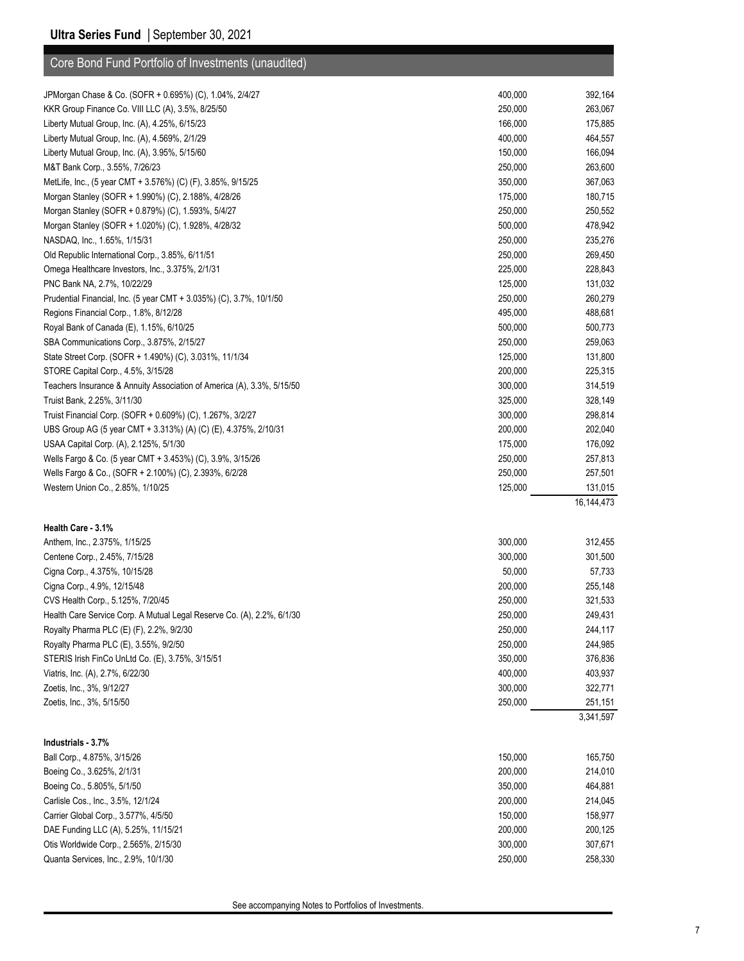| Core Bond Fund Portfolio of Investments (unaudited)                    |         |              |
|------------------------------------------------------------------------|---------|--------------|
| JPMorgan Chase & Co. (SOFR + 0.695%) (C), 1.04%, 2/4/27                | 400,000 | 392,164      |
| KKR Group Finance Co. VIII LLC (A), 3.5%, 8/25/50                      | 250,000 | 263,067      |
| Liberty Mutual Group, Inc. (A), 4.25%, 6/15/23                         | 166,000 | 175,885      |
| Liberty Mutual Group, Inc. (A), 4.569%, 2/1/29                         | 400,000 | 464,557      |
| Liberty Mutual Group, Inc. (A), 3.95%, 5/15/60                         | 150,000 | 166,094      |
| M&T Bank Corp., 3.55%, 7/26/23                                         | 250,000 | 263,600      |
| MetLife, Inc., (5 year CMT + 3.576%) (C) (F), 3.85%, 9/15/25           | 350,000 | 367,063      |
| Morgan Stanley (SOFR + 1.990%) (C), 2.188%, 4/28/26                    | 175,000 | 180,715      |
| Morgan Stanley (SOFR + 0.879%) (C), 1.593%, 5/4/27                     | 250,000 | 250,552      |
| Morgan Stanley (SOFR + 1.020%) (C), 1.928%, 4/28/32                    | 500,000 | 478,942      |
| NASDAQ, Inc., 1.65%, 1/15/31                                           | 250,000 | 235,276      |
| Old Republic International Corp., 3.85%, 6/11/51                       | 250,000 | 269,450      |
| Omega Healthcare Investors, Inc., 3.375%, 2/1/31                       | 225,000 | 228,843      |
| PNC Bank NA, 2.7%, 10/22/29                                            | 125,000 | 131,032      |
| Prudential Financial, Inc. (5 year CMT + 3.035%) (C), 3.7%, 10/1/50    | 250,000 | 260,279      |
| Regions Financial Corp., 1.8%, 8/12/28                                 | 495,000 | 488,681      |
| Royal Bank of Canada (E), 1.15%, 6/10/25                               | 500,000 | 500,773      |
| SBA Communications Corp., 3.875%, 2/15/27                              | 250,000 | 259,063      |
| State Street Corp. (SOFR + 1.490%) (C), 3.031%, 11/1/34                | 125,000 | 131,800      |
| STORE Capital Corp., 4.5%, 3/15/28                                     | 200,000 | 225,315      |
| Teachers Insurance & Annuity Association of America (A), 3.3%, 5/15/50 | 300,000 | 314,519      |
| Truist Bank, 2.25%, 3/11/30                                            | 325,000 | 328,149      |
| Truist Financial Corp. (SOFR + 0.609%) (C), 1.267%, 3/2/27             | 300,000 | 298,814      |
| UBS Group AG (5 year CMT + 3.313%) (A) (C) (E), 4.375%, 2/10/31        | 200,000 | 202,040      |
| USAA Capital Corp. (A), 2.125%, 5/1/30                                 | 175,000 | 176,092      |
| Wells Fargo & Co. (5 year CMT + 3.453%) (C), 3.9%, 3/15/26             | 250,000 | 257,813      |
| Wells Fargo & Co., (SOFR + 2.100%) (C), 2.393%, 6/2/28                 | 250,000 | 257,501      |
| Western Union Co., 2.85%, 1/10/25                                      | 125,000 | 131,015      |
|                                                                        |         | 16, 144, 473 |
| Health Care 3.1%                                                       |         |              |
| Anthem, Inc., 2.375%, 1/15/25                                          | 300,000 | 312,455      |
| Centene Corp., 2.45%, 7/15/28                                          | 300,000 | 301,500      |
| Cigna Corp., 4.375%, 10/15/28                                          | 50,000  | 57,733       |
| Cigna Corp., 4.9%, 12/15/48                                            | 200,000 | 255,148      |
| CVS Health Corp., 5.125%, 7/20/45                                      | 250,000 | 321,533      |
| Health Care Service Corp. A Mutual Legal Reserve Co. (A), 2.2%, 6/1/30 | 250,000 | 249,431      |
| Royalty Pharma PLC (E) (F), 2.2%, 9/2/30                               | 250,000 | 244,117      |
| Royalty Pharma PLC (E), 3.55%, 9/2/50                                  | 250,000 | 244,985      |
| STERIS Irish FinCo UnLtd Co. (E), 3.75%, 3/15/51                       | 350,000 | 376,836      |
| Viatris, Inc. (A), 2.7%, 6/22/30                                       | 400,000 | 403,937      |
| Zoetis, Inc., 3%, 9/12/27                                              | 300,000 | 322,771      |
| Zoetis, Inc., 3%, 5/15/50                                              | 250,000 | 251,151      |
|                                                                        |         | 3,341,597    |
| Industrials - 3.7%                                                     |         |              |
| Ball Corp., 4.875%, 3/15/26                                            | 150,000 | 165,750      |
| Boeing Co., 3.625%, 2/1/31                                             | 200,000 | 214,010      |
| Boeing Co., 5.805%, 5/1/50                                             | 350,000 | 464,881      |
| Carlisle Cos., Inc., 3.5%, 12/1/24                                     | 200,000 | 214,045      |
| Carrier Global Corp., 3.577%, 4/5/50                                   | 150,000 | 158,977      |
| DAE Funding LLC (A), 5.25%, 11/15/21                                   | 200,000 | 200,125      |
| Otis Worldwide Corp., 2.565%, 2/15/30                                  | 300,000 | 307,671      |
| Quanta Services, Inc., 2.9%, 10/1/30                                   | 250,000 | 258,330      |
|                                                                        |         |              |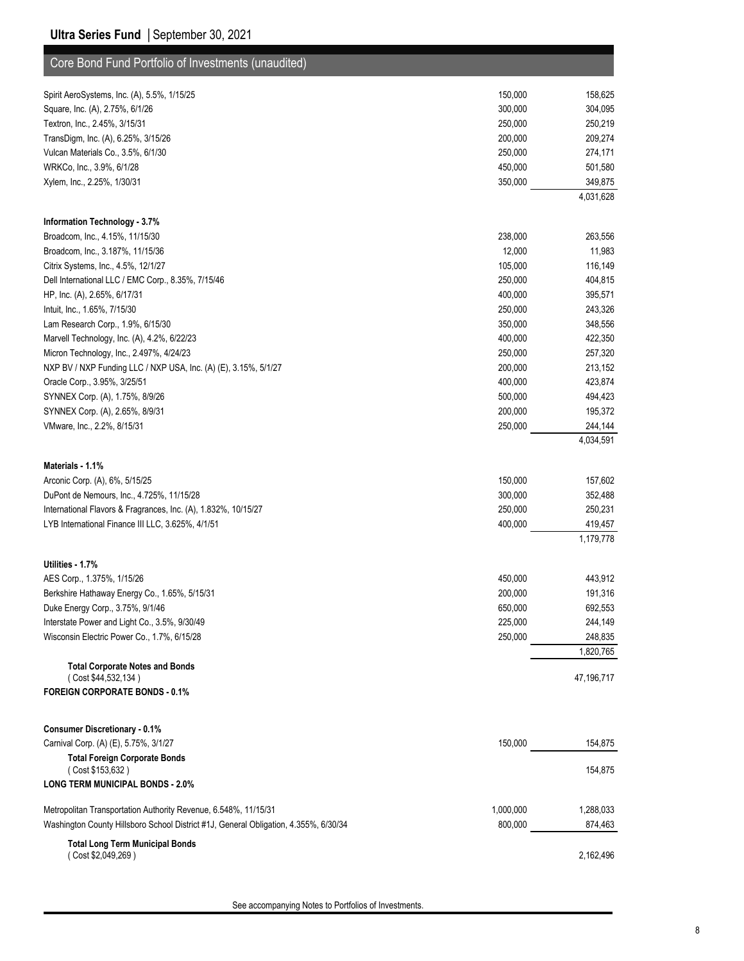| Core Bond Fund Portfolio of Investments (unaudited)                                  |           |                      |
|--------------------------------------------------------------------------------------|-----------|----------------------|
| Spirit AeroSystems, Inc. (A), 5.5%, 1/15/25                                          | 150,000   | 158,625              |
| Square, Inc. (A), 2.75%, 6/1/26                                                      | 300,000   | 304,095              |
| Textron, Inc., 2.45%, 3/15/31                                                        | 250,000   | 250,219              |
| TransDigm, Inc. (A), 6.25%, 3/15/26                                                  | 200,000   | 209,274              |
| Vulcan Materials Co., 3.5%, 6/1/30                                                   | 250,000   | 274,171              |
| WRKCo, Inc., 3.9%, 6/1/28                                                            | 450,000   | 501,580              |
| Xylem, Inc., 2.25%, 1/30/31                                                          | 350,000   | 349,875              |
|                                                                                      |           | 4,031,628            |
| Information Technology - 3.7%                                                        |           |                      |
| Broadcom, Inc., 4.15%, 11/15/30                                                      | 238,000   | 263,556              |
| Broadcom, Inc., 3.187%, 11/15/36                                                     | 12,000    | 11,983               |
| Citrix Systems, Inc., 4.5%, 12/1/27                                                  | 105,000   | 116,149              |
| Dell International LLC / EMC Corp., 8.35%, 7/15/46                                   | 250,000   | 404,815              |
| HP, Inc. (A), 2.65%, 6/17/31                                                         | 400,000   | 395,571              |
| Intuit, Inc., 1.65%, 7/15/30                                                         | 250,000   | 243,326              |
| Lam Research Corp., 1.9%, 6/15/30                                                    | 350,000   | 348,556              |
| Marvell Technology, Inc. (A), 4.2%, 6/22/23                                          | 400,000   | 422,350              |
| Micron Technology, Inc., 2.497%, 4/24/23                                             | 250,000   | 257,320              |
| NXP BV / NXP Funding LLC / NXP USA, Inc. (A) (E), 3.15%, 5/1/27                      | 200,000   | 213,152              |
| Oracle Corp., 3.95%, 3/25/51                                                         | 400,000   | 423,874              |
| SYNNEX Corp. (A), 1.75%, 8/9/26                                                      | 500,000   | 494,423              |
| SYNNEX Corp. (A), 2.65%, 8/9/31                                                      | 200,000   | 195,372              |
| VMware, Inc., 2.2%, 8/15/31                                                          | 250,000   | 244,144              |
|                                                                                      |           | 4,034,591            |
|                                                                                      |           |                      |
| Materials - 1.1%                                                                     |           |                      |
| Arconic Corp. (A), 6%, 5/15/25                                                       | 150,000   | 157,602              |
| DuPont de Nemours, Inc., 4.725%, 11/15/28                                            | 300,000   | 352,488              |
| International Flavors & Fragrances, Inc. (A), 1.832%, 10/15/27                       | 250,000   | 250,231              |
| LYB International Finance III LLC, 3.625%, 4/1/51                                    | 400,000   | 419,457<br>1,179,778 |
|                                                                                      |           |                      |
| Utilities - 1.7%                                                                     |           |                      |
| AES Corp., 1.375%, 1/15/26                                                           | 450,000   | 443,912              |
| Berkshire Hathaway Energy Co., 1.65%, 5/15/31                                        | 200,000   | 191,316              |
| Duke Energy Corp., 3.75%, 9/1/46                                                     | 650,000   | 692,553              |
| Interstate Power and Light Co., 3.5%, 9/30/49                                        | 225,000   | 244,149              |
| Wisconsin Electric Power Co., 1.7%, 6/15/28                                          | 250,000   | 248,835              |
| <b>Total Corporate Notes and Bonds</b>                                               |           | 1,820,765            |
| (Cost \$44,532,134)                                                                  |           | 47,196,717           |
| <b>FOREIGN CORPORATE BONDS - 0.1%</b>                                                |           |                      |
|                                                                                      |           |                      |
| <b>Consumer Discretionary - 0.1%</b>                                                 |           |                      |
| Carnival Corp. (A) (E), 5.75%, 3/1/27                                                | 150,000   | 154,875              |
| <b>Total Foreign Corporate Bonds</b><br>(Cost \$153,632)                             |           | 154,875              |
| <b>LONG TERM MUNICIPAL BONDS - 2.0%</b>                                              |           |                      |
|                                                                                      |           |                      |
| Metropolitan Transportation Authority Revenue, 6.548%, 11/15/31                      | 1,000,000 | 1,288,033            |
| Washington County Hillsboro School District #1J, General Obligation, 4.355%, 6/30/34 | 800,000   | 874,463              |
| <b>Total Long Term Municipal Bonds</b>                                               |           |                      |
| (Cost \$2,049,269)                                                                   |           | 2,162,496            |
|                                                                                      |           |                      |

See accompanying Notes to Portfolios of Investments.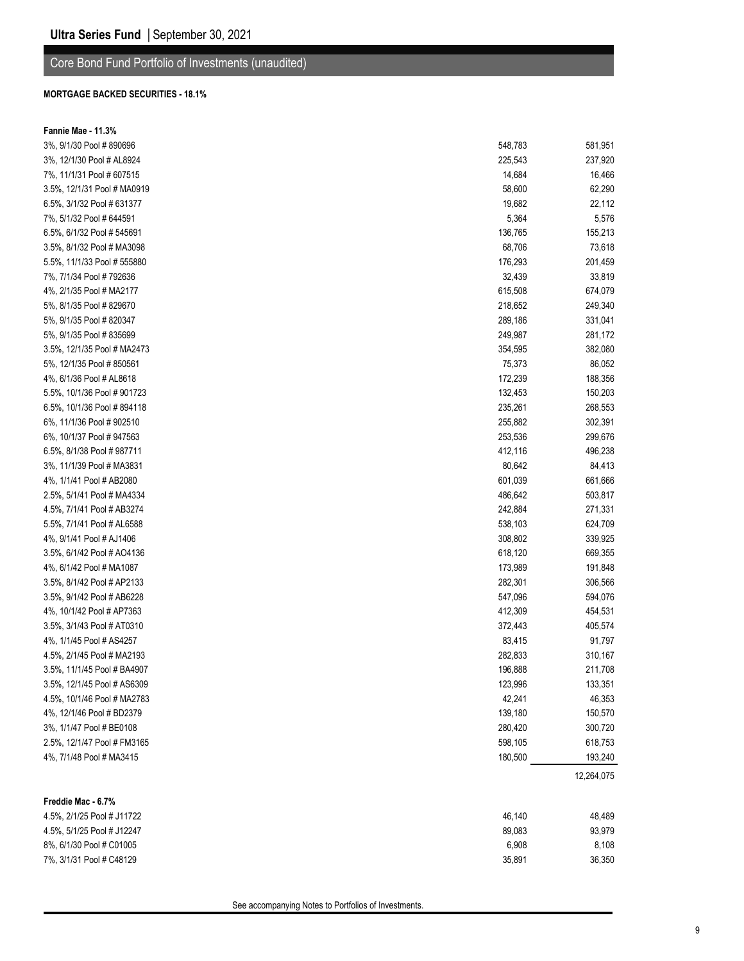### Core Bond Fund Portfolio of Investments (unaudited)

#### **MORTGAGE BACKED SECURITIES - 18.1%**

| 3%, 9/1/30 Pool #890696<br>548,783<br>581,951<br>3%, 12/1/30 Pool # AL8924<br>225,543<br>237,920<br>7%, 11/1/31 Pool # 607515<br>14,684<br>16,466<br>3.5%, 12/1/31 Pool # MA0919<br>58,600<br>62,290<br>6.5%, 3/1/32 Pool # 631377<br>19,682<br>22,112<br>5,576<br>7%, 5/1/32 Pool # 644591<br>5,364<br>6.5%, 6/1/32 Pool # 545691<br>136,765<br>155,213<br>3.5%, 8/1/32 Pool # MA3098<br>68,706<br>73,618<br>5.5%, 11/1/33 Pool # 555880<br>176,293<br>201,459<br>7%, 7/1/34 Pool # 792636<br>32,439<br>33,819<br>4%, 2/1/35 Pool # MA2177<br>615,508<br>674,079<br>5%, 8/1/35 Pool # 829670<br>218,652<br>249,340<br>5%, 9/1/35 Pool # 820347<br>289,186<br>331,041<br>5%, 9/1/35 Pool # 835699<br>249,987<br>281,172<br>3.5%, 12/1/35 Pool # MA2473<br>354,595<br>382,080<br>5%, 12/1/35 Pool # 850561<br>75,373<br>86,052<br>4%, 6/1/36 Pool # AL8618<br>172,239<br>188,356<br>5.5%, 10/1/36 Pool # 901723<br>132,453<br>150,203<br>6.5%, 10/1/36 Pool #894118<br>235,261<br>268,553<br>6%, 11/1/36 Pool #902510<br>255,882<br>302,391<br>6%, 10/1/37 Pool #947563<br>253,536<br>299,676<br>6.5%, 8/1/38 Pool # 987711<br>412,116<br>496,238<br>3%, 11/1/39 Pool # MA3831<br>80,642<br>84,413<br>4%, 1/1/41 Pool # AB2080<br>601,039<br>661,666<br>2.5%, 5/1/41 Pool # MA4334<br>486,642<br>503,817<br>4.5%, 7/1/41 Pool # AB3274<br>242,884<br>271,331<br>5.5%, 7/1/41 Pool # AL6588<br>538,103<br>624,709<br>4%, 9/1/41 Pool # AJ1406<br>308,802<br>339,925<br>3.5%, 6/1/42 Pool # AO4136<br>618,120<br>669,355<br>4%, 6/1/42 Pool # MA1087<br>173,989<br>191,848<br>3.5%, 8/1/42 Pool # AP2133<br>282,301<br>306,566<br>3.5%, 9/1/42 Pool # AB6228<br>547,096<br>594,076<br>4%, 10/1/42 Pool # AP7363<br>412,309<br>454,531<br>3.5%, 3/1/43 Pool # AT0310<br>372,443<br>405,574<br>4%, 1/1/45 Pool # AS4257<br>83,415<br>91,797<br>4.5%, 2/1/45 Pool # MA2193<br>282,833<br>310,167<br>3.5%, 11/1/45 Pool # BA4907<br>196,888<br>211,708<br>3.5%, 12/1/45 Pool # AS6309<br>123,996<br>133,351<br>4.5%, 10/1/46 Pool # MA2783<br>42,241<br>46,353<br>139,180<br>4%, 12/1/46 Pool # BD2379<br>150,570<br>3%, 1/1/47 Pool # BE0108<br>280,420<br>300,720<br>2.5%, 12/1/47 Pool # FM3165<br>598,105<br>618,753<br>180,500<br>4%, 7/1/48 Pool # MA3415<br>193,240<br>12,264,075<br>Freddie Mac - 6.7%<br>4.5%, 2/1/25 Pool # J11722<br>46,140<br>48,489<br>4.5%, 5/1/25 Pool # J12247<br>89,083<br>93,979<br>8%, 6/1/30 Pool # C01005<br>6,908<br>8,108<br>7%, 3/1/31 Pool # C48129<br>35,891<br>36,350 | Fannie Mae - 11.3% |  |
|-----------------------------------------------------------------------------------------------------------------------------------------------------------------------------------------------------------------------------------------------------------------------------------------------------------------------------------------------------------------------------------------------------------------------------------------------------------------------------------------------------------------------------------------------------------------------------------------------------------------------------------------------------------------------------------------------------------------------------------------------------------------------------------------------------------------------------------------------------------------------------------------------------------------------------------------------------------------------------------------------------------------------------------------------------------------------------------------------------------------------------------------------------------------------------------------------------------------------------------------------------------------------------------------------------------------------------------------------------------------------------------------------------------------------------------------------------------------------------------------------------------------------------------------------------------------------------------------------------------------------------------------------------------------------------------------------------------------------------------------------------------------------------------------------------------------------------------------------------------------------------------------------------------------------------------------------------------------------------------------------------------------------------------------------------------------------------------------------------------------------------------------------------------------------------------------------------------------------------------------------------------------------------------------------------------------------------------------------------------------------------------------------------------------------------------------------------------------------------------------------------------|--------------------|--|
|                                                                                                                                                                                                                                                                                                                                                                                                                                                                                                                                                                                                                                                                                                                                                                                                                                                                                                                                                                                                                                                                                                                                                                                                                                                                                                                                                                                                                                                                                                                                                                                                                                                                                                                                                                                                                                                                                                                                                                                                                                                                                                                                                                                                                                                                                                                                                                                                                                                                                                           |                    |  |
|                                                                                                                                                                                                                                                                                                                                                                                                                                                                                                                                                                                                                                                                                                                                                                                                                                                                                                                                                                                                                                                                                                                                                                                                                                                                                                                                                                                                                                                                                                                                                                                                                                                                                                                                                                                                                                                                                                                                                                                                                                                                                                                                                                                                                                                                                                                                                                                                                                                                                                           |                    |  |
|                                                                                                                                                                                                                                                                                                                                                                                                                                                                                                                                                                                                                                                                                                                                                                                                                                                                                                                                                                                                                                                                                                                                                                                                                                                                                                                                                                                                                                                                                                                                                                                                                                                                                                                                                                                                                                                                                                                                                                                                                                                                                                                                                                                                                                                                                                                                                                                                                                                                                                           |                    |  |
|                                                                                                                                                                                                                                                                                                                                                                                                                                                                                                                                                                                                                                                                                                                                                                                                                                                                                                                                                                                                                                                                                                                                                                                                                                                                                                                                                                                                                                                                                                                                                                                                                                                                                                                                                                                                                                                                                                                                                                                                                                                                                                                                                                                                                                                                                                                                                                                                                                                                                                           |                    |  |
|                                                                                                                                                                                                                                                                                                                                                                                                                                                                                                                                                                                                                                                                                                                                                                                                                                                                                                                                                                                                                                                                                                                                                                                                                                                                                                                                                                                                                                                                                                                                                                                                                                                                                                                                                                                                                                                                                                                                                                                                                                                                                                                                                                                                                                                                                                                                                                                                                                                                                                           |                    |  |
|                                                                                                                                                                                                                                                                                                                                                                                                                                                                                                                                                                                                                                                                                                                                                                                                                                                                                                                                                                                                                                                                                                                                                                                                                                                                                                                                                                                                                                                                                                                                                                                                                                                                                                                                                                                                                                                                                                                                                                                                                                                                                                                                                                                                                                                                                                                                                                                                                                                                                                           |                    |  |
|                                                                                                                                                                                                                                                                                                                                                                                                                                                                                                                                                                                                                                                                                                                                                                                                                                                                                                                                                                                                                                                                                                                                                                                                                                                                                                                                                                                                                                                                                                                                                                                                                                                                                                                                                                                                                                                                                                                                                                                                                                                                                                                                                                                                                                                                                                                                                                                                                                                                                                           |                    |  |
|                                                                                                                                                                                                                                                                                                                                                                                                                                                                                                                                                                                                                                                                                                                                                                                                                                                                                                                                                                                                                                                                                                                                                                                                                                                                                                                                                                                                                                                                                                                                                                                                                                                                                                                                                                                                                                                                                                                                                                                                                                                                                                                                                                                                                                                                                                                                                                                                                                                                                                           |                    |  |
|                                                                                                                                                                                                                                                                                                                                                                                                                                                                                                                                                                                                                                                                                                                                                                                                                                                                                                                                                                                                                                                                                                                                                                                                                                                                                                                                                                                                                                                                                                                                                                                                                                                                                                                                                                                                                                                                                                                                                                                                                                                                                                                                                                                                                                                                                                                                                                                                                                                                                                           |                    |  |
|                                                                                                                                                                                                                                                                                                                                                                                                                                                                                                                                                                                                                                                                                                                                                                                                                                                                                                                                                                                                                                                                                                                                                                                                                                                                                                                                                                                                                                                                                                                                                                                                                                                                                                                                                                                                                                                                                                                                                                                                                                                                                                                                                                                                                                                                                                                                                                                                                                                                                                           |                    |  |
|                                                                                                                                                                                                                                                                                                                                                                                                                                                                                                                                                                                                                                                                                                                                                                                                                                                                                                                                                                                                                                                                                                                                                                                                                                                                                                                                                                                                                                                                                                                                                                                                                                                                                                                                                                                                                                                                                                                                                                                                                                                                                                                                                                                                                                                                                                                                                                                                                                                                                                           |                    |  |
|                                                                                                                                                                                                                                                                                                                                                                                                                                                                                                                                                                                                                                                                                                                                                                                                                                                                                                                                                                                                                                                                                                                                                                                                                                                                                                                                                                                                                                                                                                                                                                                                                                                                                                                                                                                                                                                                                                                                                                                                                                                                                                                                                                                                                                                                                                                                                                                                                                                                                                           |                    |  |
|                                                                                                                                                                                                                                                                                                                                                                                                                                                                                                                                                                                                                                                                                                                                                                                                                                                                                                                                                                                                                                                                                                                                                                                                                                                                                                                                                                                                                                                                                                                                                                                                                                                                                                                                                                                                                                                                                                                                                                                                                                                                                                                                                                                                                                                                                                                                                                                                                                                                                                           |                    |  |
|                                                                                                                                                                                                                                                                                                                                                                                                                                                                                                                                                                                                                                                                                                                                                                                                                                                                                                                                                                                                                                                                                                                                                                                                                                                                                                                                                                                                                                                                                                                                                                                                                                                                                                                                                                                                                                                                                                                                                                                                                                                                                                                                                                                                                                                                                                                                                                                                                                                                                                           |                    |  |
|                                                                                                                                                                                                                                                                                                                                                                                                                                                                                                                                                                                                                                                                                                                                                                                                                                                                                                                                                                                                                                                                                                                                                                                                                                                                                                                                                                                                                                                                                                                                                                                                                                                                                                                                                                                                                                                                                                                                                                                                                                                                                                                                                                                                                                                                                                                                                                                                                                                                                                           |                    |  |
|                                                                                                                                                                                                                                                                                                                                                                                                                                                                                                                                                                                                                                                                                                                                                                                                                                                                                                                                                                                                                                                                                                                                                                                                                                                                                                                                                                                                                                                                                                                                                                                                                                                                                                                                                                                                                                                                                                                                                                                                                                                                                                                                                                                                                                                                                                                                                                                                                                                                                                           |                    |  |
|                                                                                                                                                                                                                                                                                                                                                                                                                                                                                                                                                                                                                                                                                                                                                                                                                                                                                                                                                                                                                                                                                                                                                                                                                                                                                                                                                                                                                                                                                                                                                                                                                                                                                                                                                                                                                                                                                                                                                                                                                                                                                                                                                                                                                                                                                                                                                                                                                                                                                                           |                    |  |
|                                                                                                                                                                                                                                                                                                                                                                                                                                                                                                                                                                                                                                                                                                                                                                                                                                                                                                                                                                                                                                                                                                                                                                                                                                                                                                                                                                                                                                                                                                                                                                                                                                                                                                                                                                                                                                                                                                                                                                                                                                                                                                                                                                                                                                                                                                                                                                                                                                                                                                           |                    |  |
|                                                                                                                                                                                                                                                                                                                                                                                                                                                                                                                                                                                                                                                                                                                                                                                                                                                                                                                                                                                                                                                                                                                                                                                                                                                                                                                                                                                                                                                                                                                                                                                                                                                                                                                                                                                                                                                                                                                                                                                                                                                                                                                                                                                                                                                                                                                                                                                                                                                                                                           |                    |  |
|                                                                                                                                                                                                                                                                                                                                                                                                                                                                                                                                                                                                                                                                                                                                                                                                                                                                                                                                                                                                                                                                                                                                                                                                                                                                                                                                                                                                                                                                                                                                                                                                                                                                                                                                                                                                                                                                                                                                                                                                                                                                                                                                                                                                                                                                                                                                                                                                                                                                                                           |                    |  |
|                                                                                                                                                                                                                                                                                                                                                                                                                                                                                                                                                                                                                                                                                                                                                                                                                                                                                                                                                                                                                                                                                                                                                                                                                                                                                                                                                                                                                                                                                                                                                                                                                                                                                                                                                                                                                                                                                                                                                                                                                                                                                                                                                                                                                                                                                                                                                                                                                                                                                                           |                    |  |
|                                                                                                                                                                                                                                                                                                                                                                                                                                                                                                                                                                                                                                                                                                                                                                                                                                                                                                                                                                                                                                                                                                                                                                                                                                                                                                                                                                                                                                                                                                                                                                                                                                                                                                                                                                                                                                                                                                                                                                                                                                                                                                                                                                                                                                                                                                                                                                                                                                                                                                           |                    |  |
|                                                                                                                                                                                                                                                                                                                                                                                                                                                                                                                                                                                                                                                                                                                                                                                                                                                                                                                                                                                                                                                                                                                                                                                                                                                                                                                                                                                                                                                                                                                                                                                                                                                                                                                                                                                                                                                                                                                                                                                                                                                                                                                                                                                                                                                                                                                                                                                                                                                                                                           |                    |  |
|                                                                                                                                                                                                                                                                                                                                                                                                                                                                                                                                                                                                                                                                                                                                                                                                                                                                                                                                                                                                                                                                                                                                                                                                                                                                                                                                                                                                                                                                                                                                                                                                                                                                                                                                                                                                                                                                                                                                                                                                                                                                                                                                                                                                                                                                                                                                                                                                                                                                                                           |                    |  |
|                                                                                                                                                                                                                                                                                                                                                                                                                                                                                                                                                                                                                                                                                                                                                                                                                                                                                                                                                                                                                                                                                                                                                                                                                                                                                                                                                                                                                                                                                                                                                                                                                                                                                                                                                                                                                                                                                                                                                                                                                                                                                                                                                                                                                                                                                                                                                                                                                                                                                                           |                    |  |
|                                                                                                                                                                                                                                                                                                                                                                                                                                                                                                                                                                                                                                                                                                                                                                                                                                                                                                                                                                                                                                                                                                                                                                                                                                                                                                                                                                                                                                                                                                                                                                                                                                                                                                                                                                                                                                                                                                                                                                                                                                                                                                                                                                                                                                                                                                                                                                                                                                                                                                           |                    |  |
|                                                                                                                                                                                                                                                                                                                                                                                                                                                                                                                                                                                                                                                                                                                                                                                                                                                                                                                                                                                                                                                                                                                                                                                                                                                                                                                                                                                                                                                                                                                                                                                                                                                                                                                                                                                                                                                                                                                                                                                                                                                                                                                                                                                                                                                                                                                                                                                                                                                                                                           |                    |  |
|                                                                                                                                                                                                                                                                                                                                                                                                                                                                                                                                                                                                                                                                                                                                                                                                                                                                                                                                                                                                                                                                                                                                                                                                                                                                                                                                                                                                                                                                                                                                                                                                                                                                                                                                                                                                                                                                                                                                                                                                                                                                                                                                                                                                                                                                                                                                                                                                                                                                                                           |                    |  |
|                                                                                                                                                                                                                                                                                                                                                                                                                                                                                                                                                                                                                                                                                                                                                                                                                                                                                                                                                                                                                                                                                                                                                                                                                                                                                                                                                                                                                                                                                                                                                                                                                                                                                                                                                                                                                                                                                                                                                                                                                                                                                                                                                                                                                                                                                                                                                                                                                                                                                                           |                    |  |
|                                                                                                                                                                                                                                                                                                                                                                                                                                                                                                                                                                                                                                                                                                                                                                                                                                                                                                                                                                                                                                                                                                                                                                                                                                                                                                                                                                                                                                                                                                                                                                                                                                                                                                                                                                                                                                                                                                                                                                                                                                                                                                                                                                                                                                                                                                                                                                                                                                                                                                           |                    |  |
|                                                                                                                                                                                                                                                                                                                                                                                                                                                                                                                                                                                                                                                                                                                                                                                                                                                                                                                                                                                                                                                                                                                                                                                                                                                                                                                                                                                                                                                                                                                                                                                                                                                                                                                                                                                                                                                                                                                                                                                                                                                                                                                                                                                                                                                                                                                                                                                                                                                                                                           |                    |  |
|                                                                                                                                                                                                                                                                                                                                                                                                                                                                                                                                                                                                                                                                                                                                                                                                                                                                                                                                                                                                                                                                                                                                                                                                                                                                                                                                                                                                                                                                                                                                                                                                                                                                                                                                                                                                                                                                                                                                                                                                                                                                                                                                                                                                                                                                                                                                                                                                                                                                                                           |                    |  |
|                                                                                                                                                                                                                                                                                                                                                                                                                                                                                                                                                                                                                                                                                                                                                                                                                                                                                                                                                                                                                                                                                                                                                                                                                                                                                                                                                                                                                                                                                                                                                                                                                                                                                                                                                                                                                                                                                                                                                                                                                                                                                                                                                                                                                                                                                                                                                                                                                                                                                                           |                    |  |
|                                                                                                                                                                                                                                                                                                                                                                                                                                                                                                                                                                                                                                                                                                                                                                                                                                                                                                                                                                                                                                                                                                                                                                                                                                                                                                                                                                                                                                                                                                                                                                                                                                                                                                                                                                                                                                                                                                                                                                                                                                                                                                                                                                                                                                                                                                                                                                                                                                                                                                           |                    |  |
|                                                                                                                                                                                                                                                                                                                                                                                                                                                                                                                                                                                                                                                                                                                                                                                                                                                                                                                                                                                                                                                                                                                                                                                                                                                                                                                                                                                                                                                                                                                                                                                                                                                                                                                                                                                                                                                                                                                                                                                                                                                                                                                                                                                                                                                                                                                                                                                                                                                                                                           |                    |  |
|                                                                                                                                                                                                                                                                                                                                                                                                                                                                                                                                                                                                                                                                                                                                                                                                                                                                                                                                                                                                                                                                                                                                                                                                                                                                                                                                                                                                                                                                                                                                                                                                                                                                                                                                                                                                                                                                                                                                                                                                                                                                                                                                                                                                                                                                                                                                                                                                                                                                                                           |                    |  |
|                                                                                                                                                                                                                                                                                                                                                                                                                                                                                                                                                                                                                                                                                                                                                                                                                                                                                                                                                                                                                                                                                                                                                                                                                                                                                                                                                                                                                                                                                                                                                                                                                                                                                                                                                                                                                                                                                                                                                                                                                                                                                                                                                                                                                                                                                                                                                                                                                                                                                                           |                    |  |
|                                                                                                                                                                                                                                                                                                                                                                                                                                                                                                                                                                                                                                                                                                                                                                                                                                                                                                                                                                                                                                                                                                                                                                                                                                                                                                                                                                                                                                                                                                                                                                                                                                                                                                                                                                                                                                                                                                                                                                                                                                                                                                                                                                                                                                                                                                                                                                                                                                                                                                           |                    |  |
|                                                                                                                                                                                                                                                                                                                                                                                                                                                                                                                                                                                                                                                                                                                                                                                                                                                                                                                                                                                                                                                                                                                                                                                                                                                                                                                                                                                                                                                                                                                                                                                                                                                                                                                                                                                                                                                                                                                                                                                                                                                                                                                                                                                                                                                                                                                                                                                                                                                                                                           |                    |  |
|                                                                                                                                                                                                                                                                                                                                                                                                                                                                                                                                                                                                                                                                                                                                                                                                                                                                                                                                                                                                                                                                                                                                                                                                                                                                                                                                                                                                                                                                                                                                                                                                                                                                                                                                                                                                                                                                                                                                                                                                                                                                                                                                                                                                                                                                                                                                                                                                                                                                                                           |                    |  |
|                                                                                                                                                                                                                                                                                                                                                                                                                                                                                                                                                                                                                                                                                                                                                                                                                                                                                                                                                                                                                                                                                                                                                                                                                                                                                                                                                                                                                                                                                                                                                                                                                                                                                                                                                                                                                                                                                                                                                                                                                                                                                                                                                                                                                                                                                                                                                                                                                                                                                                           |                    |  |
|                                                                                                                                                                                                                                                                                                                                                                                                                                                                                                                                                                                                                                                                                                                                                                                                                                                                                                                                                                                                                                                                                                                                                                                                                                                                                                                                                                                                                                                                                                                                                                                                                                                                                                                                                                                                                                                                                                                                                                                                                                                                                                                                                                                                                                                                                                                                                                                                                                                                                                           |                    |  |
|                                                                                                                                                                                                                                                                                                                                                                                                                                                                                                                                                                                                                                                                                                                                                                                                                                                                                                                                                                                                                                                                                                                                                                                                                                                                                                                                                                                                                                                                                                                                                                                                                                                                                                                                                                                                                                                                                                                                                                                                                                                                                                                                                                                                                                                                                                                                                                                                                                                                                                           |                    |  |
|                                                                                                                                                                                                                                                                                                                                                                                                                                                                                                                                                                                                                                                                                                                                                                                                                                                                                                                                                                                                                                                                                                                                                                                                                                                                                                                                                                                                                                                                                                                                                                                                                                                                                                                                                                                                                                                                                                                                                                                                                                                                                                                                                                                                                                                                                                                                                                                                                                                                                                           |                    |  |
|                                                                                                                                                                                                                                                                                                                                                                                                                                                                                                                                                                                                                                                                                                                                                                                                                                                                                                                                                                                                                                                                                                                                                                                                                                                                                                                                                                                                                                                                                                                                                                                                                                                                                                                                                                                                                                                                                                                                                                                                                                                                                                                                                                                                                                                                                                                                                                                                                                                                                                           |                    |  |
|                                                                                                                                                                                                                                                                                                                                                                                                                                                                                                                                                                                                                                                                                                                                                                                                                                                                                                                                                                                                                                                                                                                                                                                                                                                                                                                                                                                                                                                                                                                                                                                                                                                                                                                                                                                                                                                                                                                                                                                                                                                                                                                                                                                                                                                                                                                                                                                                                                                                                                           |                    |  |
|                                                                                                                                                                                                                                                                                                                                                                                                                                                                                                                                                                                                                                                                                                                                                                                                                                                                                                                                                                                                                                                                                                                                                                                                                                                                                                                                                                                                                                                                                                                                                                                                                                                                                                                                                                                                                                                                                                                                                                                                                                                                                                                                                                                                                                                                                                                                                                                                                                                                                                           |                    |  |
|                                                                                                                                                                                                                                                                                                                                                                                                                                                                                                                                                                                                                                                                                                                                                                                                                                                                                                                                                                                                                                                                                                                                                                                                                                                                                                                                                                                                                                                                                                                                                                                                                                                                                                                                                                                                                                                                                                                                                                                                                                                                                                                                                                                                                                                                                                                                                                                                                                                                                                           |                    |  |
|                                                                                                                                                                                                                                                                                                                                                                                                                                                                                                                                                                                                                                                                                                                                                                                                                                                                                                                                                                                                                                                                                                                                                                                                                                                                                                                                                                                                                                                                                                                                                                                                                                                                                                                                                                                                                                                                                                                                                                                                                                                                                                                                                                                                                                                                                                                                                                                                                                                                                                           |                    |  |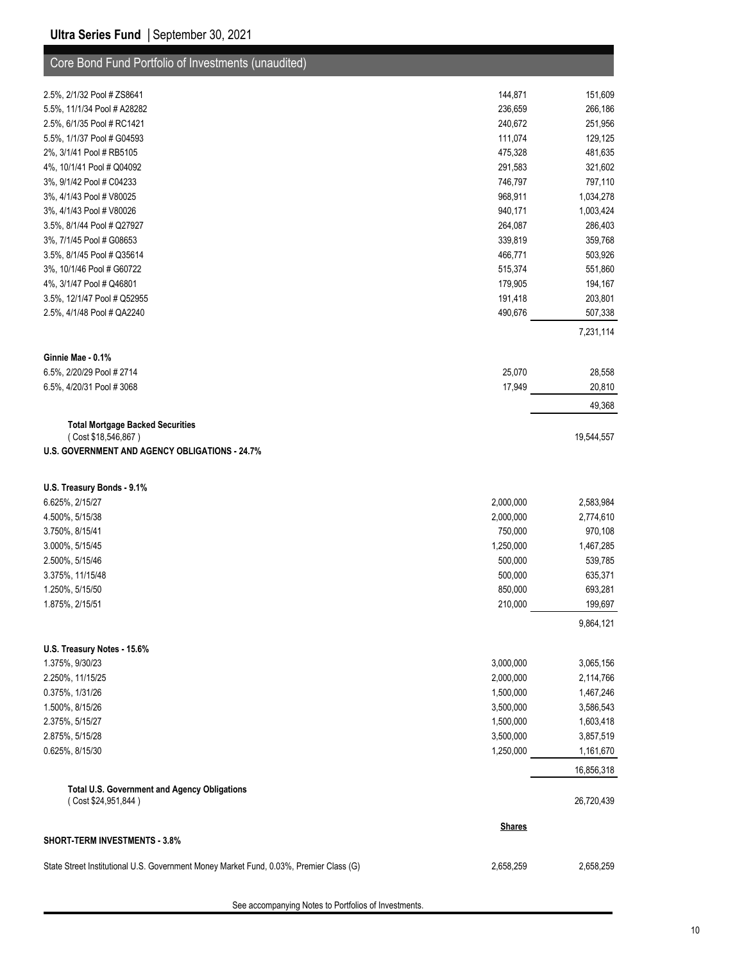| Core Bond Fund Portfolio of Investments (unaudited)                                    |                        |                        |
|----------------------------------------------------------------------------------------|------------------------|------------------------|
|                                                                                        |                        |                        |
| 2.5%, 2/1/32 Pool # ZS8641<br>5.5%, 11/1/34 Pool # A28282                              | 144,871<br>236,659     | 151,609<br>266,186     |
| 2.5%, 6/1/35 Pool # RC1421                                                             | 240,672                | 251,956                |
| 5.5%, 1/1/37 Pool # G04593                                                             | 111,074                | 129,125                |
| 2%, 3/1/41 Pool # RB5105                                                               | 475,328                | 481,635                |
| 4%, 10/1/41 Pool # Q04092                                                              | 291,583                | 321,602                |
| 3%, 9/1/42 Pool # C04233                                                               | 746,797                | 797,110                |
| 3%, 4/1/43 Pool # V80025                                                               | 968,911                | 1,034,278              |
| 3%, 4/1/43 Pool # V80026                                                               | 940,171                | 1,003,424              |
| 3.5%, 8/1/44 Pool # Q27927                                                             | 264,087                | 286,403                |
| 3%, 7/1/45 Pool # G08653                                                               | 339,819                | 359,768                |
| 3.5%, 8/1/45 Pool # Q35614                                                             | 466,771                | 503,926                |
| 3%, 10/1/46 Pool # G60722                                                              | 515,374                | 551,860                |
| 4%, 3/1/47 Pool # Q46801                                                               | 179,905                | 194,167                |
| 3.5%, 12/1/47 Pool # Q52955                                                            | 191,418                | 203,801                |
| 2.5%, 4/1/48 Pool # QA2240                                                             | 490,676                | 507,338                |
|                                                                                        |                        |                        |
|                                                                                        |                        | 7,231,114              |
| Ginnie Mae - 0.1%                                                                      |                        |                        |
| 6.5%, 2/20/29 Pool # 2714                                                              | 25,070                 | 28,558                 |
| 6.5%, 4/20/31 Pool #3068                                                               | 17,949                 | 20,810                 |
|                                                                                        |                        | 49,368                 |
|                                                                                        |                        |                        |
| <b>Total Mortgage Backed Securities</b><br>(Cost \$18,546,867)                         |                        | 19,544,557             |
| <b>U.S. GOVERNMENT AND AGENCY OBLIGATIONS - 24.7%</b>                                  |                        |                        |
|                                                                                        |                        |                        |
|                                                                                        |                        |                        |
| U.S. Treasury Bonds - 9.1%                                                             |                        |                        |
| 6.625%, 2/15/27                                                                        | 2,000,000              | 2,583,984              |
| 4.500%, 5/15/38                                                                        | 2,000,000              | 2,774,610              |
| 3.750%, 8/15/41                                                                        | 750,000                | 970,108                |
| 3.000%, 5/15/45                                                                        | 1,250,000              | 1,467,285              |
| 2.500%, 5/15/46                                                                        | 500,000                | 539,785                |
| 3.375%, 11/15/48                                                                       | 500,000                | 635,371                |
| 1.250%, 5/15/50                                                                        | 850,000                | 693,281                |
| 1.875%, 2/15/51                                                                        | 210,000                | 199,697                |
|                                                                                        |                        | 9,864,121              |
|                                                                                        |                        |                        |
| U.S. Treasury Notes - 15.6%                                                            |                        |                        |
| 1.375%, 9/30/23<br>2.250%, 11/15/25                                                    | 3,000,000<br>2,000,000 | 3,065,156              |
| 0.375%, 1/31/26                                                                        | 1,500,000              | 2,114,766              |
| 1.500%, 8/15/26                                                                        | 3,500,000              | 1,467,246              |
| 2.375%, 5/15/27                                                                        | 1,500,000              | 3,586,543              |
| 2.875%, 5/15/28                                                                        | 3,500,000              | 1,603,418<br>3,857,519 |
| 0.625%, 8/15/30                                                                        | 1,250,000              | 1,161,670              |
|                                                                                        |                        |                        |
|                                                                                        |                        | 16,856,318             |
| <b>Total U.S. Government and Agency Obligations</b>                                    |                        |                        |
| (Cost \$24,951,844)                                                                    |                        | 26,720,439             |
|                                                                                        | <b>Shares</b>          |                        |
| <b>SHORT-TERM INVESTMENTS - 3.8%</b>                                                   |                        |                        |
|                                                                                        |                        |                        |
| State Street Institutional U.S. Government Money Market Fund, 0.03%, Premier Class (G) | 2,658,259              | 2,658,259              |

See accompanying Notes to Portfolios of Investments.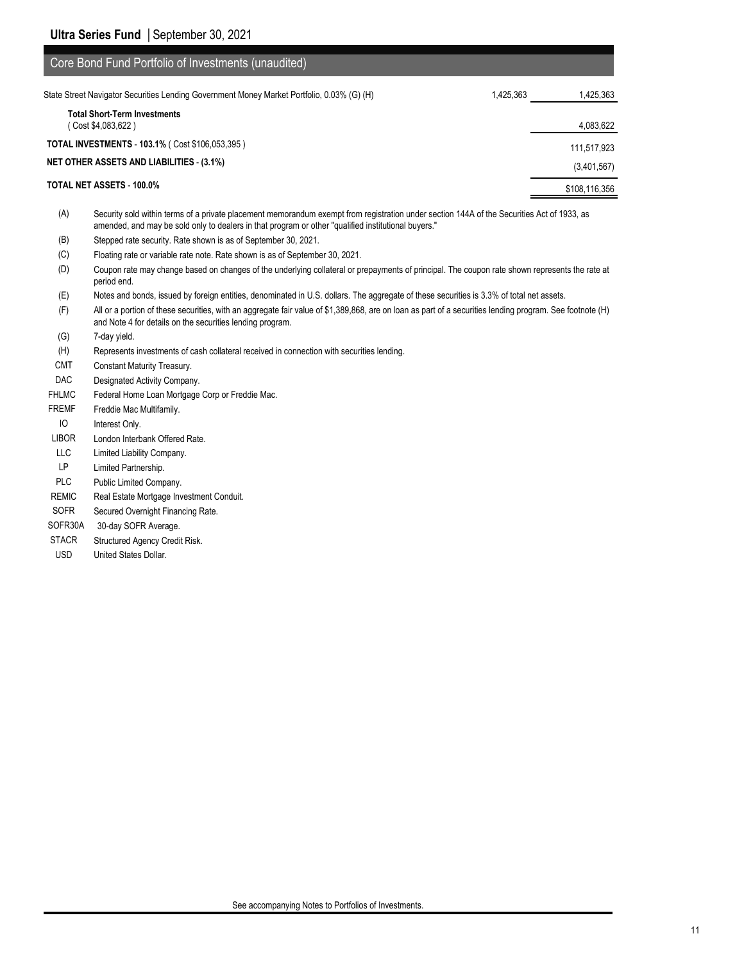| Core Bond Fund Portfolio of Investments (unaudited)                                        |           |               |
|--------------------------------------------------------------------------------------------|-----------|---------------|
| State Street Navigator Securities Lending Government Money Market Portfolio, 0.03% (G) (H) | 1,425,363 | 1,425,363     |
| <b>Total Short-Term Investments</b><br>Cost \$4,083,622)                                   |           | 4,083,622     |
| <b>TOTAL INVESTMENTS - 103.1% (Cost \$106,053,395)</b>                                     |           | 111,517,923   |
| <b>NET OTHER ASSETS AND LIABILITIES - (3.1%)</b>                                           |           | (3,401,567)   |
| TOTAL NET ASSETS - 100.0%                                                                  |           | \$108,116,356 |
|                                                                                            |           |               |

(A) Security sold within terms of a private placement memorandum exempt from registration under section 144A of the Securities Act of 1933, as amended, and may be sold only to dealers in that program or other "qualified institutional buyers."

- (B) Stepped rate security. Rate shown is as of September 30, 2021.
- (C) Floating rate or variable rate note. Rate shown is as of September 30, 2021.
- (D) Coupon rate may change based on changes of the underlying collateral or prepayments of principal. The coupon rate shown represents the rate at period end.
- (E) Notes and bonds, issued by foreign entities, denominated in U.S. dollars. The aggregate of these securities is 3.3% of total net assets.
- (F) All or a portion of these securities, with an aggregate fair value of \$1,389,868, are on loan as part of a securities lending program. See footnote (H) and Note 4 for details on the securities lending program.
- (G) 7-day yield.
- (H) Represents investments of cash collateral received in connection with securities lending.
- CMT Constant Maturity Treasury.
- DAC Designated Activity Company.
- FHLMC Federal Home Loan Mortgage Corp or Freddie Mac.
- FREMF Freddie Mac Multifamily.
- IO Interest Only.
- LIBOR London Interbank Offered Rate.
- LLC Limited Liability Company.
- LP Limited Partnership.
- PLC Public Limited Company.
- REMIC Real Estate Mortgage Investment Conduit.
- SOFR Secured Overnight Financing Rate.
- SOFR30A 30-day SOFR Average.
- STACR Structured Agency Credit Risk.
- USD United States Dollar.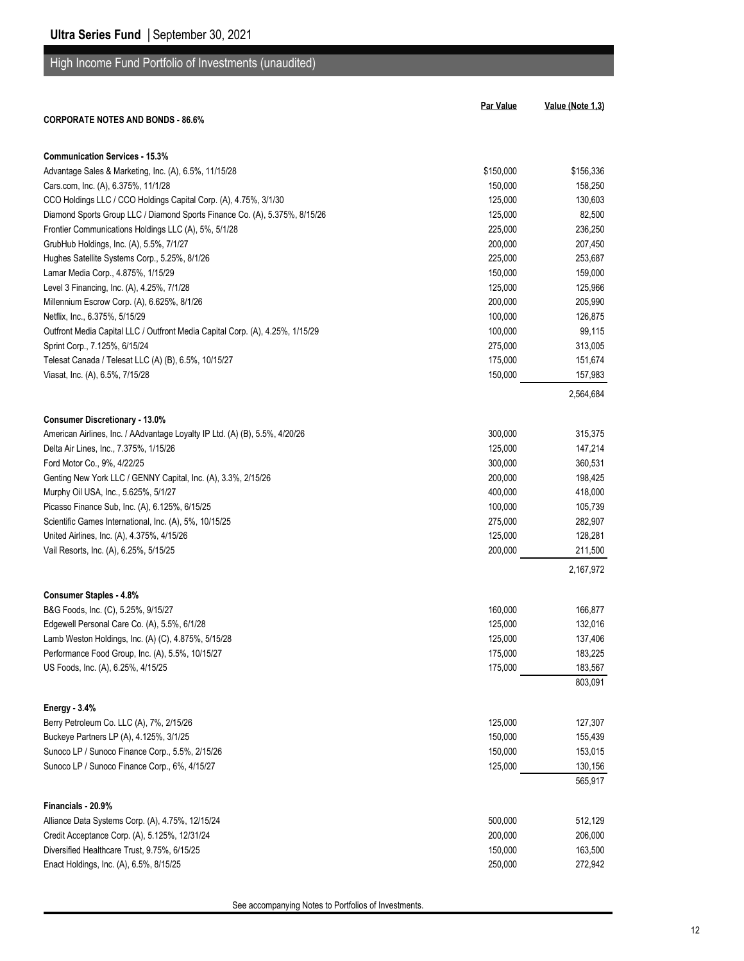## High Income Fund Portfolio of Investments (unaudited)

| <b>CORPORATE NOTES AND BONDS - 86.6%</b>                                      | <b>Par Value</b> | Value (Note 1,3) |
|-------------------------------------------------------------------------------|------------------|------------------|
|                                                                               |                  |                  |
| <b>Communication Services - 15.3%</b>                                         |                  |                  |
| Advantage Sales & Marketing, Inc. (A), 6.5%, 11/15/28                         | \$150,000        | \$156,336        |
| Cars.com, Inc. (A), 6.375%, 11/1/28                                           | 150,000          | 158,250          |
| CCO Holdings LLC / CCO Holdings Capital Corp. (A), 4.75%, 3/1/30              | 125,000          | 130,603          |
| Diamond Sports Group LLC / Diamond Sports Finance Co. (A), 5.375%, 8/15/26    | 125,000          | 82,500           |
| Frontier Communications Holdings LLC (A), 5%, 5/1/28                          | 225,000          | 236,250          |
| GrubHub Holdings, Inc. (A), 5.5%, 7/1/27                                      | 200,000          | 207,450          |
| Hughes Satellite Systems Corp., 5.25%, 8/1/26                                 | 225,000          | 253,687          |
| Lamar Media Corp., 4.875%, 1/15/29                                            | 150,000          | 159,000          |
| Level 3 Financing, Inc. (A), 4.25%, 7/1/28                                    | 125,000          | 125,966          |
| Millennium Escrow Corp. (A), 6.625%, 8/1/26                                   | 200,000          | 205,990          |
| Netflix, Inc., 6.375%, 5/15/29                                                | 100,000          | 126,875          |
| Outfront Media Capital LLC / Outfront Media Capital Corp. (A), 4.25%, 1/15/29 | 100,000          | 99,115           |
| Sprint Corp., 7.125%, 6/15/24                                                 | 275,000          | 313,005          |
| Telesat Canada / Telesat LLC (A) (B), 6.5%, 10/15/27                          | 175,000          | 151,674          |
| Viasat, Inc. (A), 6.5%, 7/15/28                                               | 150,000          | 157,983          |
|                                                                               |                  | 2,564,684        |
| <b>Consumer Discretionary - 13.0%</b>                                         |                  |                  |
| American Airlines, Inc. / AAdvantage Loyalty IP Ltd. (A) (B), 5.5%, 4/20/26   | 300,000          | 315,375          |
| Delta Air Lines, Inc., 7.375%, 1/15/26                                        | 125,000          | 147,214          |
| Ford Motor Co., 9%, 4/22/25                                                   | 300,000          | 360,531          |
| Genting New York LLC / GENNY Capital, Inc. (A), 3.3%, 2/15/26                 | 200,000          | 198,425          |
| Murphy Oil USA, Inc., 5.625%, 5/1/27                                          | 400,000          | 418,000          |
| Picasso Finance Sub, Inc. (A), 6.125%, 6/15/25                                | 100,000          | 105,739          |
| Scientific Games International, Inc. (A), 5%, 10/15/25                        | 275,000          | 282,907          |
| United Airlines, Inc. (A), 4.375%, 4/15/26                                    | 125,000          | 128,281          |
| Vail Resorts, Inc. (A), 6.25%, 5/15/25                                        | 200,000          | 211,500          |
|                                                                               |                  | 2,167,972        |
| <b>Consumer Staples - 4.8%</b>                                                |                  |                  |
| B&G Foods, Inc. (C), 5.25%, 9/15/27                                           | 160,000          | 166,877          |
| Edgewell Personal Care Co. (A), 5.5%, 6/1/28                                  | 125,000          | 132,016          |
| Lamb Weston Holdings, Inc. (A) (C), 4.875%, 5/15/28                           | 125,000          | 137,406          |
| Performance Food Group, Inc. (A), 5.5%, 10/15/27                              | 175,000          | 183,225          |
| US Foods, Inc. (A), 6.25%, 4/15/25                                            | 175,000          | 183,567          |
|                                                                               |                  | 803,091          |
| <b>Energy - 3.4%</b>                                                          |                  |                  |
| Berry Petroleum Co. LLC (A), 7%, 2/15/26                                      | 125,000          | 127,307          |
| Buckeye Partners LP (A), 4.125%, 3/1/25                                       | 150,000          | 155,439          |
| Sunoco LP / Sunoco Finance Corp., 5.5%, 2/15/26                               | 150,000          | 153,015          |
| Sunoco LP / Sunoco Finance Corp., 6%, 4/15/27                                 | 125,000          | 130,156          |
|                                                                               |                  | 565,917          |
| Financials - 20.9%                                                            |                  |                  |
| Alliance Data Systems Corp. (A), 4.75%, 12/15/24                              | 500,000          | 512,129          |
| Credit Acceptance Corp. (A), 5.125%, 12/31/24                                 | 200,000          | 206,000          |
| Diversified Healthcare Trust, 9.75%, 6/15/25                                  | 150,000          | 163,500          |
| Enact Holdings, Inc. (A), 6.5%, 8/15/25                                       | 250,000          | 272,942          |

See accompanying Notes to Portfolios of Investments.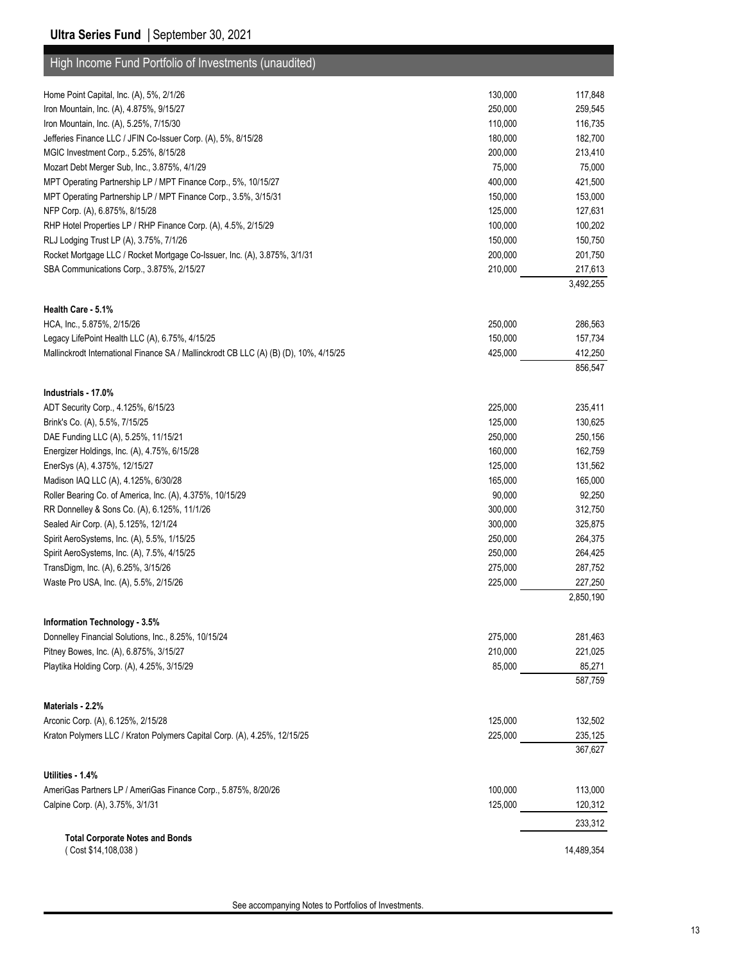#### **Ultra Series Fund** | September 30, 2021

| High Income Fund Portfolio of Investments (unaudited)                                                          |                   |                    |
|----------------------------------------------------------------------------------------------------------------|-------------------|--------------------|
|                                                                                                                |                   |                    |
| Home Point Capital, Inc. (A), 5%, 2/1/26                                                                       | 130,000           | 117,848            |
| Iron Mountain, Inc. (A), 4.875%, 9/15/27                                                                       | 250,000           | 259,545            |
| Iron Mountain, Inc. (A), 5.25%, 7/15/30                                                                        | 110,000           | 116,735            |
| Jefferies Finance LLC / JFIN Co-Issuer Corp. (A), 5%, 8/15/28                                                  | 180,000           | 182,700            |
| MGIC Investment Corp., 5.25%, 8/15/28                                                                          | 200,000           | 213,410            |
| Mozart Debt Merger Sub, Inc., 3.875%, 4/1/29<br>MPT Operating Partnership LP / MPT Finance Corp., 5%, 10/15/27 | 75,000<br>400,000 | 75,000<br>421,500  |
| MPT Operating Partnership LP / MPT Finance Corp., 3.5%, 3/15/31                                                | 150,000           | 153,000            |
| NFP Corp. (A), 6.875%, 8/15/28                                                                                 | 125,000           | 127,631            |
| RHP Hotel Properties LP / RHP Finance Corp. (A), 4.5%, 2/15/29                                                 | 100,000           | 100,202            |
| RLJ Lodging Trust LP (A), 3.75%, 7/1/26                                                                        | 150,000           | 150,750            |
| Rocket Mortgage LLC / Rocket Mortgage Co-Issuer, Inc. (A), 3.875%, 3/1/31                                      | 200,000           | 201,750            |
| SBA Communications Corp., 3.875%, 2/15/27                                                                      | 210,000           | 217,613            |
|                                                                                                                |                   | 3,492,255          |
|                                                                                                                |                   |                    |
| Health Care - 5.1%                                                                                             |                   |                    |
| HCA, Inc., 5.875%, 2/15/26                                                                                     | 250,000           | 286,563            |
| Legacy LifePoint Health LLC (A), 6.75%, 4/15/25                                                                | 150,000           | 157,734            |
| Mallinckrodt International Finance SA / Mallinckrodt CB LLC (A) (B) (D), 10%, 4/15/25                          | 425,000           | 412,250            |
|                                                                                                                |                   | 856,547            |
| Industrials - 17.0%                                                                                            |                   |                    |
| ADT Security Corp., 4.125%, 6/15/23                                                                            | 225,000           | 235,411            |
| Brink's Co. (A), 5.5%, 7/15/25                                                                                 | 125,000           | 130,625            |
| DAE Funding LLC (A), 5.25%, 11/15/21                                                                           | 250,000           | 250,156            |
| Energizer Holdings, Inc. (A), 4.75%, 6/15/28                                                                   | 160,000           | 162,759            |
| EnerSys (A), 4.375%, 12/15/27                                                                                  | 125,000           | 131,562            |
| Madison IAQ LLC (A), 4.125%, 6/30/28                                                                           | 165,000           | 165,000            |
| Roller Bearing Co. of America, Inc. (A), 4.375%, 10/15/29                                                      | 90,000            | 92,250             |
| RR Donnelley & Sons Co. (A), 6.125%, 11/1/26                                                                   | 300,000           | 312,750            |
| Sealed Air Corp. (A), 5.125%, 12/1/24                                                                          | 300,000           | 325,875            |
| Spirit AeroSystems, Inc. (A), 5.5%, 1/15/25                                                                    | 250,000           | 264,375            |
| Spirit AeroSystems, Inc. (A), 7.5%, 4/15/25                                                                    | 250,000           | 264,425            |
| TransDigm, Inc. (A), 6.25%, 3/15/26                                                                            | 275,000           | 287,752            |
| Waste Pro USA, Inc. (A), 5.5%, 2/15/26                                                                         | 225,000           | 227,250            |
|                                                                                                                |                   | 2,850,190          |
| Information Technology - 3.5%                                                                                  |                   |                    |
| Donnelley Financial Solutions, Inc., 8.25%, 10/15/24                                                           | 275,000           | 281,463            |
| Pitney Bowes, Inc. (A), 6.875%, 3/15/27                                                                        | 210,000           | 221,025            |
| Playtika Holding Corp. (A), 4.25%, 3/15/29                                                                     | 85,000            | 85,271             |
|                                                                                                                |                   | 587,759            |
|                                                                                                                |                   |                    |
| Materials - 2.2%<br>Arconic Corp. (A), 6.125%, 2/15/28                                                         | 125,000           |                    |
| Kraton Polymers LLC / Kraton Polymers Capital Corp. (A), 4.25%, 12/15/25                                       |                   | 132,502<br>235,125 |
|                                                                                                                | 225,000           | 367,627            |
|                                                                                                                |                   |                    |
| Utilities - 1.4%                                                                                               |                   |                    |
| AmeriGas Partners LP / AmeriGas Finance Corp., 5.875%, 8/20/26                                                 | 100,000           | 113,000            |
| Calpine Corp. (A), 3.75%, 3/1/31                                                                               | 125,000           | 120,312            |
|                                                                                                                |                   | 233,312            |
| <b>Total Corporate Notes and Bonds</b>                                                                         |                   |                    |
| (Cost \$14,108,038)                                                                                            |                   | 14,489,354         |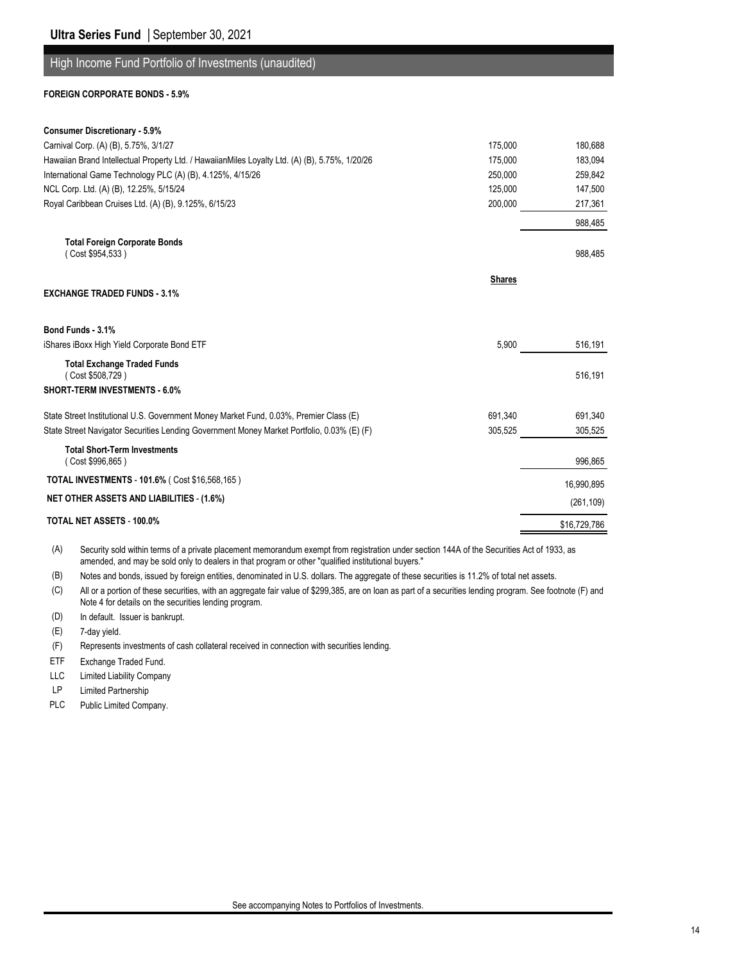#### High Income Fund Portfolio of Investments (unaudited)

#### **FOREIGN CORPORATE BONDS - 5.9%**

| <b>Consumer Discretionary - 5.9%</b>                                                                      |              |
|-----------------------------------------------------------------------------------------------------------|--------------|
| Carnival Corp. (A) (B), 5.75%, 3/1/27<br>175.000                                                          | 180.688      |
| Hawaiian Brand Intellectual Property Ltd. / HawaiianMiles Loyalty Ltd. (A) (B), 5.75%, 1/20/26<br>175,000 | 183,094      |
| International Game Technology PLC (A) (B), 4.125%, 4/15/26<br>250,000                                     | 259,842      |
| NCL Corp. Ltd. (A) (B), 12.25%, 5/15/24<br>125,000                                                        | 147,500      |
| Royal Caribbean Cruises Ltd. (A) (B), 9.125%, 6/15/23<br>200,000                                          | 217,361      |
|                                                                                                           | 988.485      |
| <b>Total Foreign Corporate Bonds</b><br>(Cost \$954,533)                                                  | 988,485      |
| <b>Shares</b><br><b>EXCHANGE TRADED FUNDS - 3.1%</b>                                                      |              |
| Bond Funds - 3.1%                                                                                         |              |
| iShares iBoxx High Yield Corporate Bond ETF<br>5,900                                                      | 516,191      |
| <b>Total Exchange Traded Funds</b><br>(Cost \$508,729)                                                    | 516,191      |
| <b>SHORT-TERM INVESTMENTS - 6.0%</b>                                                                      |              |
| State Street Institutional U.S. Government Money Market Fund, 0.03%, Premier Class (E)<br>691,340         | 691,340      |
| State Street Navigator Securities Lending Government Money Market Portfolio, 0.03% (E) (F)<br>305,525     | 305,525      |
| <b>Total Short-Term Investments</b><br>(Cost \$996,865)                                                   | 996,865      |
| <b>TOTAL INVESTMENTS - 101.6% (Cost \$16,568,165)</b>                                                     | 16,990,895   |
| <b>NET OTHER ASSETS AND LIABILITIES - (1.6%)</b>                                                          | (261, 109)   |
| <b>TOTAL NET ASSETS - 100.0%</b>                                                                          | \$16,729,786 |

(A) Security sold within terms of a private placement memorandum exempt from registration under section 144A of the Securities Act of 1933, as amended, and may be sold only to dealers in that program or other "qualified institutional buyers."

(B) Notes and bonds, issued by foreign entities, denominated in U.S. dollars. The aggregate of these securities is 11.2% of total net assets.

(C) All or a portion of these securities, with an aggregate fair value of \$299,385, are on loan as part of a securities lending program. See footnote (F) and Note 4 for details on the securities lending program.

(D) In default. Issuer is bankrupt.

(E) 7-day yield.

- (F) Represents investments of cash collateral received in connection with securities lending.
- ETF Exchange Traded Fund.

LLC Limited Liability Company

- LP Limited Partnership
- PLC Public Limited Company.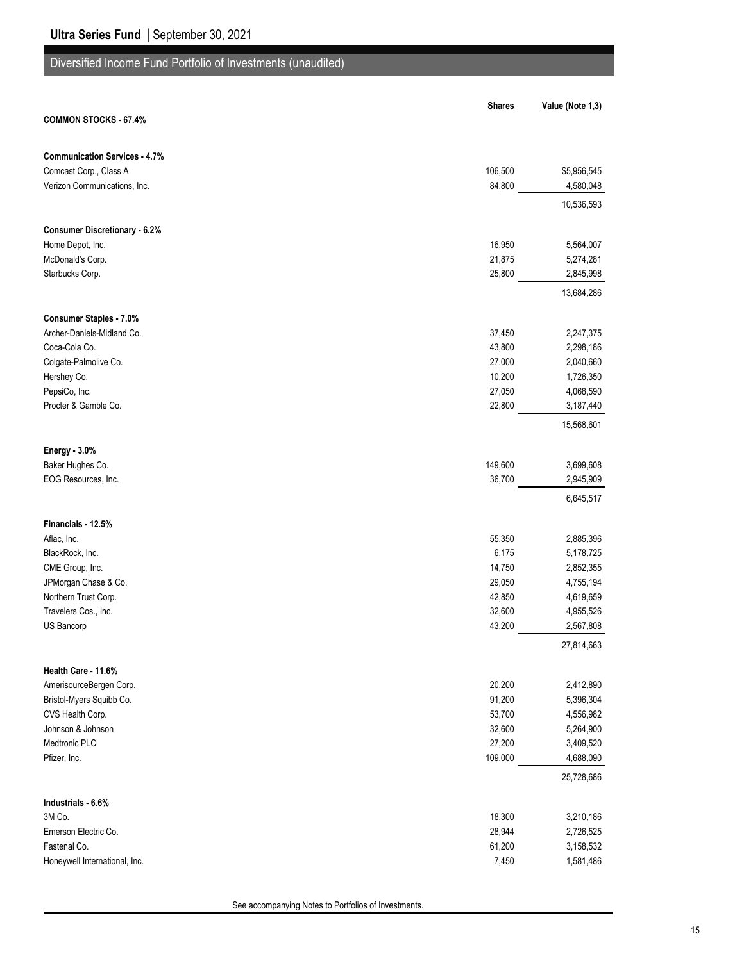# Diversified Income Fund Portfolio of Investments (unaudited)

|                                      | <b>Shares</b>    | Value (Note 1,3)       |
|--------------------------------------|------------------|------------------------|
| <b>COMMON STOCKS - 67.4%</b>         |                  |                        |
|                                      |                  |                        |
| <b>Communication Services - 4.7%</b> |                  |                        |
| Comcast Corp., Class A               | 106,500          | \$5,956,545            |
| Verizon Communications, Inc.         | 84,800           | 4,580,048              |
|                                      |                  | 10,536,593             |
|                                      |                  |                        |
| <b>Consumer Discretionary - 6.2%</b> |                  |                        |
| Home Depot, Inc.                     | 16,950<br>21,875 | 5,564,007              |
| McDonald's Corp.<br>Starbucks Corp.  | 25,800           | 5,274,281<br>2,845,998 |
|                                      |                  |                        |
|                                      |                  | 13,684,286             |
| <b>Consumer Staples - 7.0%</b>       |                  |                        |
| Archer-Daniels-Midland Co.           | 37,450           | 2,247,375              |
| Coca-Cola Co.                        | 43,800           | 2,298,186              |
| Colgate-Palmolive Co.                | 27,000           | 2,040,660              |
| Hershey Co.                          | 10,200           | 1,726,350              |
| PepsiCo, Inc.                        | 27,050           | 4,068,590              |
| Procter & Gamble Co.                 | 22,800           | 3,187,440              |
|                                      |                  | 15,568,601             |
| Energy - 3.0%                        |                  |                        |
| Baker Hughes Co.                     | 149,600          | 3,699,608              |
| EOG Resources, Inc.                  | 36,700           | 2,945,909              |
|                                      |                  | 6,645,517              |
|                                      |                  |                        |
| Financials - 12.5%                   |                  |                        |
| Aflac, Inc.                          | 55,350           | 2,885,396              |
| BlackRock, Inc.                      | 6,175            | 5,178,725              |
| CME Group, Inc.                      | 14,750           | 2,852,355              |
| JPMorgan Chase & Co.                 | 29,050           | 4,755,194              |
| Northern Trust Corp.                 | 42,850           | 4,619,659              |
| Travelers Cos., Inc.<br>US Bancorp   | 32,600<br>43,200 | 4,955,526<br>2,567,808 |
|                                      |                  |                        |
|                                      |                  | 27,814,663             |
| Health Care - 11.6%                  |                  |                        |
| AmerisourceBergen Corp.              | 20,200           | 2,412,890              |
| Bristol-Myers Squibb Co.             | 91,200           | 5,396,304              |
| CVS Health Corp.                     | 53,700           | 4,556,982              |
| Johnson & Johnson                    | 32,600           | 5,264,900              |
| Medtronic PLC                        | 27,200           | 3,409,520              |
| Pfizer, Inc.                         | 109,000          | 4,688,090              |
|                                      |                  | 25,728,686             |
| Industrials - 6.6%                   |                  |                        |
| 3M Co.                               | 18,300           | 3,210,186              |
| Emerson Electric Co.                 | 28,944           | 2,726,525              |
| Fastenal Co.                         | 61,200           | 3,158,532              |
| Honeywell International, Inc.        | 7,450            | 1,581,486              |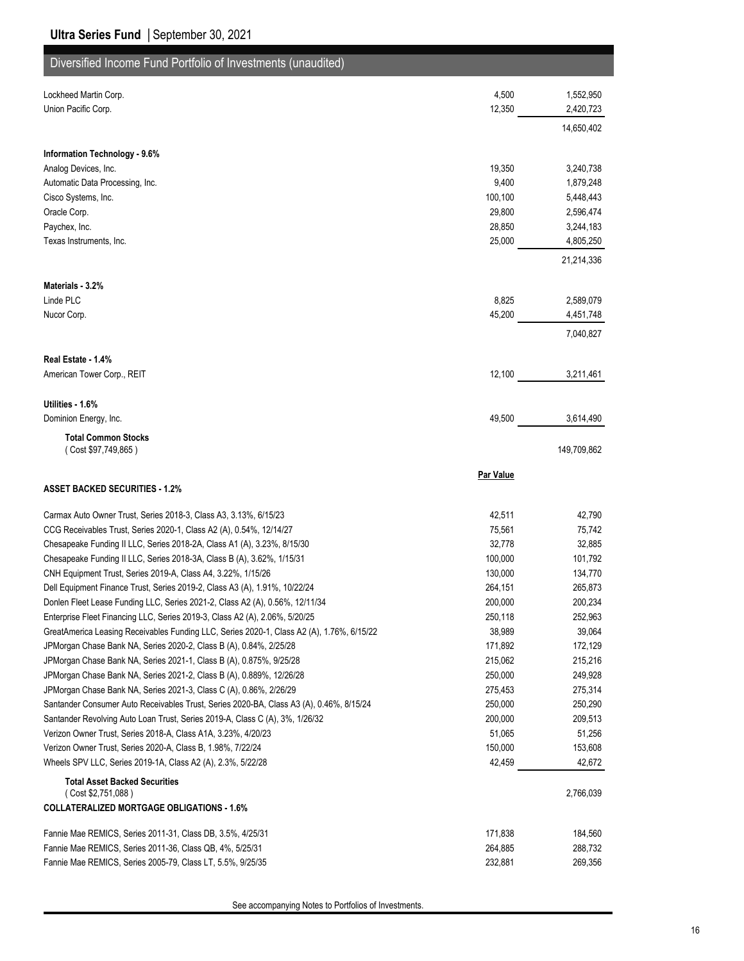| Diversified Income Fund Portfolio of Investments (unaudited)                                                               |                   |                   |
|----------------------------------------------------------------------------------------------------------------------------|-------------------|-------------------|
| Lockheed Martin Corp.                                                                                                      | 4,500             | 1,552,950         |
| Union Pacific Corp.                                                                                                        | 12,350            | 2,420,723         |
|                                                                                                                            |                   | 14,650,402        |
|                                                                                                                            |                   |                   |
| Information Technology - 9.6%<br>Analog Devices, Inc.                                                                      | 19,350            | 3,240,738         |
| Automatic Data Processing, Inc.                                                                                            | 9,400             | 1,879,248         |
| Cisco Systems, Inc.                                                                                                        | 100,100           | 5,448,443         |
| Oracle Corp.                                                                                                               | 29,800            | 2,596,474         |
| Paychex, Inc.                                                                                                              | 28,850            | 3,244,183         |
| Texas Instruments, Inc.                                                                                                    | 25,000            | 4,805,250         |
|                                                                                                                            |                   | 21,214,336        |
| Materials - 3.2%                                                                                                           |                   |                   |
| Linde PLC                                                                                                                  | 8,825             | 2,589,079         |
| Nucor Corp.                                                                                                                | 45,200            | 4,451,748         |
|                                                                                                                            |                   | 7,040,827         |
| Real Estate - 1.4%                                                                                                         |                   |                   |
| American Tower Corp., REIT                                                                                                 | 12,100            | 3,211,461         |
| Utilities - 1.6%                                                                                                           |                   |                   |
| Dominion Energy, Inc.                                                                                                      | 49,500            | 3,614,490         |
|                                                                                                                            |                   |                   |
| <b>Total Common Stocks</b><br>(Cost \$97,749,865)                                                                          |                   | 149,709,862       |
|                                                                                                                            | Par Value         |                   |
| <b>ASSET BACKED SECURITIES - 1.2%</b>                                                                                      |                   |                   |
| Carmax Auto Owner Trust, Series 2018-3, Class A3, 3.13%, 6/15/23                                                           | 42,511            | 42,790            |
| CCG Receivables Trust, Series 2020-1, Class A2 (A), 0.54%, 12/14/27                                                        | 75,561            | 75,742            |
| Chesapeake Funding II LLC, Series 2018-2A, Class A1 (A), 3.23%, 8/15/30                                                    | 32,778            | 32,885            |
| Chesapeake Funding II LLC, Series 2018-3A, Class B (A), 3.62%, 1/15/31                                                     | 100,000           | 101,792           |
| CNH Equipment Trust, Series 2019-A, Class A4, 3.22%, 1/15/26                                                               | 130,000           | 134,770           |
| Dell Equipment Finance Trust, Series 2019-2, Class A3 (A), 1.91%, 10/22/24                                                 | 264,151           | 265,873           |
| Donlen Fleet Lease Funding LLC, Series 2021-2, Class A2 (A), 0.56%, 12/11/34                                               | 200,000           | 200,234           |
| Enterprise Fleet Financing LLC, Series 2019-3, Class A2 (A), 2.06%, 5/20/25                                                | 250,118           | 252,963           |
| GreatAmerica Leasing Receivables Funding LLC, Series 2020-1, Class A2 (A), 1.76%, 6/15/22                                  | 38,989            | 39,064            |
| JPMorgan Chase Bank NA, Series 2020-2, Class B (A), 0.84%, 2/25/28                                                         | 171,892           | 172,129           |
| JPMorgan Chase Bank NA, Series 2021-1, Class B (A), 0.875%, 9/25/28                                                        | 215,062           | 215,216           |
| JPMorgan Chase Bank NA, Series 2021-2, Class B (A), 0.889%, 12/26/28                                                       | 250,000           | 249,928           |
| JPMorgan Chase Bank NA, Series 2021-3, Class C (A), 0.86%, 2/26/29                                                         | 275,453           | 275,314           |
| Santander Consumer Auto Receivables Trust, Series 2020-BA, Class A3 (A), 0.46%, 8/15/24                                    | 250,000           | 250,290           |
| Santander Revolving Auto Loan Trust, Series 2019-A, Class C (A), 3%, 1/26/32                                               | 200,000           | 209,513           |
| Verizon Owner Trust, Series 2018-A, Class A1A, 3.23%, 4/20/23                                                              | 51,065            | 51,256            |
| Verizon Owner Trust, Series 2020-A, Class B, 1.98%, 7/22/24<br>Wheels SPV LLC, Series 2019-1A, Class A2 (A), 2.3%, 5/22/28 | 150,000<br>42,459 | 153,608<br>42,672 |
| <b>Total Asset Backed Securities</b>                                                                                       |                   |                   |
| (Cost \$2,751,088)                                                                                                         |                   | 2,766,039         |
| <b>COLLATERALIZED MORTGAGE OBLIGATIONS - 1.6%</b>                                                                          |                   |                   |
| Fannie Mae REMICS, Series 2011-31, Class DB, 3.5%, 4/25/31                                                                 | 171,838           | 184,560           |
| Fannie Mae REMICS, Series 2011-36, Class QB, 4%, 5/25/31                                                                   | 264,885           | 288,732           |
| Fannie Mae REMICS, Series 2005-79, Class LT, 5.5%, 9/25/35                                                                 | 232,881           | 269,356           |

See accompanying Notes to Portfolios of Investments.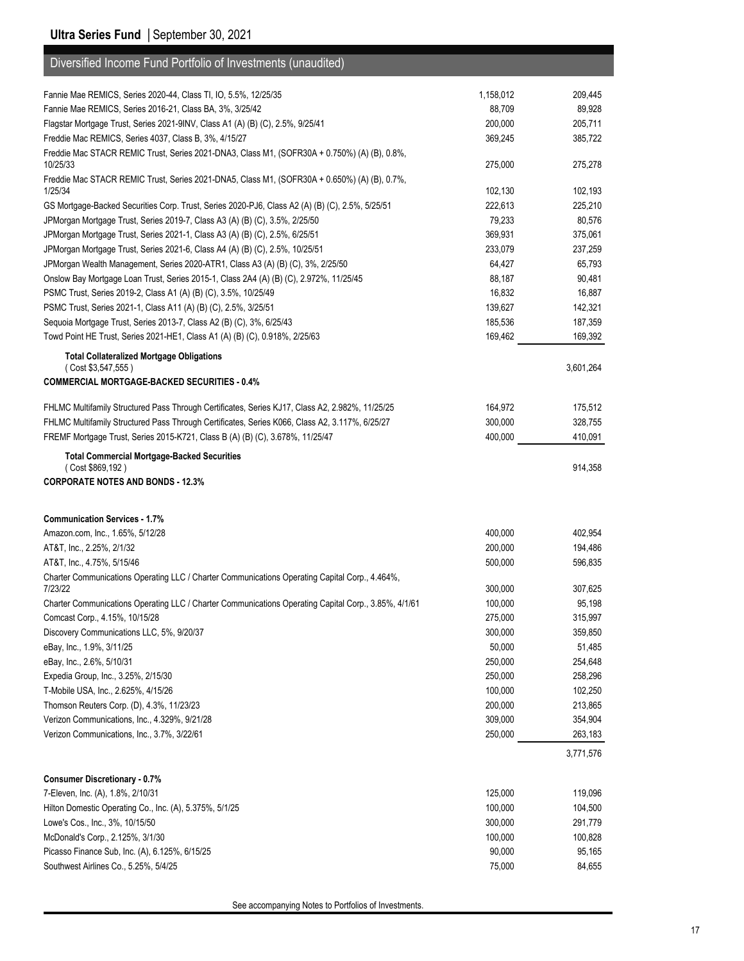| Diversified Income Fund Portfolio of Investments (unaudited)                                         |           |           |
|------------------------------------------------------------------------------------------------------|-----------|-----------|
| Fannie Mae REMICS, Series 2020-44, Class TI, IO, 5.5%, 12/25/35                                      | 1,158,012 | 209,445   |
| Fannie Mae REMICS, Series 2016-21, Class BA, 3%, 3/25/42                                             | 88,709    | 89,928    |
| Flagstar Mortgage Trust, Series 2021-9INV, Class A1 (A) (B) (C), 2.5%, 9/25/41                       | 200,000   | 205,711   |
| Freddie Mac REMICS, Series 4037, Class B, 3%, 4/15/27                                                | 369,245   | 385,722   |
| Freddie Mac STACR REMIC Trust, Series 2021-DNA3, Class M1, (SOFR30A + 0.750%) (A) (B), 0.8%,         |           |           |
| 10/25/33                                                                                             | 275,000   | 275,278   |
| Freddie Mac STACR REMIC Trust, Series 2021-DNA5, Class M1, (SOFR30A + 0.650%) (A) (B), 0.7%,         |           |           |
| 1/25/34                                                                                              | 102,130   | 102,193   |
| GS Mortgage-Backed Securities Corp. Trust, Series 2020-PJ6, Class A2 (A) (B) (C), 2.5%, 5/25/51      | 222,613   | 225,210   |
| JPMorgan Mortgage Trust, Series 2019-7, Class A3 (A) (B) (C), 3.5%, 2/25/50                          | 79,233    | 80,576    |
| JPMorgan Mortgage Trust, Series 2021-1, Class A3 (A) (B) (C), 2.5%, 6/25/51                          | 369,931   | 375,061   |
| JPMorgan Mortgage Trust, Series 2021-6, Class A4 (A) (B) (C), 2.5%, 10/25/51                         | 233,079   | 237,259   |
| JPMorgan Wealth Management, Series 2020-ATR1, Class A3 (A) (B) (C), 3%, 2/25/50                      | 64,427    | 65,793    |
| Onslow Bay Mortgage Loan Trust, Series 2015-1, Class 2A4 (A) (B) (C), 2.972%, 11/25/45               | 88,187    | 90,481    |
| PSMC Trust, Series 2019-2, Class A1 (A) (B) (C), 3.5%, 10/25/49                                      | 16,832    | 16,887    |
| PSMC Trust, Series 2021-1, Class A11 (A) (B) (C), 2.5%, 3/25/51                                      | 139,627   | 142,321   |
| Sequoia Mortgage Trust, Series 2013-7, Class A2 (B) (C), 3%, 6/25/43                                 | 185,536   | 187,359   |
| Towd Point HE Trust, Series 2021-HE1, Class A1 (A) (B) (C), 0.918%, 2/25/63                          | 169,462   | 169,392   |
| <b>Total Collateralized Mortgage Obligations</b>                                                     |           |           |
| (Cost \$3,547,555)                                                                                   |           | 3,601,264 |
| <b>COMMERCIAL MORTGAGE-BACKED SECURITIES - 0.4%</b>                                                  |           |           |
| FHLMC Multifamily Structured Pass Through Certificates, Series KJ17, Class A2, 2.982%, 11/25/25      | 164,972   | 175,512   |
| FHLMC Multifamily Structured Pass Through Certificates, Series K066, Class A2, 3.117%, 6/25/27       | 300,000   | 328,755   |
| FREMF Mortgage Trust, Series 2015-K721, Class B (A) (B) (C), 3.678%, 11/25/47                        | 400,000   | 410,091   |
| <b>Total Commercial Mortgage-Backed Securities</b>                                                   |           |           |
| (Cost \$869,192)                                                                                     |           | 914,358   |
| <b>CORPORATE NOTES AND BONDS - 12.3%</b>                                                             |           |           |
|                                                                                                      |           |           |
| <b>Communication Services - 1.7%</b>                                                                 |           |           |
| Amazon.com, Inc., 1.65%, 5/12/28                                                                     | 400,000   | 402,954   |
| AT&T, Inc., 2.25%, 2/1/32                                                                            | 200,000   | 194,486   |
| AT&T, Inc., 4.75%, 5/15/46                                                                           | 500,000   | 596,835   |
| Charter Communications Operating LLC / Charter Communications Operating Capital Corp., 4.464%,       |           |           |
| 7/23/22                                                                                              | 300,000   | 307,625   |
| Charter Communications Operating LLC / Charter Communications Operating Capital Corp., 3.85%, 4/1/61 | 100,000   | 95,198    |
| Comcast Corp., 4.15%, 10/15/28                                                                       | 275,000   | 315,997   |
| Discovery Communications LLC, 5%, 9/20/37                                                            | 300,000   | 359,850   |
| eBay, Inc., 1.9%, 3/11/25                                                                            | 50,000    | 51,485    |
| eBay, Inc., 2.6%, 5/10/31                                                                            | 250,000   | 254,648   |
| Expedia Group, Inc., 3.25%, 2/15/30                                                                  | 250,000   | 258,296   |
| T-Mobile USA, Inc., 2.625%, 4/15/26                                                                  | 100,000   | 102,250   |
| Thomson Reuters Corp. (D), 4.3%, 11/23/23                                                            | 200,000   | 213,865   |
| Verizon Communications, Inc., 4.329%, 9/21/28                                                        | 309,000   | 354,904   |
| Verizon Communications, Inc., 3.7%, 3/22/61                                                          | 250,000   | 263,183   |
|                                                                                                      |           | 3,771,576 |
| <b>Consumer Discretionary - 0.7%</b>                                                                 |           |           |
| 7-Eleven, Inc. (A), 1.8%, 2/10/31                                                                    | 125,000   | 119,096   |
| Hilton Domestic Operating Co., Inc. (A), 5.375%, 5/1/25                                              | 100,000   | 104,500   |
| Lowe's Cos., Inc., 3%, 10/15/50                                                                      | 300,000   | 291,779   |
| McDonald's Corp., 2.125%, 3/1/30                                                                     | 100,000   | 100,828   |
| Picasso Finance Sub, Inc. (A), 6.125%, 6/15/25                                                       | 90,000    | 95,165    |
| Southwest Airlines Co., 5.25%, 5/4/25                                                                | 75,000    | 84,655    |

See accompanying Notes to Portfolios of Investments.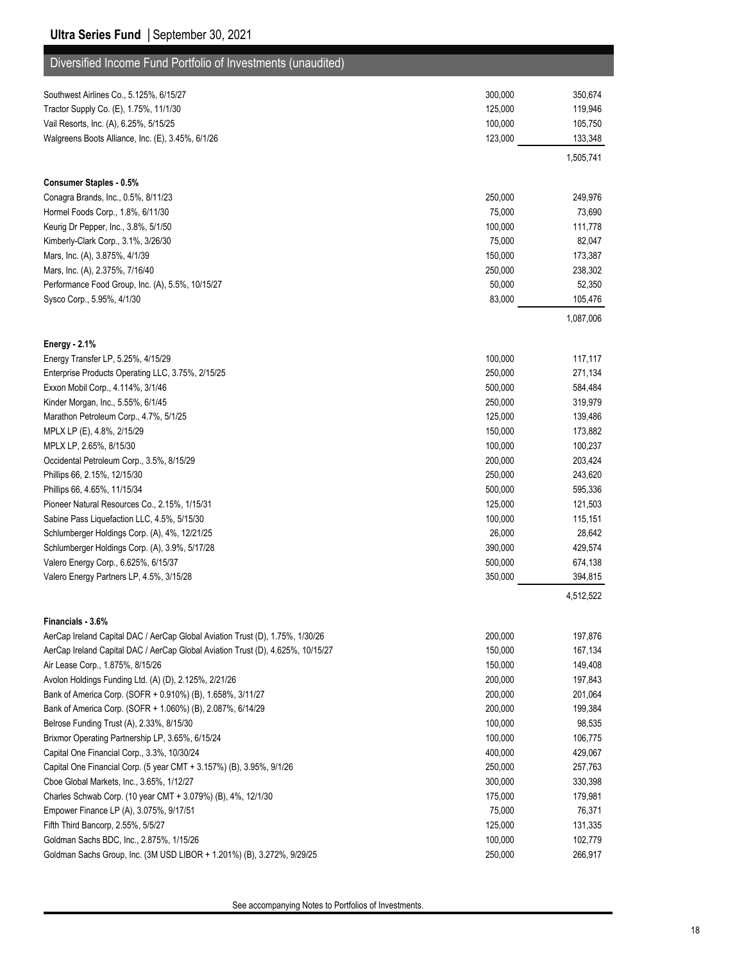#### **Ultra Series Fund** | September 30, 2021

| Diversified Income Fund Portfolio of Investments (unaudited)                                       |         |           |
|----------------------------------------------------------------------------------------------------|---------|-----------|
| Southwest Airlines Co., 5.125%, 6/15/27                                                            | 300,000 | 350,674   |
| Tractor Supply Co. (E), 1.75%, 11/1/30                                                             | 125,000 | 119,946   |
| Vail Resorts, Inc. (A), 6.25%, 5/15/25                                                             | 100,000 | 105,750   |
| Walgreens Boots Alliance, Inc. (E), 3.45%, 6/1/26                                                  | 123,000 | 133,348   |
|                                                                                                    |         | 1,505,741 |
| Consumer Staples - 0.5%                                                                            |         |           |
| Conagra Brands, Inc., 0.5%, 8/11/23                                                                | 250,000 | 249,976   |
| Hormel Foods Corp., 1.8%, 6/11/30                                                                  | 75,000  | 73,690    |
| Keurig Dr Pepper, Inc., 3.8%, 5/1/50                                                               | 100,000 | 111,778   |
| Kimberly-Clark Corp., 3.1%, 3/26/30                                                                | 75,000  | 82,047    |
| Mars, Inc. (A), 3.875%, 4/1/39                                                                     | 150,000 | 173,387   |
| Mars, Inc. (A), 2.375%, 7/16/40                                                                    | 250,000 | 238,302   |
| Performance Food Group, Inc. (A), 5.5%, 10/15/27                                                   | 50,000  | 52,350    |
| Sysco Corp., 5.95%, 4/1/30                                                                         | 83,000  | 105,476   |
|                                                                                                    |         | 1,087,006 |
| <b>Energy - 2.1%</b><br>Energy Transfer LP, 5.25%, 4/15/29                                         | 100,000 | 117,117   |
| Enterprise Products Operating LLC, 3.75%, 2/15/25                                                  | 250,000 | 271,134   |
| Exxon Mobil Corp., 4.114%, 3/1/46                                                                  | 500,000 | 584,484   |
| Kinder Morgan, Inc., 5.55%, 6/1/45                                                                 | 250,000 | 319,979   |
| Marathon Petroleum Corp., 4.7%, 5/1/25                                                             | 125,000 | 139,486   |
| MPLX LP (E), 4.8%, 2/15/29                                                                         | 150,000 | 173,882   |
| MPLX LP, 2.65%, 8/15/30                                                                            | 100,000 | 100,237   |
| Occidental Petroleum Corp., 3.5%, 8/15/29                                                          | 200,000 | 203,424   |
| Phillips 66, 2.15%, 12/15/30                                                                       | 250,000 | 243,620   |
| Phillips 66, 4.65%, 11/15/34                                                                       | 500,000 | 595,336   |
| Pioneer Natural Resources Co., 2.15%, 1/15/31                                                      | 125,000 | 121,503   |
| Sabine Pass Liquefaction LLC, 4.5%, 5/15/30                                                        | 100,000 | 115,151   |
| Schlumberger Holdings Corp. (A), 4%, 12/21/25                                                      | 26,000  | 28,642    |
| Schlumberger Holdings Corp. (A), 3.9%, 5/17/28                                                     | 390,000 | 429,574   |
| Valero Energy Corp., 6.625%, 6/15/37                                                               | 500,000 | 674,138   |
| Valero Energy Partners LP, 4.5%, 3/15/28                                                           | 350,000 | 394,815   |
|                                                                                                    |         | 4,512,522 |
| Financials - 3.6%<br>AerCap Ireland Capital DAC / AerCap Global Aviation Trust (D), 1.75%, 1/30/26 | 200,000 | 197,876   |
| AerCap Ireland Capital DAC / AerCap Global Aviation Trust (D), 4.625%, 10/15/27                    | 150,000 | 167,134   |
| Air Lease Corp., 1.875%, 8/15/26                                                                   | 150,000 | 149,408   |
| Avolon Holdings Funding Ltd. (A) (D), 2.125%, 2/21/26                                              | 200,000 | 197,843   |
| Bank of America Corp. (SOFR + 0.910%) (B), 1.658%, 3/11/27                                         | 200,000 | 201,064   |
| Bank of America Corp. (SOFR + 1.060%) (B), 2.087%, 6/14/29                                         | 200,000 | 199,384   |
| Belrose Funding Trust (A), 2.33%, 8/15/30                                                          | 100,000 | 98,535    |
| Brixmor Operating Partnership LP, 3.65%, 6/15/24                                                   | 100,000 | 106,775   |
| Capital One Financial Corp., 3.3%, 10/30/24                                                        | 400,000 | 429,067   |
| Capital One Financial Corp. (5 year CMT + 3.157%) (B), 3.95%, 9/1/26                               | 250,000 | 257,763   |
| Cboe Global Markets, Inc., 3.65%, 1/12/27                                                          | 300,000 | 330,398   |
| Charles Schwab Corp. (10 year CMT + 3.079%) (B), 4%, 12/1/30                                       | 175,000 | 179,981   |
| Empower Finance LP (A), 3.075%, 9/17/51                                                            | 75,000  | 76,371    |
| Fifth Third Bancorp, 2.55%, 5/5/27                                                                 | 125,000 | 131,335   |
| Goldman Sachs BDC, Inc., 2.875%, 1/15/26                                                           | 100,000 | 102,779   |
| Goldman Sachs Group, Inc. (3M USD LIBOR + 1.201%) (B), 3.272%, 9/29/25                             | 250,000 | 266,917   |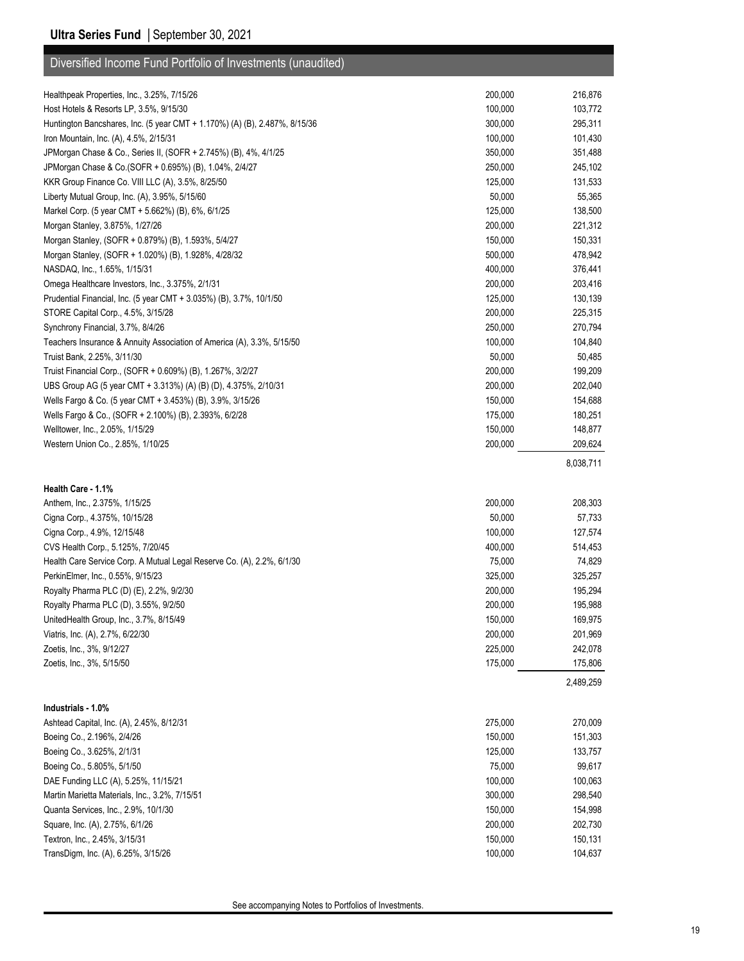| Diversified Income Fund Portfolio of Investments (unaudited)               |         |           |
|----------------------------------------------------------------------------|---------|-----------|
|                                                                            |         |           |
| Healthpeak Properties, Inc., 3.25%, 7/15/26                                | 200,000 | 216,876   |
| Host Hotels & Resorts LP, 3.5%, 9/15/30                                    | 100,000 | 103,772   |
| Huntington Bancshares, Inc. (5 year CMT + 1.170%) (A) (B), 2.487%, 8/15/36 | 300,000 | 295,311   |
| Iron Mountain, Inc. (A), 4.5%, 2/15/31                                     | 100,000 | 101,430   |
| JPMorgan Chase & Co., Series II, (SOFR + 2.745%) (B), 4%, 4/1/25           | 350,000 | 351,488   |
| JPMorgan Chase & Co. (SOFR + 0.695%) (B), 1.04%, 2/4/27                    | 250,000 | 245,102   |
| KKR Group Finance Co. VIII LLC (A), 3.5%, 8/25/50                          | 125,000 | 131,533   |
| Liberty Mutual Group, Inc. (A), 3.95%, 5/15/60                             | 50,000  | 55,365    |
| Markel Corp. (5 year CMT + 5.662%) (B), 6%, 6/1/25                         | 125,000 | 138,500   |
| Morgan Stanley, 3.875%, 1/27/26                                            | 200,000 | 221,312   |
| Morgan Stanley, (SOFR + 0.879%) (B), 1.593%, 5/4/27                        | 150,000 | 150,331   |
| Morgan Stanley, (SOFR + 1.020%) (B), 1.928%, 4/28/32                       | 500,000 | 478,942   |
| NASDAQ, Inc., 1.65%, 1/15/31                                               | 400,000 | 376,441   |
| Omega Healthcare Investors, Inc., 3.375%, 2/1/31                           | 200,000 | 203,416   |
| Prudential Financial, Inc. (5 year CMT + 3.035%) (B), 3.7%, 10/1/50        | 125,000 | 130,139   |
| STORE Capital Corp., 4.5%, 3/15/28                                         | 200,000 | 225,315   |
| Synchrony Financial, 3.7%, 8/4/26                                          | 250,000 | 270,794   |
| Teachers Insurance & Annuity Association of America (A), 3.3%, 5/15/50     | 100,000 | 104,840   |
| Truist Bank, 2.25%, 3/11/30                                                | 50,000  | 50,485    |
| Truist Financial Corp., (SOFR + 0.609%) (B), 1.267%, 3/2/27                | 200,000 | 199,209   |
| UBS Group AG (5 year CMT + 3.313%) (A) (B) (D), 4.375%, 2/10/31            | 200,000 | 202,040   |
| Wells Fargo & Co. (5 year CMT + 3.453%) (B), 3.9%, 3/15/26                 | 150,000 | 154,688   |
| Wells Fargo & Co., (SOFR + 2.100%) (B), 2.393%, 6/2/28                     | 175,000 | 180,251   |
| Welltower, Inc., 2.05%, 1/15/29                                            | 150,000 | 148,877   |
| Western Union Co., 2.85%, 1/10/25                                          | 200,000 | 209,624   |
|                                                                            |         | 8,038,711 |
| Health Care 1.1%                                                           |         |           |
| Anthem, Inc., 2.375%, 1/15/25                                              |         |           |
|                                                                            |         |           |
|                                                                            | 200,000 | 208,303   |
| Cigna Corp., 4.375%, 10/15/28                                              | 50,000  | 57,733    |
| Cigna Corp., 4.9%, 12/15/48                                                | 100,000 | 127,574   |
| CVS Health Corp., 5.125%, 7/20/45                                          | 400,000 | 514,453   |
| Health Care Service Corp. A Mutual Legal Reserve Co. (A), 2.2%, 6/1/30     | 75,000  | 74,829    |
| PerkinElmer, Inc., 0.55%, 9/15/23                                          | 325,000 | 325,257   |
| Royalty Pharma PLC (D) (E), 2.2%, 9/2/30                                   | 200,000 | 195,294   |
| Royalty Pharma PLC (D), 3.55%, 9/2/50                                      | 200,000 | 195,988   |
| UnitedHealth Group, Inc., 3.7%, 8/15/49                                    | 150,000 | 169,975   |
| Viatris, Inc. (A), 2.7%, 6/22/30                                           | 200,000 | 201,969   |
| Zoetis, Inc., 3%, 9/12/27                                                  | 225,000 | 242,078   |
| Zoetis, Inc., 3%, 5/15/50                                                  | 175,000 | 175,806   |
|                                                                            |         | 2,489,259 |
| Industrials - 1.0%                                                         |         |           |
| Ashtead Capital, Inc. (A), 2.45%, 8/12/31                                  | 275,000 | 270,009   |
| Boeing Co., 2.196%, 2/4/26                                                 | 150,000 | 151,303   |
| Boeing Co., 3.625%, 2/1/31                                                 | 125,000 | 133,757   |
| Boeing Co., 5.805%, 5/1/50                                                 | 75,000  | 99,617    |
| DAE Funding LLC (A), 5.25%, 11/15/21                                       | 100,000 | 100,063   |
| Martin Marietta Materials, Inc., 3.2%, 7/15/51                             | 300,000 | 298,540   |
| Quanta Services, Inc., 2.9%, 10/1/30                                       | 150,000 | 154,998   |
| Square, Inc. (A), 2.75%, 6/1/26                                            | 200,000 | 202,730   |
| Textron, Inc., 2.45%, 3/15/31                                              | 150,000 | 150,131   |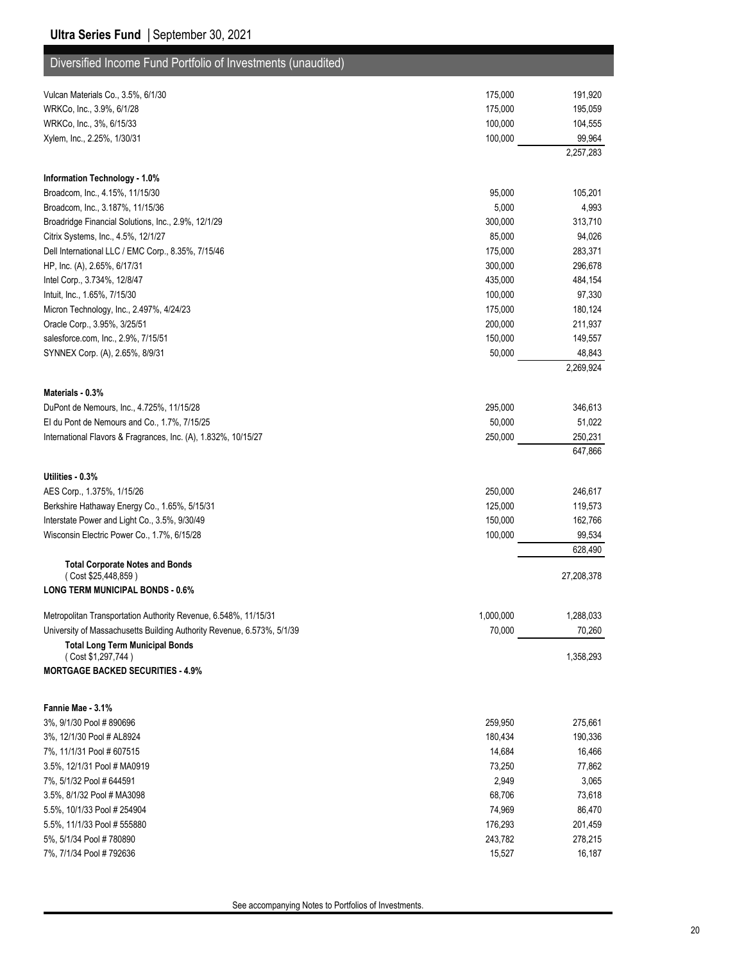| Diversified Income Fund Portfolio of Investments (unaudited)           |                  |                    |
|------------------------------------------------------------------------|------------------|--------------------|
| Vulcan Materials Co., 3.5%, 6/1/30                                     | 175,000          | 191,920            |
| WRKCo, Inc., 3.9%, 6/1/28                                              | 175,000          | 195,059            |
| WRKCo, Inc., 3%, 6/15/33                                               | 100,000          | 104,555            |
| Xylem, Inc., 2.25%, 1/30/31                                            | 100,000          | 99,964             |
|                                                                        |                  | 2,257,283          |
| Information Technology - 1.0%                                          |                  |                    |
| Broadcom, Inc., 4.15%, 11/15/30                                        | 95,000           | 105,201            |
| Broadcom, Inc., 3.187%, 11/15/36                                       | 5,000            | 4,993              |
| Broadridge Financial Solutions, Inc., 2.9%, 12/1/29                    | 300,000          | 313,710            |
| Citrix Systems, Inc., 4.5%, 12/1/27                                    | 85,000           | 94,026             |
| Dell International LLC / EMC Corp., 8.35%, 7/15/46                     | 175,000          | 283,371            |
| HP, Inc. (A), 2.65%, 6/17/31                                           | 300,000          | 296,678            |
| Intel Corp., 3.734%, 12/8/47                                           | 435,000          | 484,154            |
| Intuit, Inc., 1.65%, 7/15/30                                           | 100,000          | 97,330             |
| Micron Technology, Inc., 2.497%, 4/24/23                               | 175,000          | 180,124            |
| Oracle Corp., 3.95%, 3/25/51                                           | 200,000          | 211,937            |
| salesforce.com, Inc., 2.9%, 7/15/51                                    | 150,000          | 149,557            |
| SYNNEX Corp. (A), 2.65%, 8/9/31                                        | 50,000           | 48,843             |
|                                                                        |                  | 2,269,924          |
| Materials - 0.3%                                                       |                  |                    |
| DuPont de Nemours, Inc., 4.725%, 11/15/28                              | 295,000          | 346,613            |
| El du Pont de Nemours and Co., 1.7%, 7/15/25                           | 50,000           | 51,022             |
| International Flavors & Fragrances, Inc. (A), 1.832%, 10/15/27         | 250,000          | 250,231<br>647,866 |
| Utilities - 0.3%                                                       |                  |                    |
| AES Corp., 1.375%, 1/15/26                                             | 250,000          | 246,617            |
| Berkshire Hathaway Energy Co., 1.65%, 5/15/31                          | 125,000          | 119,573            |
| Interstate Power and Light Co., 3.5%, 9/30/49                          | 150,000          | 162,766            |
| Wisconsin Electric Power Co., 1.7%, 6/15/28                            | 100,000          | 99,534             |
|                                                                        |                  | 628,490            |
| <b>Total Corporate Notes and Bonds</b><br>(Cost \$25,448,859)          |                  | 27,208,378         |
| <b>LONG TERM MUNICIPAL BONDS - 0.6%</b>                                |                  |                    |
| Metropolitan Transportation Authority Revenue, 6.548%, 11/15/31        | 1,000,000        | 1,288,033          |
| University of Massachusetts Building Authority Revenue, 6.573%, 5/1/39 | 70,000           | 70,260             |
| <b>Total Long Term Municipal Bonds</b><br>(Cost \$1,297,744)           |                  | 1,358,293          |
| <b>MORTGAGE BACKED SECURITIES - 4.9%</b>                               |                  |                    |
|                                                                        |                  |                    |
| Fannie Mae 3.1%                                                        |                  |                    |
| 3%, 9/1/30 Pool # 890696                                               | 259,950          | 275,661            |
| 3%, 12/1/30 Pool # AL8924                                              | 180,434          | 190,336            |
| 7%, 11/1/31 Pool # 607515<br>3.5%, 12/1/31 Pool # MA0919               | 14,684<br>73,250 | 16,466<br>77,862   |
| 7%, 5/1/32 Pool # 644591                                               | 2,949            | 3,065              |
| 3.5%, 8/1/32 Pool # MA3098                                             | 68,706           | 73,618             |
| 5.5%, 10/1/33 Pool # 254904                                            | 74,969           | 86,470             |
| 5.5%, 11/1/33 Pool # 555880                                            | 176,293          | 201,459            |
| 5%, 5/1/34 Pool # 780890                                               | 243,782          | 278,215            |
| 7%, 7/1/34 Pool # 792636                                               | 15,527           | 16,187             |
|                                                                        |                  |                    |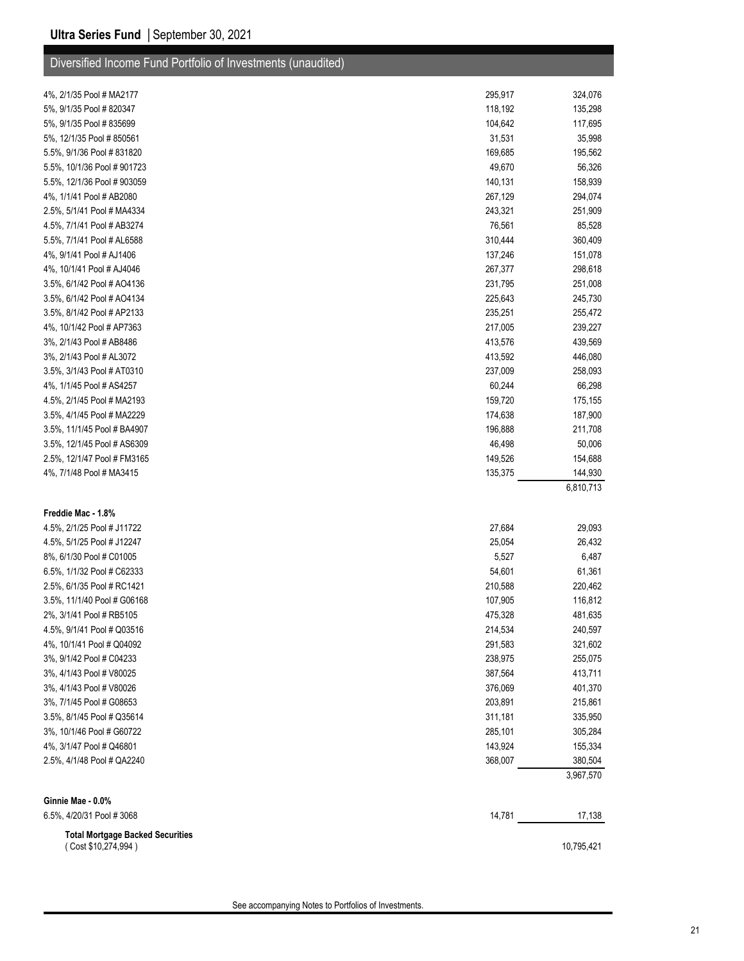| Diversified Income Fund Portfolio of Investments (unaudited)   |         |            |
|----------------------------------------------------------------|---------|------------|
| 4%, 2/1/35 Pool # MA2177                                       | 295,917 | 324,076    |
| 5%, 9/1/35 Pool # 820347                                       | 118,192 | 135,298    |
| 5%, 9/1/35 Pool # 835699                                       | 104,642 | 117,695    |
| 5%, 12/1/35 Pool #850561                                       | 31,531  | 35,998     |
| 5.5%, 9/1/36 Pool # 831820                                     | 169,685 | 195,562    |
| 5.5%, 10/1/36 Pool # 901723                                    | 49,670  | 56,326     |
| 5.5%, 12/1/36 Pool # 903059                                    | 140,131 | 158,939    |
| 4%, 1/1/41 Pool # AB2080                                       | 267,129 | 294,074    |
| 2.5%, 5/1/41 Pool # MA4334                                     | 243,321 | 251,909    |
| 4.5%, 7/1/41 Pool # AB3274                                     | 76,561  | 85,528     |
| 5.5%, 7/1/41 Pool # AL6588                                     | 310,444 | 360,409    |
| 4%, 9/1/41 Pool # AJ1406                                       | 137,246 | 151,078    |
| 4%, 10/1/41 Pool # AJ4046                                      | 267,377 | 298,618    |
| 3.5%, 6/1/42 Pool # AO4136                                     | 231,795 | 251,008    |
| 3.5%, 6/1/42 Pool # AO4134                                     | 225,643 | 245,730    |
| 3.5%, 8/1/42 Pool # AP2133                                     | 235,251 | 255,472    |
| 4%, 10/1/42 Pool # AP7363                                      | 217,005 | 239,227    |
| 3%, 2/1/43 Pool # AB8486                                       | 413,576 | 439,569    |
| 3%, 2/1/43 Pool # AL3072                                       | 413,592 | 446,080    |
| 3.5%, 3/1/43 Pool # AT0310                                     | 237,009 | 258,093    |
| 4%, 1/1/45 Pool # AS4257                                       | 60,244  | 66,298     |
| 4.5%, 2/1/45 Pool # MA2193                                     | 159,720 | 175,155    |
| 3.5%, 4/1/45 Pool # MA2229                                     | 174,638 | 187,900    |
| 3.5%, 11/1/45 Pool # BA4907                                    | 196,888 | 211,708    |
| 3.5%, 12/1/45 Pool # AS6309                                    | 46,498  | 50,006     |
| 2.5%, 12/1/47 Pool # FM3165                                    | 149,526 | 154,688    |
| 4%, 7/1/48 Pool # MA3415                                       | 135,375 | 144,930    |
|                                                                |         | 6,810,713  |
| Freddie Mac - 1.8%                                             |         |            |
| 4.5%, 2/1/25 Pool # J11722                                     | 27,684  | 29,093     |
| 4.5%, 5/1/25 Pool # J12247                                     | 25,054  | 26,432     |
| 8%, 6/1/30 Pool # C01005                                       | 5,527   | 6,487      |
| 6.5%, 1/1/32 Pool # C62333                                     | 54,601  | 61,361     |
| 2.5%, 6/1/35 Pool # RC1421                                     | 210,588 | 220,462    |
| 3.5%, 11/1/40 Pool # G06168                                    | 107,905 | 116,812    |
| 2%, 3/1/41 Pool # RB5105                                       | 475,328 | 481,635    |
| 4.5%, 9/1/41 Pool # Q03516                                     | 214,534 | 240,597    |
| 4%, 10/1/41 Pool # Q04092                                      | 291,583 | 321,602    |
| 3%, 9/1/42 Pool # C04233                                       | 238,975 | 255,075    |
| 3%, 4/1/43 Pool # V80025                                       | 387,564 | 413,711    |
| 3%, 4/1/43 Pool # V80026                                       | 376,069 | 401,370    |
| 3%, 7/1/45 Pool # G08653                                       | 203,891 | 215,861    |
| 3.5%, 8/1/45 Pool # Q35614                                     | 311,181 | 335,950    |
| 3%, 10/1/46 Pool # G60722                                      | 285,101 | 305,284    |
| 4%, 3/1/47 Pool # Q46801                                       | 143,924 | 155,334    |
| 2.5%, 4/1/48 Pool # QA2240                                     | 368,007 | 380,504    |
|                                                                |         | 3,967,570  |
| Ginnie Mae - 0.0%                                              |         |            |
| 6.5%, 4/20/31 Pool #3068                                       | 14,781  | 17,138     |
| <b>Total Mortgage Backed Securities</b><br>(Cost \$10,274,994) |         | 10,795,421 |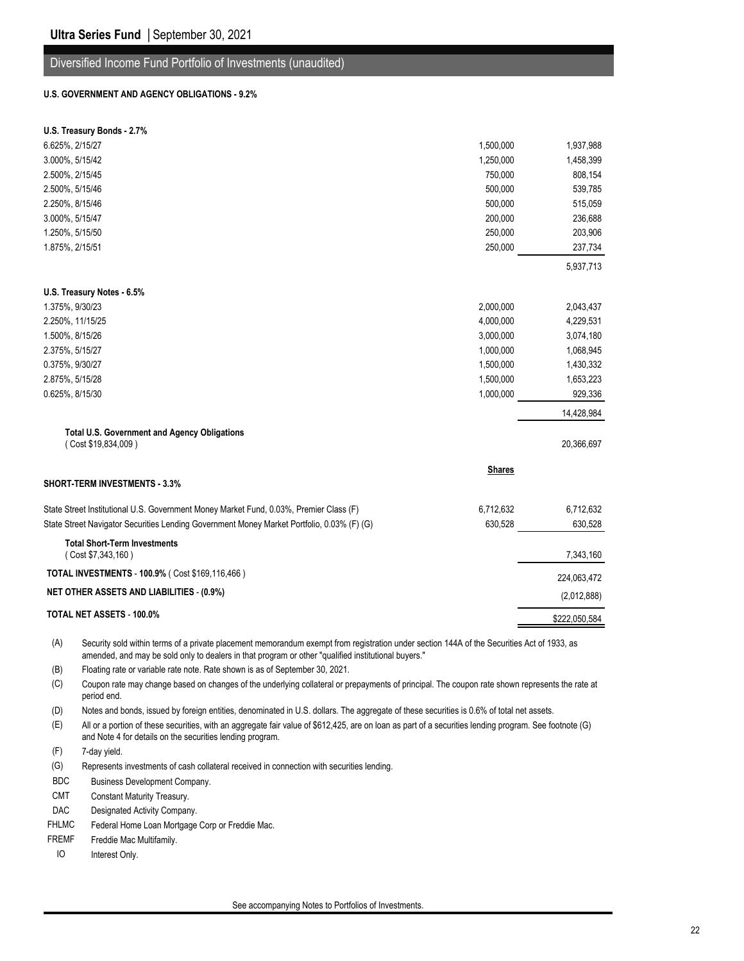#### Diversified Income Fund Portfolio of Investments (unaudited)

#### **U.S. GOVERNMENT AND AGENCY OBLIGATIONS - 9.2%**

|                 | U.S. Treasury Bonds - 2.7%                                                                                                                                                                                                                        |               |               |
|-----------------|---------------------------------------------------------------------------------------------------------------------------------------------------------------------------------------------------------------------------------------------------|---------------|---------------|
| 6.625%, 2/15/27 |                                                                                                                                                                                                                                                   | 1,500,000     | 1,937,988     |
| 3.000%, 5/15/42 |                                                                                                                                                                                                                                                   | 1,250,000     | 1,458,399     |
| 2.500%, 2/15/45 |                                                                                                                                                                                                                                                   | 750,000       | 808,154       |
| 2.500%, 5/15/46 |                                                                                                                                                                                                                                                   | 500,000       | 539,785       |
| 2.250%, 8/15/46 |                                                                                                                                                                                                                                                   | 500,000       | 515,059       |
| 3.000%, 5/15/47 |                                                                                                                                                                                                                                                   | 200,000       | 236,688       |
| 1.250%, 5/15/50 |                                                                                                                                                                                                                                                   | 250,000       | 203,906       |
| 1.875%, 2/15/51 |                                                                                                                                                                                                                                                   | 250,000       | 237,734       |
|                 |                                                                                                                                                                                                                                                   |               | 5,937,713     |
|                 | U.S. Treasury Notes - 6.5%                                                                                                                                                                                                                        |               |               |
| 1.375%, 9/30/23 |                                                                                                                                                                                                                                                   | 2,000,000     | 2,043,437     |
|                 | 2.250%, 11/15/25                                                                                                                                                                                                                                  | 4,000,000     | 4,229,531     |
| 1.500%, 8/15/26 |                                                                                                                                                                                                                                                   | 3,000,000     | 3,074,180     |
| 2.375%, 5/15/27 |                                                                                                                                                                                                                                                   | 1,000,000     | 1,068,945     |
| 0.375%, 9/30/27 |                                                                                                                                                                                                                                                   | 1,500,000     | 1,430,332     |
| 2.875%, 5/15/28 |                                                                                                                                                                                                                                                   | 1,500,000     | 1,653,223     |
| 0.625%, 8/15/30 |                                                                                                                                                                                                                                                   | 1,000,000     | 929,336       |
|                 |                                                                                                                                                                                                                                                   |               | 14,428,984    |
|                 | <b>Total U.S. Government and Agency Obligations</b><br>(Cost \$19,834,009)                                                                                                                                                                        |               | 20,366,697    |
|                 |                                                                                                                                                                                                                                                   | <b>Shares</b> |               |
|                 | <b>SHORT-TERM INVESTMENTS - 3.3%</b>                                                                                                                                                                                                              |               |               |
|                 | State Street Institutional U.S. Government Money Market Fund, 0.03%, Premier Class (F)                                                                                                                                                            | 6,712,632     | 6,712,632     |
|                 | State Street Navigator Securities Lending Government Money Market Portfolio, 0.03% (F) (G)                                                                                                                                                        | 630,528       | 630,528       |
|                 | <b>Total Short-Term Investments</b>                                                                                                                                                                                                               |               |               |
|                 | (Cost \$7,343,160)<br>TOTAL INVESTMENTS - 100.9% ( Cost \$169,116,466)                                                                                                                                                                            |               | 7,343,160     |
|                 |                                                                                                                                                                                                                                                   |               | 224,063,472   |
|                 | <b>NET OTHER ASSETS AND LIABILITIES - (0.9%)</b>                                                                                                                                                                                                  |               | (2,012,888)   |
|                 | TOTAL NET ASSETS - 100.0%                                                                                                                                                                                                                         |               | \$222,050,584 |
| (A)             | Security sold within terms of a private placement memorandum exempt from registration under section 144A of the Securities Act of 1933, as<br>amended, and may be sold only to dealers in that program or other "qualified institutional buyers." |               |               |
| (B)             | Floating rate or variable rate note. Rate shown is as of September 30, 2021.                                                                                                                                                                      |               |               |
| (C)             | Coupon rate may change based on changes of the underlying collateral or prepayments of principal. The coupon rate shown represents the rate at<br>period end.                                                                                     |               |               |

(D) Notes and bonds, issued by foreign entities, denominated in U.S. dollars. The aggregate of these securities is 0.6% of total net assets.

(E) All or a portion of these securities, with an aggregate fair value of \$612,425, are on loan as part of a securities lending program. See footnote (G) and Note 4 for details on the securities lending program.

(F) 7-day yield.

(G) Represents investments of cash collateral received in connection with securities lending.

BDC Business Development Company.

CMT Constant Maturity Treasury.

DAC Designated Activity Company.

FHLMC Federal Home Loan Mortgage Corp or Freddie Mac.

FREMF Freddie Mac Multifamily.

IO Interest Only.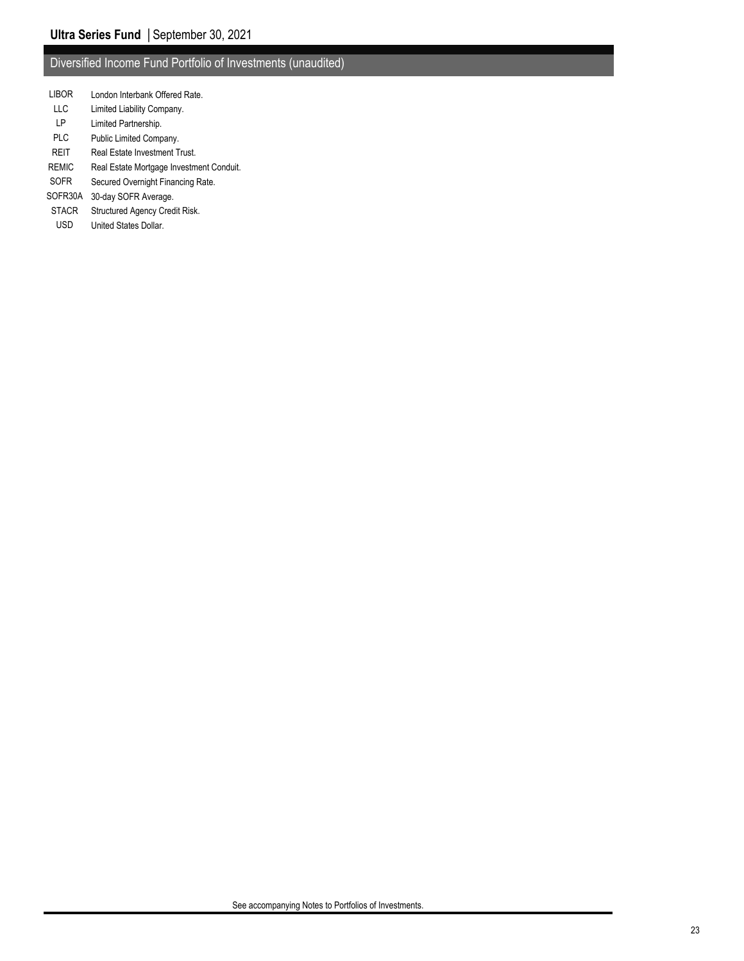### Diversified Income Fund Portfolio of Investments (unaudited)

- LIBOR London Interbank Offered Rate.
- LLC Limited Liability Company.
- LP Limited Partnership.
- PLC Public Limited Company.
- REIT Real Estate Investment Trust.
- REMIC Real Estate Mortgage Investment Conduit.
- SOFR Secured Overnight Financing Rate.
- SOFR30A 30-day SOFR Average.
- STACR Structured Agency Credit Risk.
- USD United States Dollar.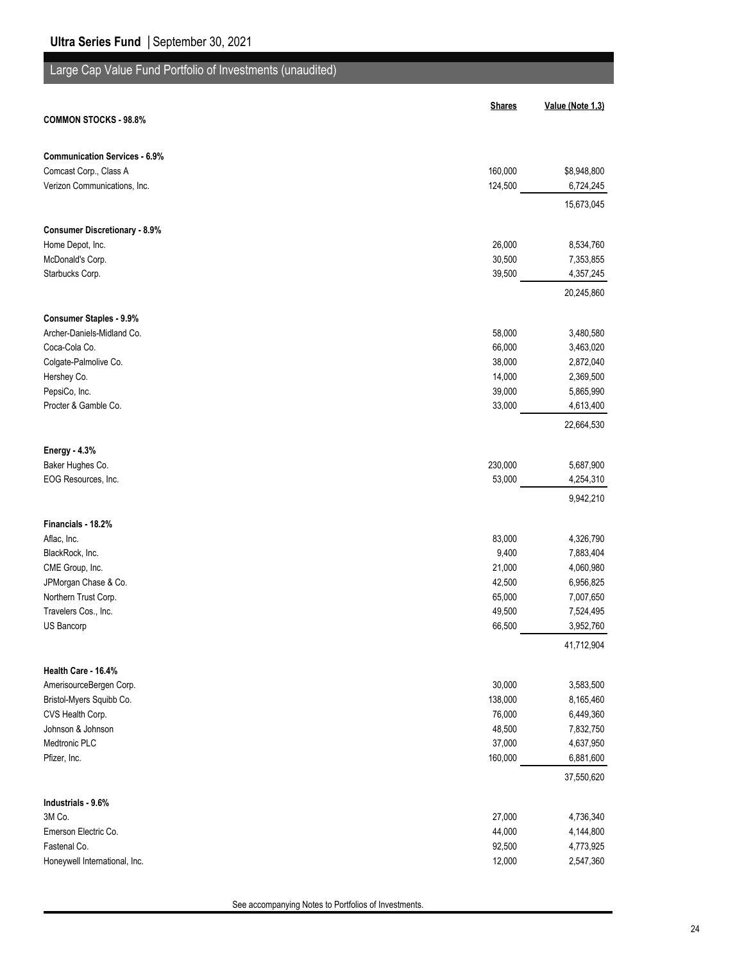# Large Cap Value Fund Portfolio of Investments (unaudited)

|                                      | <b>Shares</b>    | Value (Note 1,3)        |
|--------------------------------------|------------------|-------------------------|
| <b>COMMON STOCKS - 98.8%</b>         |                  |                         |
| <b>Communication Services - 6.9%</b> |                  |                         |
| Comcast Corp., Class A               | 160,000          | \$8,948,800             |
| Verizon Communications, Inc.         | 124,500          | 6,724,245               |
|                                      |                  | 15,673,045              |
| <b>Consumer Discretionary - 8.9%</b> |                  |                         |
| Home Depot, Inc.                     | 26,000           | 8,534,760               |
| McDonald's Corp.                     | 30,500           | 7,353,855               |
| Starbucks Corp.                      | 39,500           | 4,357,245<br>20,245,860 |
| <b>Consumer Staples - 9.9%</b>       |                  |                         |
| Archer-Daniels-Midland Co.           | 58,000           | 3,480,580               |
| Coca-Cola Co.                        | 66,000           | 3,463,020               |
| Colgate-Palmolive Co.                | 38,000           | 2,872,040               |
| Hershey Co.                          | 14,000           | 2,369,500               |
| PepsiCo, Inc.                        | 39,000           | 5,865,990               |
| Procter & Gamble Co.                 | 33,000           | 4,613,400               |
|                                      |                  | 22,664,530              |
| <b>Energy - 4.3%</b>                 |                  |                         |
| Baker Hughes Co.                     | 230,000          | 5,687,900               |
| EOG Resources, Inc.                  | 53,000           | 4,254,310               |
|                                      |                  | 9,942,210               |
| Financials - 18.2%                   |                  |                         |
| Aflac, Inc.                          | 83,000           | 4,326,790               |
| BlackRock, Inc.                      | 9,400            | 7,883,404               |
| CME Group, Inc.                      | 21,000           | 4,060,980               |
| JPMorgan Chase & Co.                 | 42,500           | 6,956,825               |
| Northern Trust Corp.                 | 65,000           | 7,007,650               |
| Travelers Cos., Inc.<br>US Bancorp   | 49,500<br>66,500 | 7,524,495<br>3,952,760  |
|                                      |                  | 41,712,904              |
| Health Care - 16.4%                  |                  |                         |
| AmerisourceBergen Corp.              | 30,000           | 3,583,500               |
| Bristol-Myers Squibb Co.             | 138,000          | 8,165,460               |
| CVS Health Corp.                     | 76,000           | 6,449,360               |
| Johnson & Johnson                    | 48,500           | 7,832,750               |
| Medtronic PLC                        | 37,000           | 4,637,950               |
| Pfizer, Inc.                         | 160,000          | 6,881,600               |
|                                      |                  | 37,550,620              |
| Industrials - 9.6%                   |                  |                         |
| 3M Co.<br>Emerson Electric Co.       | 27,000<br>44,000 | 4,736,340               |
| Fastenal Co.                         | 92,500           | 4,144,800<br>4,773,925  |
| Honeywell International, Inc.        | 12,000           | 2,547,360               |
|                                      |                  |                         |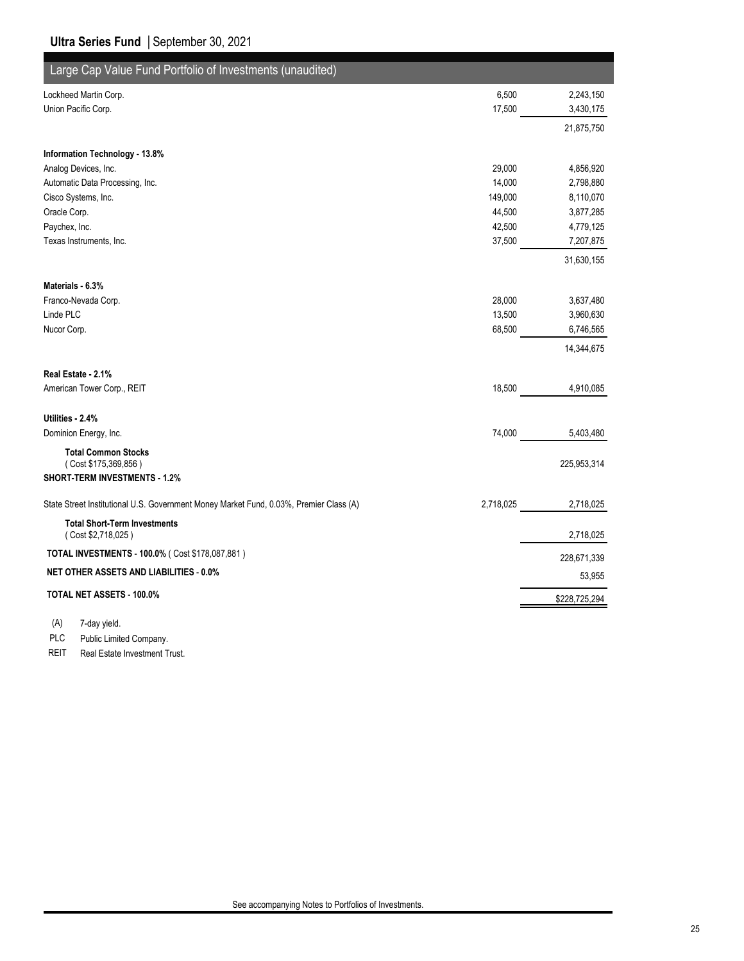| Large Cap Value Fund Portfolio of Investments (unaudited)                              |           |               |
|----------------------------------------------------------------------------------------|-----------|---------------|
| Lockheed Martin Corp.                                                                  | 6,500     | 2,243,150     |
| Union Pacific Corp.                                                                    | 17,500    | 3,430,175     |
|                                                                                        |           | 21,875,750    |
| Information Technology - 13.8%                                                         |           |               |
| Analog Devices, Inc.                                                                   | 29,000    | 4,856,920     |
| Automatic Data Processing, Inc.                                                        | 14,000    | 2,798,880     |
| Cisco Systems, Inc.                                                                    | 149,000   | 8,110,070     |
| Oracle Corp.                                                                           | 44,500    | 3,877,285     |
| Paychex, Inc.                                                                          | 42,500    | 4,779,125     |
| Texas Instruments, Inc.                                                                | 37,500    | 7,207,875     |
|                                                                                        |           | 31,630,155    |
| Materials - 6.3%                                                                       |           |               |
| Franco-Nevada Corp.                                                                    | 28,000    | 3,637,480     |
| Linde PLC                                                                              | 13,500    | 3,960,630     |
| Nucor Corp.                                                                            | 68,500    | 6,746,565     |
|                                                                                        |           | 14,344,675    |
| Real Estate - 2.1%                                                                     |           |               |
| American Tower Corp., REIT                                                             | 18,500    | 4,910,085     |
| Utilities - 2.4%                                                                       |           |               |
| Dominion Energy, Inc.                                                                  | 74,000    | 5,403,480     |
| <b>Total Common Stocks</b><br>(Cost \$175,369,856)<br>SHORT-TERM INVESTMENTS - 1.2%    |           | 225,953,314   |
| State Street Institutional U.S. Government Money Market Fund, 0.03%, Premier Class (A) | 2,718,025 | 2,718,025     |
| <b>Total Short-Term Investments</b><br>(Cost \$2,718,025)                              |           | 2,718,025     |
| TOTAL INVESTMENTS - 100.0% ( Cost \$178,087,881)                                       |           | 228,671,339   |
| NET OTHER ASSETS AND LIABILITIES - 0.0%                                                |           | 53,955        |
| TOTAL NET ASSETS - 100.0%                                                              |           | \$228,725,294 |
|                                                                                        |           |               |

(A) 7-day yield.

PLC Public Limited Company.

REIT Real Estate Investment Trust.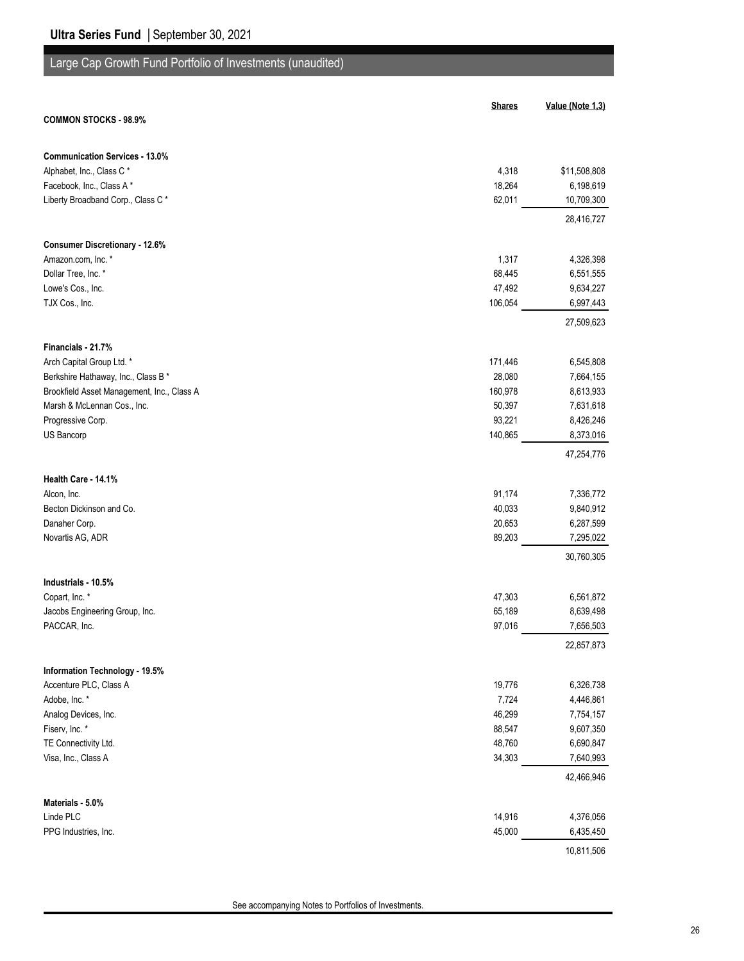# Large Cap Growth Fund Portfolio of Investments (unaudited)

|                                            | <b>Shares</b> | Value (Note 1,3) |
|--------------------------------------------|---------------|------------------|
| <b>COMMON STOCKS - 98.9%</b>               |               |                  |
| <b>Communication Services - 13.0%</b>      |               |                  |
| Alphabet, Inc., Class C*                   | 4,318         | \$11,508,808     |
| Facebook, Inc., Class A*                   | 18,264        | 6,198,619        |
| Liberty Broadband Corp., Class C*          | 62,011        | 10,709,300       |
|                                            |               | 28,416,727       |
| <b>Consumer Discretionary - 12.6%</b>      |               |                  |
| Amazon.com, Inc. *                         | 1,317         | 4,326,398        |
| Dollar Tree, Inc. *                        | 68,445        | 6,551,555        |
| Lowe's Cos., Inc.                          | 47,492        | 9,634,227        |
| TJX Cos., Inc.                             | 106,054       | 6,997,443        |
|                                            |               | 27,509,623       |
| Financials - 21.7%                         |               |                  |
| Arch Capital Group Ltd. *                  | 171,446       | 6,545,808        |
| Berkshire Hathaway, Inc., Class B *        | 28,080        | 7,664,155        |
| Brookfield Asset Management, Inc., Class A | 160,978       | 8,613,933        |
| Marsh & McLennan Cos., Inc.                | 50,397        | 7,631,618        |
| Progressive Corp.                          | 93,221        | 8,426,246        |
| US Bancorp                                 | 140,865       | 8,373,016        |
|                                            |               | 47,254,776       |
| Health Care - 14.1%                        |               |                  |
| Alcon, Inc.                                | 91,174        | 7,336,772        |
| Becton Dickinson and Co.                   | 40,033        | 9,840,912        |
| Danaher Corp.                              | 20,653        | 6,287,599        |
| Novartis AG, ADR                           | 89,203        | 7,295,022        |
|                                            |               | 30,760,305       |
| Industrials - 10.5%                        |               |                  |
| Copart, Inc. *                             | 47,303        | 6,561,872        |
| Jacobs Engineering Group, Inc.             | 65,189        | 8,639,498        |
| PACCAR, Inc.                               | 97,016        | 7,656,503        |
|                                            |               | 22,857,873       |
| Information Technology - 19.5%             |               |                  |
| Accenture PLC, Class A                     | 19,776        | 6,326,738        |
| Adobe, Inc. *                              | 7,724         | 4,446,861        |
| Analog Devices, Inc.                       | 46,299        | 7,754,157        |
| Fiserv, Inc. *                             | 88,547        | 9,607,350        |
| TE Connectivity Ltd.                       | 48,760        | 6,690,847        |
| Visa, Inc., Class A                        | 34,303        | 7,640,993        |
|                                            |               | 42,466,946       |
| Materials - 5.0%                           |               |                  |
| Linde PLC                                  | 14,916        | 4,376,056        |
| PPG Industries, Inc.                       | 45,000        | 6,435,450        |
|                                            |               | 10,811,506       |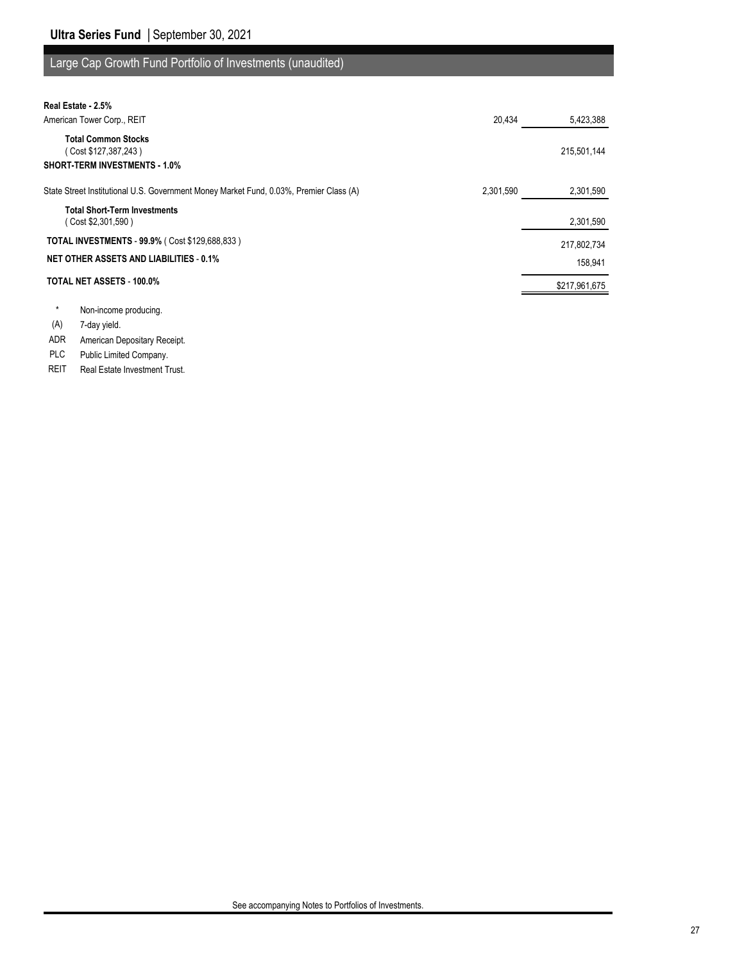## Large Cap Growth Fund Portfolio of Investments (unaudited)

| Real Estate - 2.5%                                                                         |           |               |
|--------------------------------------------------------------------------------------------|-----------|---------------|
| American Tower Corp., REIT                                                                 | 20,434    | 5,423,388     |
| <b>Total Common Stocks</b><br>(Cost \$127,387,243)<br><b>SHORT-TERM INVESTMENTS - 1.0%</b> |           | 215,501,144   |
| State Street Institutional U.S. Government Money Market Fund, 0.03%, Premier Class (A)     | 2,301,590 | 2,301,590     |
| <b>Total Short-Term Investments</b><br>(Cost \$2,301,590)                                  |           | 2,301,590     |
| <b>TOTAL INVESTMENTS - 99.9% (Cost \$129,688,833)</b>                                      |           | 217,802,734   |
| <b>NET OTHER ASSETS AND LIABILITIES - 0.1%</b>                                             |           | 158,941       |
| <b>TOTAL NET ASSETS - 100.0%</b>                                                           |           | \$217,961,675 |
| Non-income producing.                                                                      |           |               |

(A) 7-day yield.

ADR American Depositary Receipt.

PLC Public Limited Company.

REIT Real Estate Investment Trust.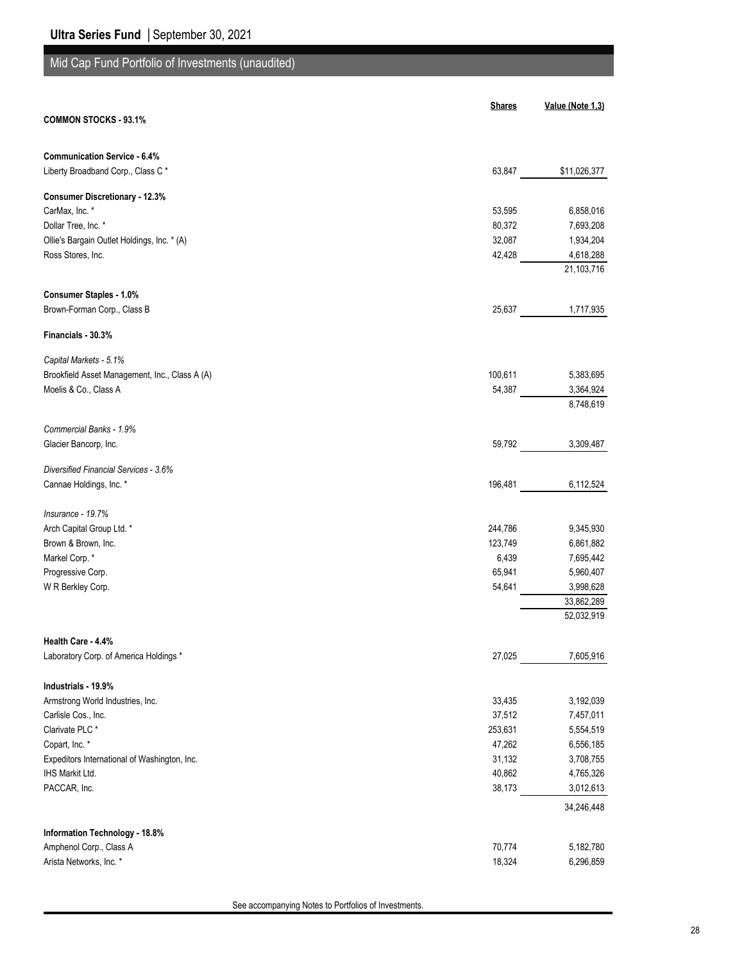# Mid Cap Fund Portfolio of Investments (unaudited)

| <b>COMMON STOCKS - 93.1%</b><br>Liberty Broadband Corp., Class C*<br>63,847<br>\$11,026,377<br>CarMax, Inc. *<br>53,595<br>6,858,016<br>Dollar Tree, Inc. *<br>80,372<br>7,693,208<br>Ollie's Bargain Outlet Holdings, Inc. * (A)<br>32,087<br>1,934,204<br>Ross Stores, Inc.<br>42,428<br>4,618,288<br>21,103,716<br><b>Consumer Staples - 1.0%</b><br>Brown-Forman Corp., Class B<br>25,637<br>1,717,935<br>Financials - 30.3%<br>Brookfield Asset Management, Inc., Class A (A)<br>100,611<br>5,383,695<br>Moelis & Co., Class A<br>3,364,924<br>54,387<br>8,748,619<br>Commercial Banks - 1.9%<br>59,792<br>3,309,487<br>Diversified Financial Services - 3.6%<br>6,112,524<br>196,481<br>Insurance - 19.7%<br>Arch Capital Group Ltd. *<br>9,345,930<br>244,786<br>Brown & Brown, Inc.<br>123,749<br>6,861,882<br>Markel Corp.*<br>6,439<br>7,695,442<br>65,941<br>Progressive Corp.<br>5,960,407<br>54,641<br>3,998,628<br>W R Berkley Corp.<br>33,862,289<br>52,032,919<br>Health Care - 4.4%<br>27,025<br>7,605,916<br>Industrials - 19.9%<br>Armstrong World Industries, Inc.<br>3,192,039<br>33,435<br>Carlisle Cos., Inc.<br>37,512<br>7,457,011<br>Clarivate PLC <sup>*</sup><br>253,631<br>5,554,519<br>Copart, Inc. *<br>47,262<br>6,556,185<br>Expeditors International of Washington, Inc.<br>31,132<br>3,708,755<br>40,862<br>4,765,326<br>38,173<br>3,012,613<br>34,246,448<br>70,774<br>5,182,780<br>18,324<br>6,296,859 |                                        | <b>Shares</b> | Value (Note 1,3) |
|---------------------------------------------------------------------------------------------------------------------------------------------------------------------------------------------------------------------------------------------------------------------------------------------------------------------------------------------------------------------------------------------------------------------------------------------------------------------------------------------------------------------------------------------------------------------------------------------------------------------------------------------------------------------------------------------------------------------------------------------------------------------------------------------------------------------------------------------------------------------------------------------------------------------------------------------------------------------------------------------------------------------------------------------------------------------------------------------------------------------------------------------------------------------------------------------------------------------------------------------------------------------------------------------------------------------------------------------------------------------------------------------------------------------------------------------|----------------------------------------|---------------|------------------|
|                                                                                                                                                                                                                                                                                                                                                                                                                                                                                                                                                                                                                                                                                                                                                                                                                                                                                                                                                                                                                                                                                                                                                                                                                                                                                                                                                                                                                                             |                                        |               |                  |
|                                                                                                                                                                                                                                                                                                                                                                                                                                                                                                                                                                                                                                                                                                                                                                                                                                                                                                                                                                                                                                                                                                                                                                                                                                                                                                                                                                                                                                             | <b>Communication Service - 6.4%</b>    |               |                  |
|                                                                                                                                                                                                                                                                                                                                                                                                                                                                                                                                                                                                                                                                                                                                                                                                                                                                                                                                                                                                                                                                                                                                                                                                                                                                                                                                                                                                                                             |                                        |               |                  |
|                                                                                                                                                                                                                                                                                                                                                                                                                                                                                                                                                                                                                                                                                                                                                                                                                                                                                                                                                                                                                                                                                                                                                                                                                                                                                                                                                                                                                                             | <b>Consumer Discretionary - 12.3%</b>  |               |                  |
|                                                                                                                                                                                                                                                                                                                                                                                                                                                                                                                                                                                                                                                                                                                                                                                                                                                                                                                                                                                                                                                                                                                                                                                                                                                                                                                                                                                                                                             |                                        |               |                  |
|                                                                                                                                                                                                                                                                                                                                                                                                                                                                                                                                                                                                                                                                                                                                                                                                                                                                                                                                                                                                                                                                                                                                                                                                                                                                                                                                                                                                                                             |                                        |               |                  |
|                                                                                                                                                                                                                                                                                                                                                                                                                                                                                                                                                                                                                                                                                                                                                                                                                                                                                                                                                                                                                                                                                                                                                                                                                                                                                                                                                                                                                                             |                                        |               |                  |
|                                                                                                                                                                                                                                                                                                                                                                                                                                                                                                                                                                                                                                                                                                                                                                                                                                                                                                                                                                                                                                                                                                                                                                                                                                                                                                                                                                                                                                             |                                        |               |                  |
|                                                                                                                                                                                                                                                                                                                                                                                                                                                                                                                                                                                                                                                                                                                                                                                                                                                                                                                                                                                                                                                                                                                                                                                                                                                                                                                                                                                                                                             |                                        |               |                  |
|                                                                                                                                                                                                                                                                                                                                                                                                                                                                                                                                                                                                                                                                                                                                                                                                                                                                                                                                                                                                                                                                                                                                                                                                                                                                                                                                                                                                                                             |                                        |               |                  |
|                                                                                                                                                                                                                                                                                                                                                                                                                                                                                                                                                                                                                                                                                                                                                                                                                                                                                                                                                                                                                                                                                                                                                                                                                                                                                                                                                                                                                                             |                                        |               |                  |
|                                                                                                                                                                                                                                                                                                                                                                                                                                                                                                                                                                                                                                                                                                                                                                                                                                                                                                                                                                                                                                                                                                                                                                                                                                                                                                                                                                                                                                             |                                        |               |                  |
|                                                                                                                                                                                                                                                                                                                                                                                                                                                                                                                                                                                                                                                                                                                                                                                                                                                                                                                                                                                                                                                                                                                                                                                                                                                                                                                                                                                                                                             | Capital Markets - 5.1%                 |               |                  |
|                                                                                                                                                                                                                                                                                                                                                                                                                                                                                                                                                                                                                                                                                                                                                                                                                                                                                                                                                                                                                                                                                                                                                                                                                                                                                                                                                                                                                                             |                                        |               |                  |
|                                                                                                                                                                                                                                                                                                                                                                                                                                                                                                                                                                                                                                                                                                                                                                                                                                                                                                                                                                                                                                                                                                                                                                                                                                                                                                                                                                                                                                             |                                        |               |                  |
|                                                                                                                                                                                                                                                                                                                                                                                                                                                                                                                                                                                                                                                                                                                                                                                                                                                                                                                                                                                                                                                                                                                                                                                                                                                                                                                                                                                                                                             |                                        |               |                  |
|                                                                                                                                                                                                                                                                                                                                                                                                                                                                                                                                                                                                                                                                                                                                                                                                                                                                                                                                                                                                                                                                                                                                                                                                                                                                                                                                                                                                                                             |                                        |               |                  |
|                                                                                                                                                                                                                                                                                                                                                                                                                                                                                                                                                                                                                                                                                                                                                                                                                                                                                                                                                                                                                                                                                                                                                                                                                                                                                                                                                                                                                                             | Glacier Bancorp, Inc.                  |               |                  |
|                                                                                                                                                                                                                                                                                                                                                                                                                                                                                                                                                                                                                                                                                                                                                                                                                                                                                                                                                                                                                                                                                                                                                                                                                                                                                                                                                                                                                                             |                                        |               |                  |
|                                                                                                                                                                                                                                                                                                                                                                                                                                                                                                                                                                                                                                                                                                                                                                                                                                                                                                                                                                                                                                                                                                                                                                                                                                                                                                                                                                                                                                             | Cannae Holdings, Inc. *                |               |                  |
|                                                                                                                                                                                                                                                                                                                                                                                                                                                                                                                                                                                                                                                                                                                                                                                                                                                                                                                                                                                                                                                                                                                                                                                                                                                                                                                                                                                                                                             |                                        |               |                  |
|                                                                                                                                                                                                                                                                                                                                                                                                                                                                                                                                                                                                                                                                                                                                                                                                                                                                                                                                                                                                                                                                                                                                                                                                                                                                                                                                                                                                                                             |                                        |               |                  |
|                                                                                                                                                                                                                                                                                                                                                                                                                                                                                                                                                                                                                                                                                                                                                                                                                                                                                                                                                                                                                                                                                                                                                                                                                                                                                                                                                                                                                                             |                                        |               |                  |
|                                                                                                                                                                                                                                                                                                                                                                                                                                                                                                                                                                                                                                                                                                                                                                                                                                                                                                                                                                                                                                                                                                                                                                                                                                                                                                                                                                                                                                             |                                        |               |                  |
|                                                                                                                                                                                                                                                                                                                                                                                                                                                                                                                                                                                                                                                                                                                                                                                                                                                                                                                                                                                                                                                                                                                                                                                                                                                                                                                                                                                                                                             |                                        |               |                  |
|                                                                                                                                                                                                                                                                                                                                                                                                                                                                                                                                                                                                                                                                                                                                                                                                                                                                                                                                                                                                                                                                                                                                                                                                                                                                                                                                                                                                                                             |                                        |               |                  |
|                                                                                                                                                                                                                                                                                                                                                                                                                                                                                                                                                                                                                                                                                                                                                                                                                                                                                                                                                                                                                                                                                                                                                                                                                                                                                                                                                                                                                                             |                                        |               |                  |
|                                                                                                                                                                                                                                                                                                                                                                                                                                                                                                                                                                                                                                                                                                                                                                                                                                                                                                                                                                                                                                                                                                                                                                                                                                                                                                                                                                                                                                             |                                        |               |                  |
|                                                                                                                                                                                                                                                                                                                                                                                                                                                                                                                                                                                                                                                                                                                                                                                                                                                                                                                                                                                                                                                                                                                                                                                                                                                                                                                                                                                                                                             |                                        |               |                  |
|                                                                                                                                                                                                                                                                                                                                                                                                                                                                                                                                                                                                                                                                                                                                                                                                                                                                                                                                                                                                                                                                                                                                                                                                                                                                                                                                                                                                                                             | Laboratory Corp. of America Holdings * |               |                  |
|                                                                                                                                                                                                                                                                                                                                                                                                                                                                                                                                                                                                                                                                                                                                                                                                                                                                                                                                                                                                                                                                                                                                                                                                                                                                                                                                                                                                                                             |                                        |               |                  |
|                                                                                                                                                                                                                                                                                                                                                                                                                                                                                                                                                                                                                                                                                                                                                                                                                                                                                                                                                                                                                                                                                                                                                                                                                                                                                                                                                                                                                                             |                                        |               |                  |
|                                                                                                                                                                                                                                                                                                                                                                                                                                                                                                                                                                                                                                                                                                                                                                                                                                                                                                                                                                                                                                                                                                                                                                                                                                                                                                                                                                                                                                             |                                        |               |                  |
|                                                                                                                                                                                                                                                                                                                                                                                                                                                                                                                                                                                                                                                                                                                                                                                                                                                                                                                                                                                                                                                                                                                                                                                                                                                                                                                                                                                                                                             |                                        |               |                  |
|                                                                                                                                                                                                                                                                                                                                                                                                                                                                                                                                                                                                                                                                                                                                                                                                                                                                                                                                                                                                                                                                                                                                                                                                                                                                                                                                                                                                                                             |                                        |               |                  |
|                                                                                                                                                                                                                                                                                                                                                                                                                                                                                                                                                                                                                                                                                                                                                                                                                                                                                                                                                                                                                                                                                                                                                                                                                                                                                                                                                                                                                                             |                                        |               |                  |
|                                                                                                                                                                                                                                                                                                                                                                                                                                                                                                                                                                                                                                                                                                                                                                                                                                                                                                                                                                                                                                                                                                                                                                                                                                                                                                                                                                                                                                             | IHS Markit Ltd.                        |               |                  |
|                                                                                                                                                                                                                                                                                                                                                                                                                                                                                                                                                                                                                                                                                                                                                                                                                                                                                                                                                                                                                                                                                                                                                                                                                                                                                                                                                                                                                                             | PACCAR, Inc.                           |               |                  |
|                                                                                                                                                                                                                                                                                                                                                                                                                                                                                                                                                                                                                                                                                                                                                                                                                                                                                                                                                                                                                                                                                                                                                                                                                                                                                                                                                                                                                                             |                                        |               |                  |
|                                                                                                                                                                                                                                                                                                                                                                                                                                                                                                                                                                                                                                                                                                                                                                                                                                                                                                                                                                                                                                                                                                                                                                                                                                                                                                                                                                                                                                             | Information Technology - 18.8%         |               |                  |
|                                                                                                                                                                                                                                                                                                                                                                                                                                                                                                                                                                                                                                                                                                                                                                                                                                                                                                                                                                                                                                                                                                                                                                                                                                                                                                                                                                                                                                             | Amphenol Corp., Class A                |               |                  |
|                                                                                                                                                                                                                                                                                                                                                                                                                                                                                                                                                                                                                                                                                                                                                                                                                                                                                                                                                                                                                                                                                                                                                                                                                                                                                                                                                                                                                                             | Arista Networks, Inc. *                |               |                  |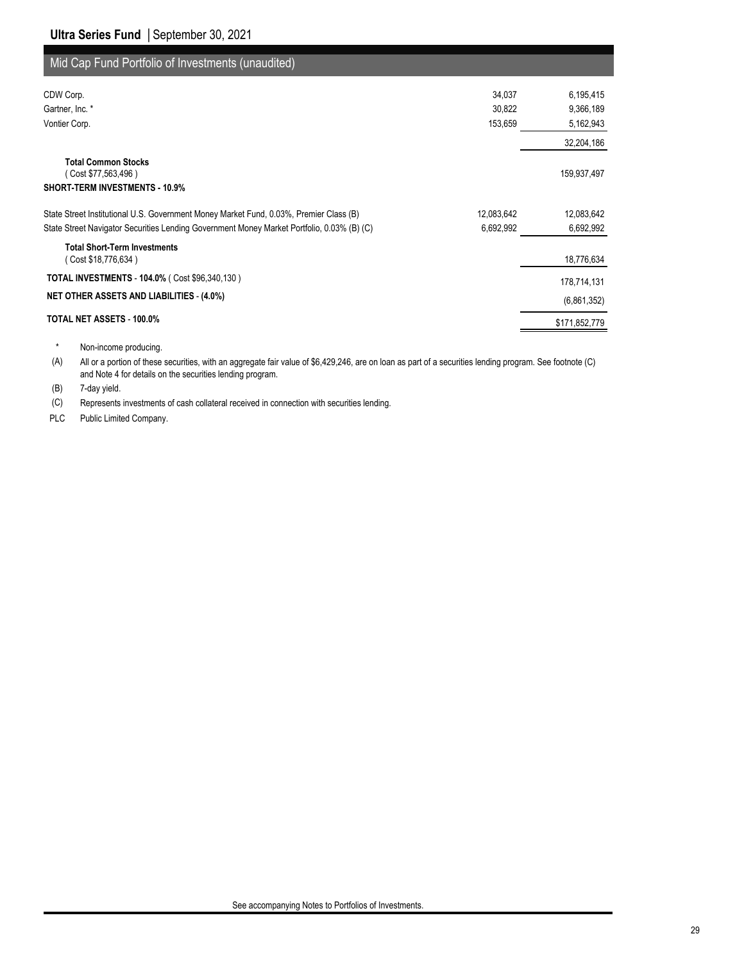| Mid Cap Fund Portfolio of Investments (unaudited)                                                       |               |
|---------------------------------------------------------------------------------------------------------|---------------|
| 34,037<br>CDW Corp.                                                                                     | 6,195,415     |
| Gartner, Inc. *<br>30,822                                                                               | 9,366,189     |
| Vontier Corp.<br>153,659                                                                                | 5,162,943     |
|                                                                                                         | 32,204,186    |
| <b>Total Common Stocks</b><br>(Cost \$77,563,496)<br><b>SHORT-TERM INVESTMENTS - 10.9%</b>              | 159,937,497   |
| State Street Institutional U.S. Government Money Market Fund, 0.03%, Premier Class (B)<br>12,083,642    | 12,083,642    |
| 6,692,992<br>State Street Navigator Securities Lending Government Money Market Portfolio, 0.03% (B) (C) | 6,692,992     |
| <b>Total Short-Term Investments</b><br>(Cost \$18,776,634)                                              | 18,776,634    |
| TOTAL INVESTMENTS - 104.0% ( Cost \$96,340,130 )                                                        | 178,714,131   |
| <b>NET OTHER ASSETS AND LIABILITIES - (4.0%)</b>                                                        | (6,861,352)   |
| TOTAL NET ASSETS - 100.0%                                                                               | \$171,852,779 |

\* Non-income producing.

(A) All or a portion of these securities, with an aggregate fair value of \$6,429,246, are on loan as part of a securities lending program. See footnote (C) and Note 4 for details on the securities lending program.

(B) 7-day yield.

(C) Represents investments of cash collateral received in connection with securities lending.

PLC Public Limited Company.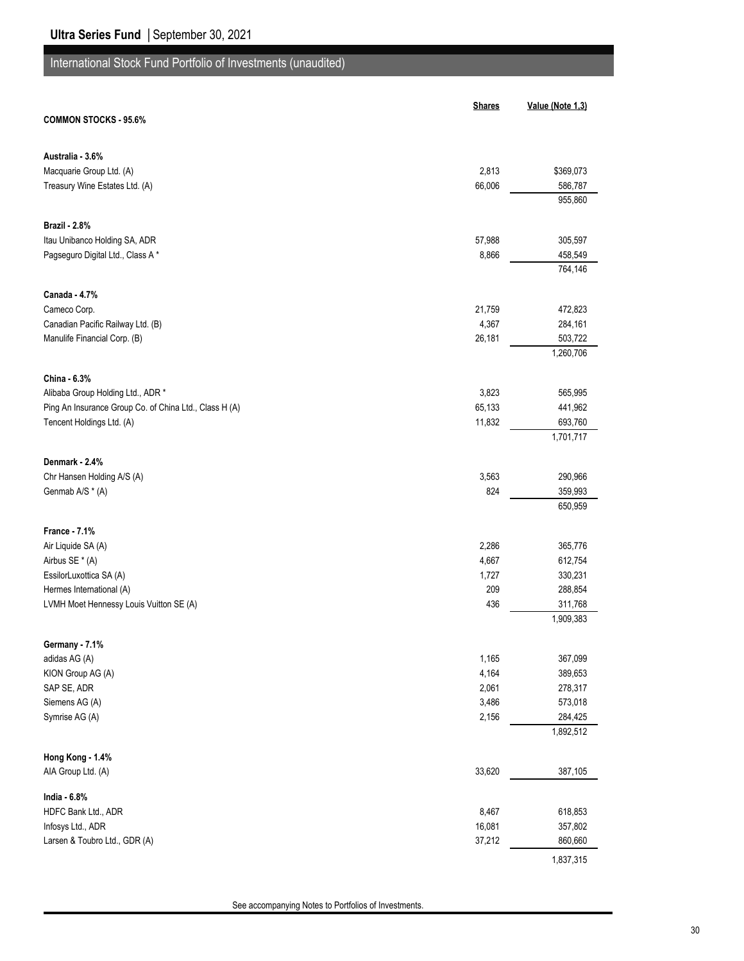|                                                        | <b>Shares</b> | Value (Note 1,3) |
|--------------------------------------------------------|---------------|------------------|
| <b>COMMON STOCKS - 95.6%</b>                           |               |                  |
|                                                        |               |                  |
| Australia - 3.6%                                       |               |                  |
| Macquarie Group Ltd. (A)                               | 2,813         | \$369,073        |
| Treasury Wine Estates Ltd. (A)                         | 66,006        | 586,787          |
|                                                        |               | 955,860          |
|                                                        |               |                  |
| <b>Brazil - 2.8%</b>                                   |               |                  |
| Itau Unibanco Holding SA, ADR                          | 57,988        | 305,597          |
| Pagseguro Digital Ltd., Class A*                       | 8,866         | 458,549          |
|                                                        |               | 764,146          |
|                                                        |               |                  |
| Canada 4.7%                                            |               |                  |
| Cameco Corp.                                           | 21,759        | 472,823          |
| Canadian Pacific Railway Ltd. (B)                      | 4,367         | 284,161          |
| Manulife Financial Corp. (B)                           | 26,181        | 503,722          |
|                                                        |               | 1,260,706        |
|                                                        |               |                  |
| China - 6.3%                                           |               |                  |
| Alibaba Group Holding Ltd., ADR *                      | 3,823         | 565,995          |
| Ping An Insurance Group Co. of China Ltd., Class H (A) | 65,133        | 441,962          |
| Tencent Holdings Ltd. (A)                              | 11,832        | 693,760          |
|                                                        |               | 1,701,717        |
| Denmark - 2.4%                                         |               |                  |
| Chr Hansen Holding A/S (A)                             | 3,563         | 290,966          |
| Genmab A/S * (A)                                       | 824           | 359,993          |
|                                                        |               | 650,959          |
|                                                        |               |                  |
| <b>France - 7.1%</b>                                   |               |                  |
| Air Liquide SA (A)                                     | 2,286         | 365,776          |
| Airbus SE * (A)                                        | 4,667         | 612,754          |
| EssilorLuxottica SA (A)                                | 1,727         | 330,231          |
| Hermes International (A)                               | 209           | 288,854          |
| LVMH Moet Hennessy Louis Vuitton SE (A)                | 436           | 311,768          |
|                                                        |               | 1,909,383        |
|                                                        |               |                  |
| Germany - 7.1%                                         |               |                  |
| adidas AG (A)                                          | 1,165         | 367,099          |
| KION Group AG (A)                                      | 4,164         | 389,653          |
| SAP SE, ADR                                            | 2,061         | 278,317          |
| Siemens AG (A)                                         | 3,486         | 573,018          |
| Symrise AG (A)                                         | 2,156         | 284,425          |
|                                                        |               | 1,892,512        |
| Hong Kong - 1.4%                                       |               |                  |
| AIA Group Ltd. (A)                                     | 33,620        | 387,105          |
|                                                        |               |                  |
| India - 6.8%                                           |               |                  |
| HDFC Bank Ltd., ADR                                    | 8,467         | 618,853          |
| Infosys Ltd., ADR                                      | 16,081        | 357,802          |
| Larsen & Toubro Ltd., GDR (A)                          | 37,212        | 860,660          |
|                                                        |               | 1,837,315        |
|                                                        |               |                  |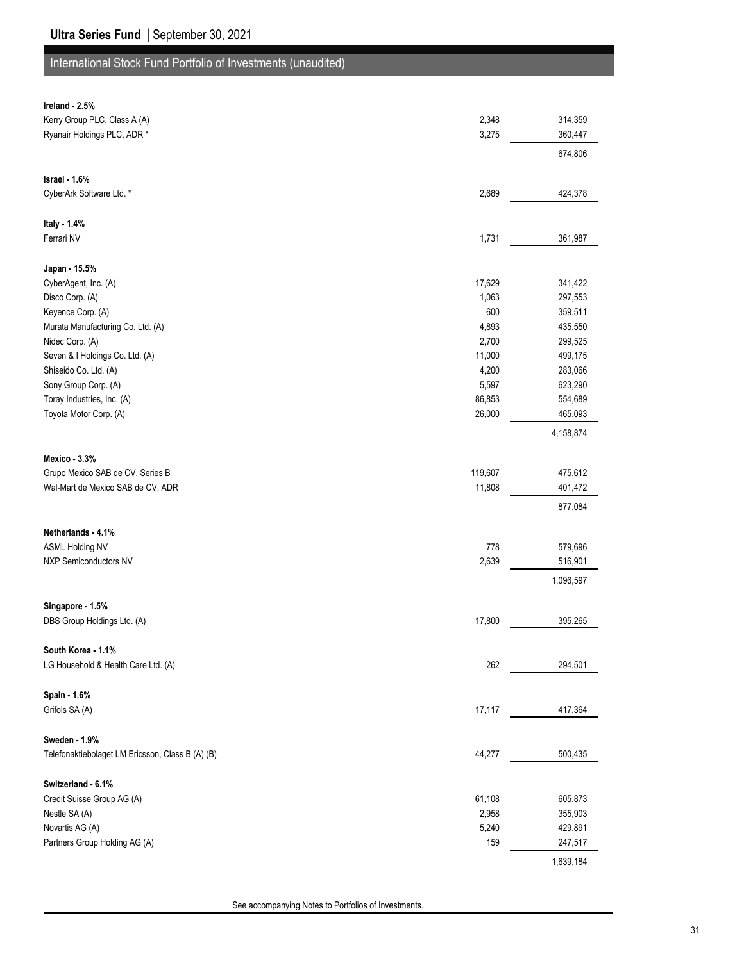| Ireland - 2.5%                                   |         |           |
|--------------------------------------------------|---------|-----------|
| Kerry Group PLC, Class A (A)                     | 2,348   | 314,359   |
| Ryanair Holdings PLC, ADR *                      | 3,275   | 360,447   |
|                                                  |         | 674,806   |
|                                                  |         |           |
| Israel - 1.6%                                    |         |           |
| CyberArk Software Ltd. *                         | 2,689   | 424,378   |
|                                                  |         |           |
| Italy - 1.4%                                     |         |           |
| Ferrari NV                                       | 1,731   | 361,987   |
|                                                  |         |           |
| Japan - 15.5%                                    |         |           |
| CyberAgent, Inc. (A)                             | 17,629  | 341,422   |
| Disco Corp. (A)                                  | 1,063   | 297,553   |
| Keyence Corp. (A)                                | 600     | 359,511   |
| Murata Manufacturing Co. Ltd. (A)                | 4,893   | 435,550   |
| Nidec Corp. (A)                                  | 2,700   | 299,525   |
| Seven & I Holdings Co. Ltd. (A)                  | 11,000  | 499,175   |
| Shiseido Co. Ltd. (A)                            | 4,200   | 283,066   |
| Sony Group Corp. (A)                             | 5,597   | 623,290   |
| Toray Industries, Inc. (A)                       | 86,853  | 554,689   |
| Toyota Motor Corp. (A)                           | 26,000  | 465,093   |
|                                                  |         | 4,158,874 |
| Mexico - 3.3%                                    |         |           |
| Grupo Mexico SAB de CV, Series B                 | 119,607 | 475,612   |
| Wal-Mart de Mexico SAB de CV, ADR                | 11,808  | 401,472   |
|                                                  |         |           |
|                                                  |         | 877,084   |
| Netherlands - 4.1%                               |         |           |
| <b>ASML Holding NV</b>                           | 778     | 579,696   |
| <b>NXP Semiconductors NV</b>                     | 2,639   | 516,901   |
|                                                  |         | 1,096,597 |
|                                                  |         |           |
| Singapore - 1.5%                                 |         |           |
| DBS Group Holdings Ltd. (A)                      | 17,800  | 395,265   |
|                                                  |         |           |
| South Korea - 1.1%                               |         |           |
| LG Household & Health Care Ltd. (A)              | 262     | 294,501   |
|                                                  |         |           |
| Spain - 1.6%                                     |         |           |
| Grifols SA (A)                                   | 17,117  | 417,364   |
|                                                  |         |           |
| Sweden - 1.9%                                    |         |           |
| Telefonaktiebolaget LM Ericsson, Class B (A) (B) | 44,277  | 500,435   |
|                                                  |         |           |
| Switzerland - 6.1%                               |         |           |
| Credit Suisse Group AG (A)                       | 61,108  | 605,873   |
| Nestle SA (A)                                    | 2,958   | 355,903   |
| Novartis AG (A)                                  | 5,240   | 429,891   |
| Partners Group Holding AG (A)                    | 159     | 247,517   |
|                                                  |         |           |
|                                                  |         | 1,639,184 |

See accompanying Notes to Portfolios of Investments.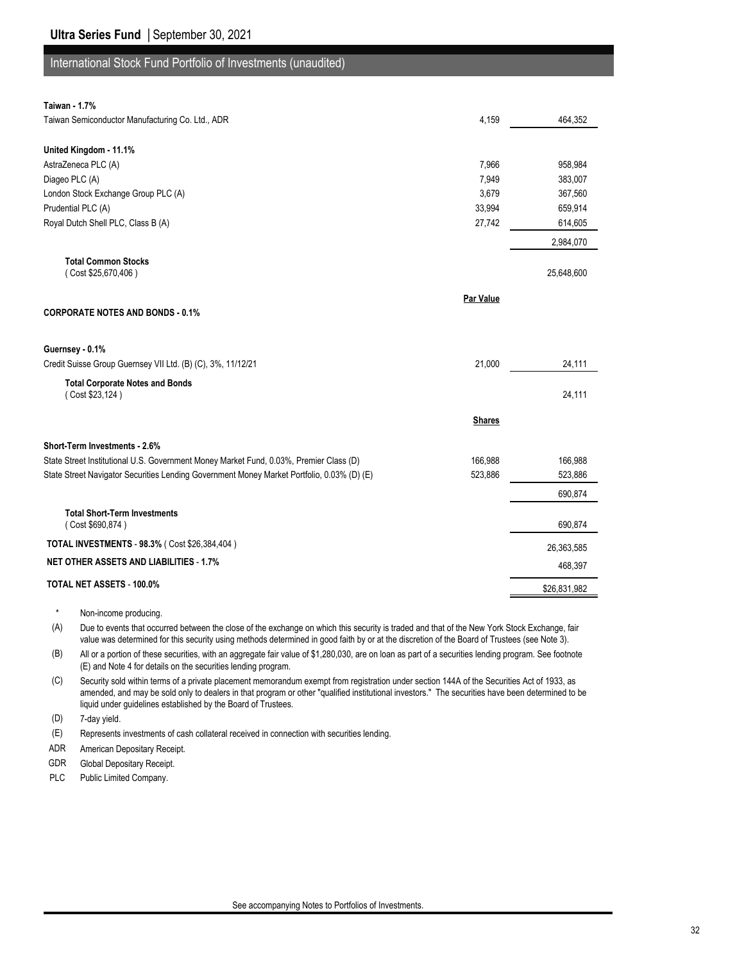| Taiwan - 1.7% |  |
|---------------|--|
|               |  |

| Taiwan Semiconductor Manufacturing Co. Ltd., ADR                                           | 4,159         | 464,352      |
|--------------------------------------------------------------------------------------------|---------------|--------------|
|                                                                                            |               |              |
| United Kingdom - 11.1%                                                                     |               |              |
| AstraZeneca PLC (A)                                                                        | 7,966         | 958,984      |
| Diageo PLC (A)                                                                             | 7,949         | 383,007      |
| London Stock Exchange Group PLC (A)                                                        | 3,679         | 367,560      |
| Prudential PLC (A)                                                                         | 33,994        | 659,914      |
| Royal Dutch Shell PLC, Class B (A)                                                         | 27,742        | 614,605      |
|                                                                                            |               | 2,984,070    |
| <b>Total Common Stocks</b>                                                                 |               |              |
| (Cost \$25,670,406)                                                                        |               | 25,648,600   |
|                                                                                            | Par Value     |              |
| <b>CORPORATE NOTES AND BONDS - 0.1%</b>                                                    |               |              |
| Guernsey - 0.1%                                                                            |               |              |
| Credit Suisse Group Guernsey VII Ltd. (B) (C), 3%, 11/12/21                                | 21,000        | 24,111       |
| <b>Total Corporate Notes and Bonds</b><br>(Cost \$23,124)                                  |               | 24,111       |
|                                                                                            | <b>Shares</b> |              |
| Short-Term Investments - 2.6%                                                              |               |              |
| State Street Institutional U.S. Government Money Market Fund, 0.03%, Premier Class (D)     | 166,988       | 166,988      |
| State Street Navigator Securities Lending Government Money Market Portfolio, 0.03% (D) (E) | 523.886       | 523,886      |
|                                                                                            |               | 690,874      |
| <b>Total Short-Term Investments</b>                                                        |               |              |
| (Cost \$690,874)                                                                           |               | 690,874      |
| TOTAL INVESTMENTS - 98.3% (Cost \$26,384,404)                                              |               | 26,363,585   |
| <b>NET OTHER ASSETS AND LIABILITIES - 1.7%</b>                                             |               | 468,397      |
| TOTAL NET ASSETS - 100.0%                                                                  |               | \$26,831,982 |
|                                                                                            |               |              |

\* Non-income producing.

(A) Due to events that occurred between the close of the exchange on which this security is traded and that of the New York Stock Exchange, fair value was determined for this security using methods determined in good faith by or at the discretion of the Board of Trustees (see Note 3).

(B) All or a portion of these securities, with an aggregate fair value of \$1,280,030, are on loan as part of a securities lending program. See footnote (E) and Note 4 for details on the securities lending program.

(C) Security sold within terms of a private placement memorandum exempt from registration under section 144A of the Securities Act of 1933, as amended, and may be sold only to dealers in that program or other "qualified institutional investors." The securities have been determined to be liquid under guidelines established by the Board of Trustees.

(D) 7-day yield.

(E) Represents investments of cash collateral received in connection with securities lending.

ADR American Depositary Receipt.

GDR Global Depositary Receipt.

PLC Public Limited Company.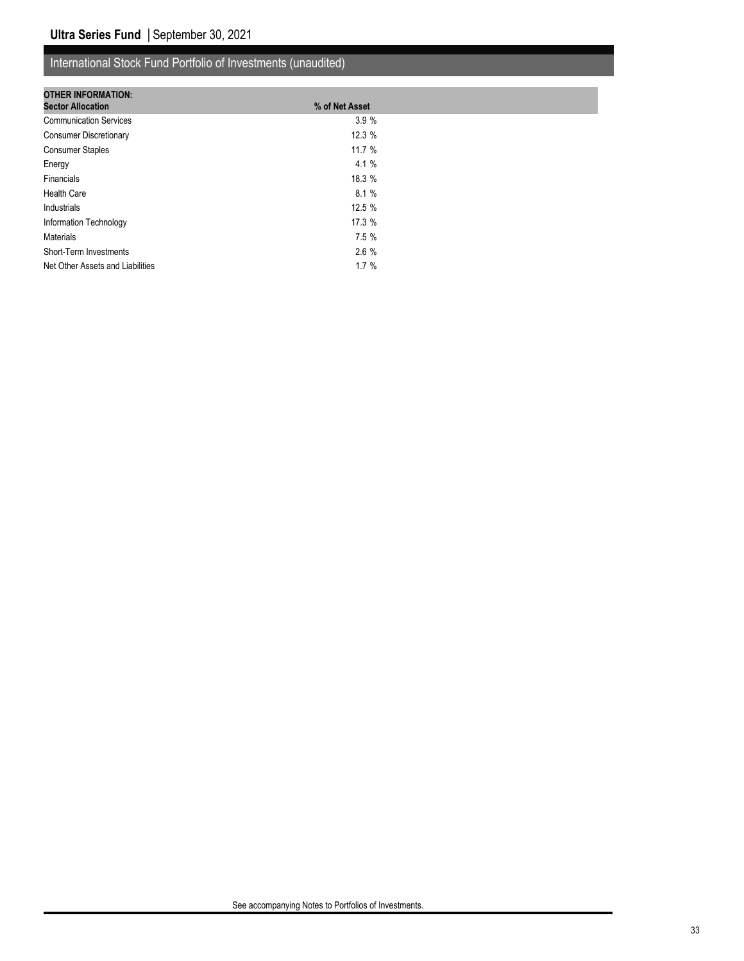| <b>OTHER INFORMATION:</b>        |                |  |
|----------------------------------|----------------|--|
| <b>Sector Allocation</b>         | % of Net Asset |  |
| <b>Communication Services</b>    | 3.9%           |  |
| <b>Consumer Discretionary</b>    | 12.3%          |  |
| <b>Consumer Staples</b>          | 11.7%          |  |
| Energy                           | 4.1%           |  |
| Financials                       | 18.3 %         |  |
| <b>Health Care</b>               | 8.1%           |  |
| Industrials                      | 12.5 %         |  |
| Information Technology           | 17.3 %         |  |
| <b>Materials</b>                 | 7.5%           |  |
| Short-Term Investments           | 2.6%           |  |
| Net Other Assets and Liabilities | 1.7%           |  |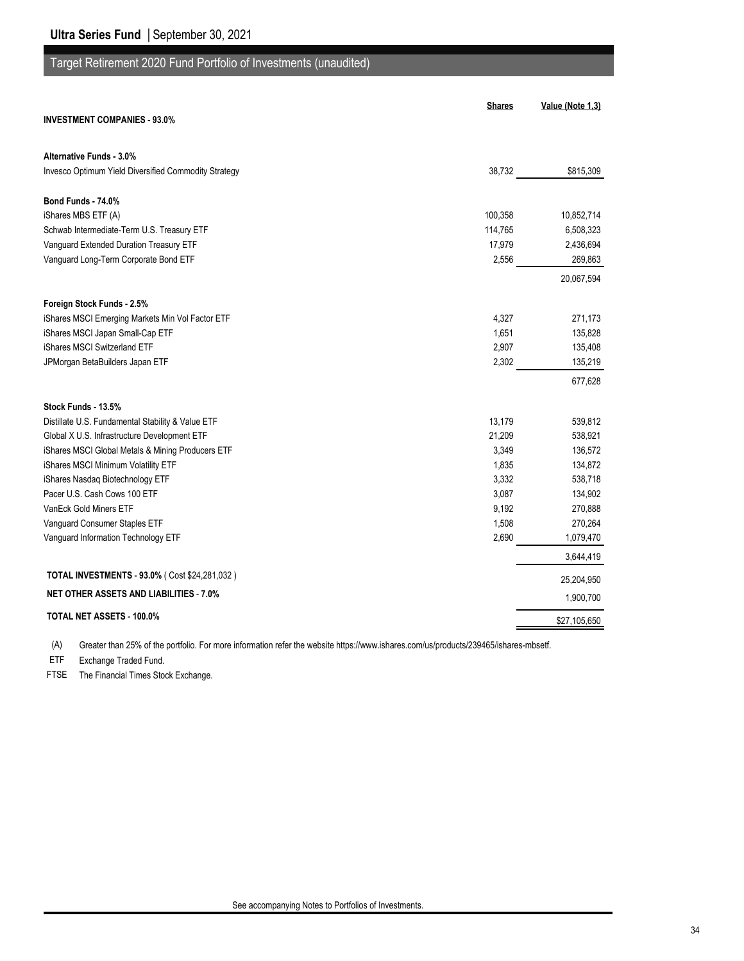## Target Retirement 2020 Fund Portfolio of Investments (unaudited)

| <b>Shares</b>                                                  | Value (Note 1,3) |
|----------------------------------------------------------------|------------------|
| <b>INVESTMENT COMPANIES - 93.0%</b>                            |                  |
| <b>Alternative Funds - 3.0%</b>                                |                  |
| Invesco Optimum Yield Diversified Commodity Strategy<br>38,732 | \$815,309        |
| Bond Funds - 74.0%                                             |                  |
| iShares MBS ETF (A)<br>100,358                                 | 10,852,714       |
| Schwab Intermediate-Term U.S. Treasury ETF<br>114,765          | 6,508,323        |
| Vanguard Extended Duration Treasury ETF<br>17,979              | 2,436,694        |
| Vanguard Long-Term Corporate Bond ETF<br>2,556                 | 269,863          |
|                                                                | 20,067,594       |
| Foreign Stock Funds - 2.5%                                     |                  |
| iShares MSCI Emerging Markets Min Vol Factor ETF<br>4,327      | 271,173          |
| iShares MSCI Japan Small-Cap ETF<br>1,651                      | 135,828          |
| iShares MSCI Switzerland ETF<br>2,907                          | 135,408          |
| 2,302<br>JPMorgan BetaBuilders Japan ETF                       | 135,219          |
|                                                                | 677,628          |
| Stock Funds - 13.5%                                            |                  |
| Distillate U.S. Fundamental Stability & Value ETF<br>13,179    | 539,812          |
| Global X U.S. Infrastructure Development ETF<br>21,209         | 538,921          |
| iShares MSCI Global Metals & Mining Producers ETF<br>3,349     | 136,572          |
| iShares MSCI Minimum Volatility ETF<br>1,835                   | 134,872          |
| iShares Nasdaq Biotechnology ETF<br>3,332                      | 538,718          |
| Pacer U.S. Cash Cows 100 ETF<br>3,087                          | 134,902          |
| VanEck Gold Miners ETF<br>9,192                                | 270,888          |
| Vanguard Consumer Staples ETF<br>1,508                         | 270,264          |
| Vanguard Information Technology ETF<br>2,690                   | 1,079,470        |
|                                                                | 3,644,419        |
| <b>TOTAL INVESTMENTS - 93.0% (Cost \$24,281,032)</b>           | 25,204,950       |
| <b>NET OTHER ASSETS AND LIABILITIES - 7.0%</b>                 | 1,900,700        |
| TOTAL NET ASSETS - 100.0%                                      | \$27,105,650     |

(A) Greater than 25% of the portfolio. For more information refer the website https://www.ishares.com/us/products/239465/ishares-mbsetf.

ETF Exchange Traded Fund.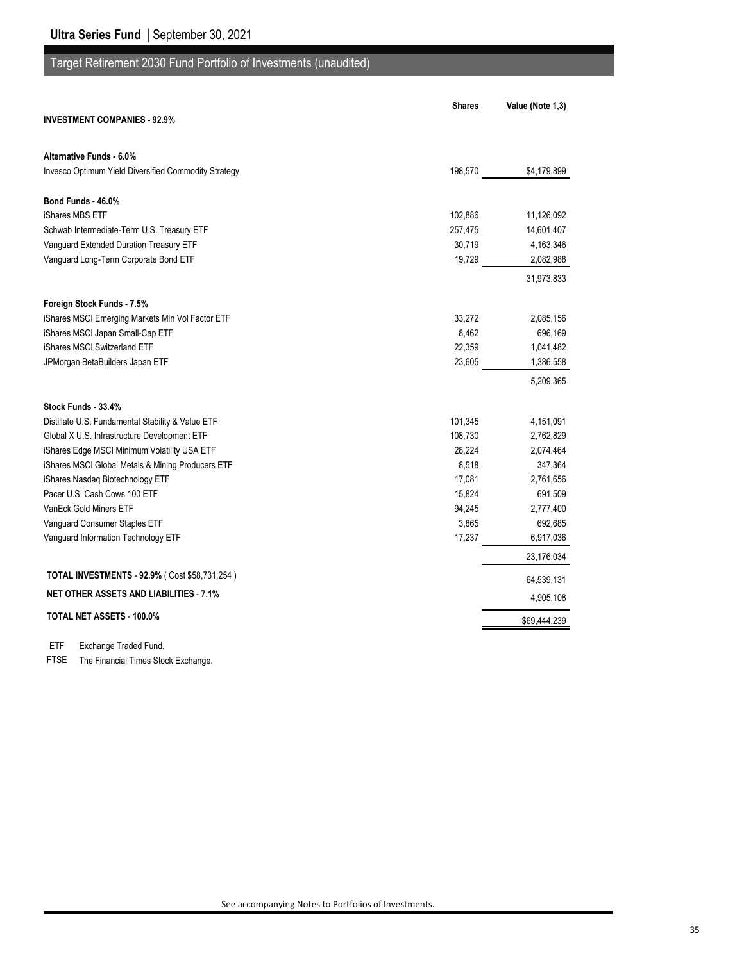## Target Retirement 2030 Fund Portfolio of Investments (unaudited)

| <b>INVESTMENT COMPANIES - 92.9%</b>                  | <b>Shares</b> | Value (Note 1,3) |
|------------------------------------------------------|---------------|------------------|
|                                                      |               |                  |
| Alternative Funds - 6.0%                             |               |                  |
| Invesco Optimum Yield Diversified Commodity Strategy | 198,570       | \$4,179,899      |
| Bond Funds - 46.0%                                   |               |                  |
| iShares MBS ETF                                      | 102,886       | 11,126,092       |
| Schwab Intermediate-Term U.S. Treasury ETF           | 257,475       | 14,601,407       |
| Vanguard Extended Duration Treasury ETF              | 30,719        | 4,163,346        |
| Vanguard Long-Term Corporate Bond ETF                | 19,729        | 2,082,988        |
|                                                      |               | 31,973,833       |
| Foreign Stock Funds - 7.5%                           |               |                  |
| iShares MSCI Emerging Markets Min Vol Factor ETF     | 33,272        | 2,085,156        |
| iShares MSCI Japan Small-Cap ETF                     | 8,462         | 696,169          |
| iShares MSCI Switzerland ETF                         | 22,359        | 1,041,482        |
| JPMorgan BetaBuilders Japan ETF                      | 23,605        | 1,386,558        |
|                                                      |               | 5,209,365        |
| Stock Funds - 33.4%                                  |               |                  |
| Distillate U.S. Fundamental Stability & Value ETF    | 101,345       | 4,151,091        |
| Global X U.S. Infrastructure Development ETF         | 108,730       | 2,762,829        |
| iShares Edge MSCI Minimum Volatility USA ETF         | 28,224        | 2,074,464        |
| iShares MSCI Global Metals & Mining Producers ETF    | 8,518         | 347,364          |
| iShares Nasdaq Biotechnology ETF                     | 17,081        | 2,761,656        |
| Pacer U.S. Cash Cows 100 ETF                         | 15,824        | 691,509          |
| VanEck Gold Miners ETF                               | 94,245        | 2,777,400        |
| Vanguard Consumer Staples ETF                        | 3,865         | 692,685          |
| Vanguard Information Technology ETF                  | 17,237        | 6,917,036        |
|                                                      |               | 23,176,034       |
| TOTAL INVESTMENTS - 92.9% (Cost \$58,731,254)        |               | 64,539,131       |
| <b>NET OTHER ASSETS AND LIABILITIES - 7.1%</b>       |               | 4,905,108        |
| TOTAL NET ASSETS - 100.0%                            |               | \$69,444,239     |

ETF Exchange Traded Fund.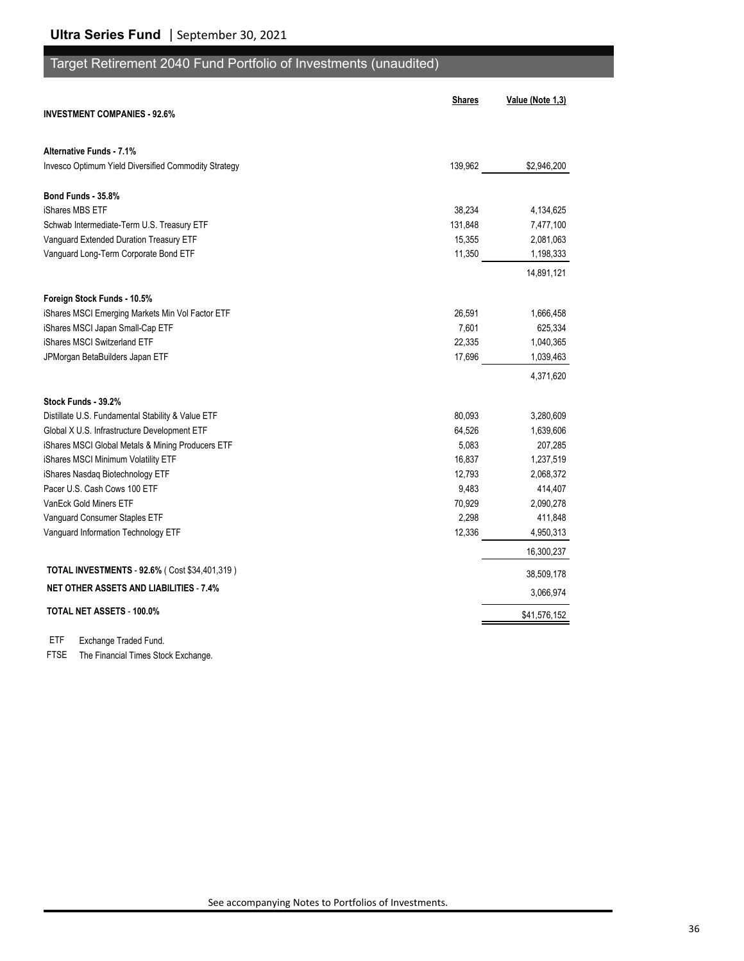## Target Retirement 2040 Fund Portfolio of Investments (unaudited)

|                                                      | <b>Shares</b> | Value (Note 1,3) |
|------------------------------------------------------|---------------|------------------|
| <b>INVESTMENT COMPANIES - 92.6%</b>                  |               |                  |
| Alternative Funds - 7.1%                             |               |                  |
| Invesco Optimum Yield Diversified Commodity Strategy | 139,962       | \$2,946,200      |
| <b>Bond Funds - 35.8%</b>                            |               |                  |
| iShares MBS ETF                                      | 38,234        | 4,134,625        |
| Schwab Intermediate-Term U.S. Treasury ETF           | 131,848       | 7,477,100        |
| Vanguard Extended Duration Treasury ETF              | 15,355        | 2,081,063        |
| Vanguard Long-Term Corporate Bond ETF                | 11,350        | 1,198,333        |
|                                                      |               | 14,891,121       |
| Foreign Stock Funds - 10.5%                          |               |                  |
| iShares MSCI Emerging Markets Min Vol Factor ETF     | 26,591        | 1,666,458        |
| iShares MSCI Japan Small-Cap ETF                     | 7,601         | 625,334          |
| iShares MSCI Switzerland ETF                         | 22,335        | 1,040,365        |
| JPMorgan BetaBuilders Japan ETF                      | 17,696        | 1,039,463        |
|                                                      |               | 4,371,620        |
| Stock Funds - 39.2%                                  |               |                  |
| Distillate U.S. Fundamental Stability & Value ETF    | 80,093        | 3,280,609        |
| Global X U.S. Infrastructure Development ETF         | 64,526        | 1,639,606        |
| iShares MSCI Global Metals & Mining Producers ETF    | 5,083         | 207,285          |
| iShares MSCI Minimum Volatility ETF                  | 16,837        | 1,237,519        |
| iShares Nasdaq Biotechnology ETF                     | 12,793        | 2,068,372        |
| Pacer U.S. Cash Cows 100 ETF                         | 9,483         | 414,407          |
| VanEck Gold Miners ETF                               | 70,929        | 2,090,278        |
| Vanguard Consumer Staples ETF                        | 2,298         | 411,848          |
| Vanguard Information Technology ETF                  | 12,336        | 4,950,313        |
|                                                      |               | 16,300,237       |
| TOTAL INVESTMENTS - 92.6% (Cost \$34,401,319)        |               | 38,509,178       |
| <b>NET OTHER ASSETS AND LIABILITIES - 7.4%</b>       |               | 3,066,974        |
| TOTAL NET ASSETS - 100.0%                            |               | \$41,576,152     |

ETF Exchange Traded Fund.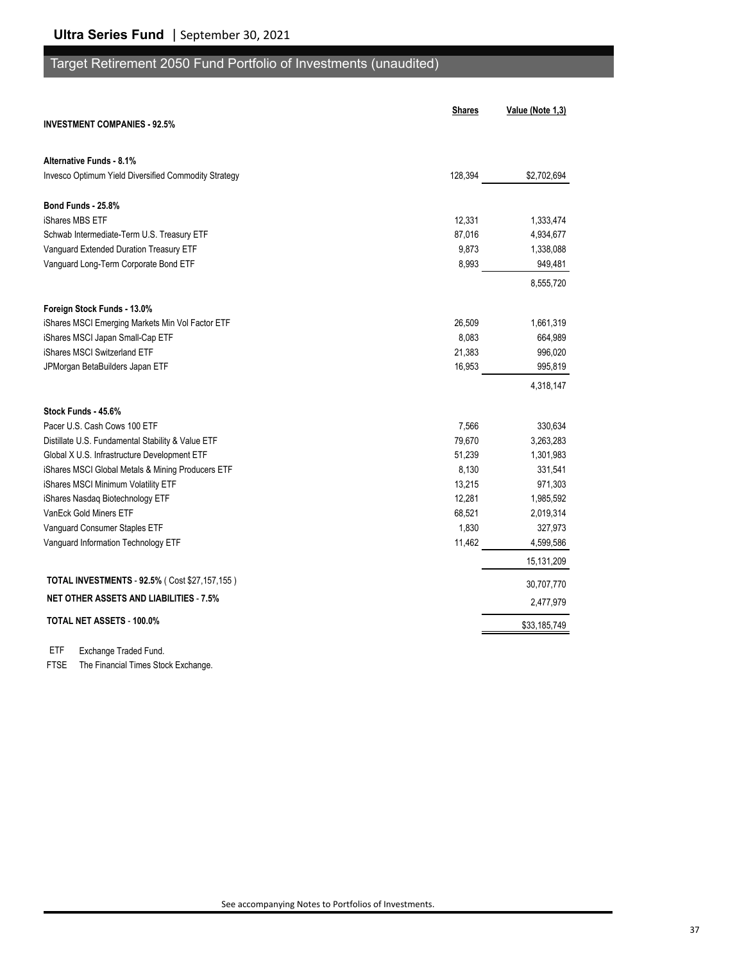## Target Retirement 2050 Fund Portfolio of Investments (unaudited)

|                                                      | <b>Shares</b> | Value (Note 1,3) |
|------------------------------------------------------|---------------|------------------|
| <b>INVESTMENT COMPANIES - 92.5%</b>                  |               |                  |
| Alternative Funds - 8.1%                             |               |                  |
| Invesco Optimum Yield Diversified Commodity Strategy | 128,394       | \$2,702,694      |
| Bond Funds - 25.8%                                   |               |                  |
| iShares MBS ETF                                      | 12,331        | 1,333,474        |
| Schwab Intermediate-Term U.S. Treasury ETF           | 87,016        | 4,934,677        |
| Vanguard Extended Duration Treasury ETF              | 9,873         | 1,338,088        |
| Vanguard Long-Term Corporate Bond ETF                | 8,993         | 949,481          |
|                                                      |               | 8,555,720        |
| Foreign Stock Funds - 13.0%                          |               |                  |
| iShares MSCI Emerging Markets Min Vol Factor ETF     | 26,509        | 1,661,319        |
| iShares MSCI Japan Small-Cap ETF                     | 8,083         | 664,989          |
| iShares MSCI Switzerland ETF                         | 21,383        | 996,020          |
| JPMorgan BetaBuilders Japan ETF                      | 16,953        | 995,819          |
|                                                      |               | 4,318,147        |
| Stock Funds - 45.6%                                  |               |                  |
| Pacer U.S. Cash Cows 100 ETF                         | 7,566         | 330,634          |
| Distillate U.S. Fundamental Stability & Value ETF    | 79,670        | 3,263,283        |
| Global X U.S. Infrastructure Development ETF         | 51,239        | 1,301,983        |
| iShares MSCI Global Metals & Mining Producers ETF    | 8,130         | 331,541          |
| iShares MSCI Minimum Volatility ETF                  | 13,215        | 971,303          |
| iShares Nasdaq Biotechnology ETF                     | 12,281        | 1,985,592        |
| VanEck Gold Miners ETF                               | 68,521        | 2,019,314        |
| Vanguard Consumer Staples ETF                        | 1,830         | 327,973          |
| Vanguard Information Technology ETF                  | 11,462        | 4,599,586        |
|                                                      |               | 15,131,209       |
| TOTAL INVESTMENTS - 92.5% (Cost \$27,157,155)        |               | 30,707,770       |
| <b>NET OTHER ASSETS AND LIABILITIES - 7.5%</b>       |               | 2,477,979        |
| <b>TOTAL NET ASSETS - 100.0%</b>                     |               | \$33,185,749     |

ETF Exchange Traded Fund.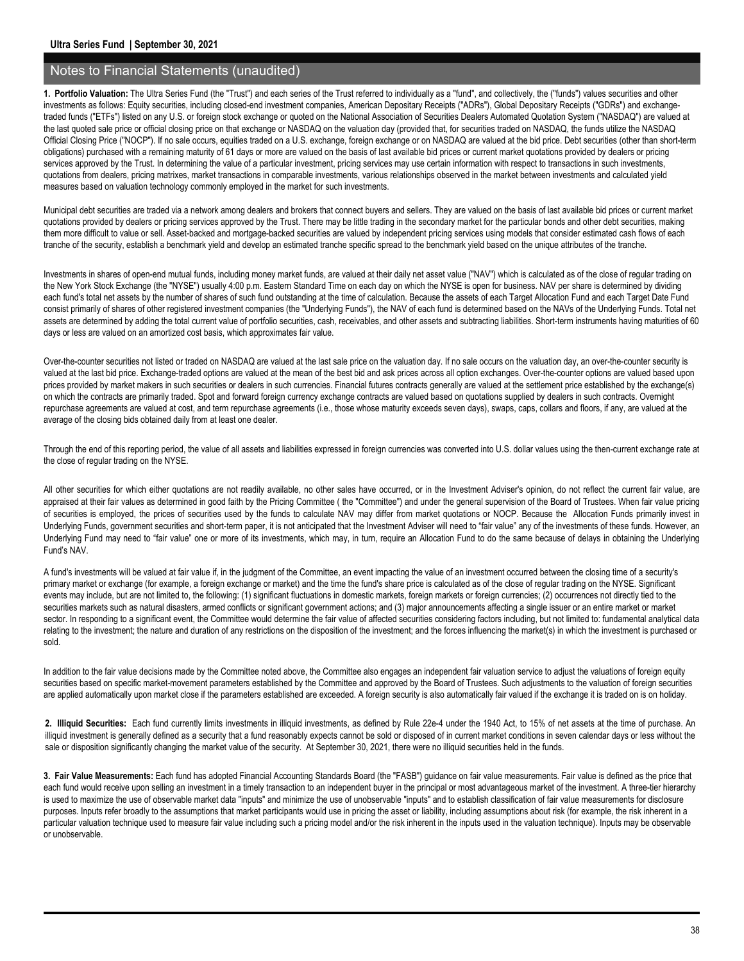**1. Portfolio Valuation:** The Ultra Series Fund (the "Trust") and each series of the Trust referred to individually as a "fund", and collectively, the ("funds") values securities and other investments as follows: Equity securities, including closed-end investment companies, American Depositary Receipts ("ADRs"), Global Depositary Receipts ("GDRs") and exchangetraded funds ("ETFs") listed on any U.S. or foreign stock exchange or quoted on the National Association of Securities Dealers Automated Quotation System ("NASDAQ") are valued at the last quoted sale price or official closing price on that exchange or NASDAQ on the valuation day (provided that, for securities traded on NASDAQ, the funds utilize the NASDAQ Official Closing Price ("NOCP"). If no sale occurs, equities traded on a U.S. exchange, foreign exchange or on NASDAQ are valued at the bid price. Debt securities (other than short-term obligations) purchased with a remaining maturity of 61 days or more are valued on the basis of last available bid prices or current market quotations provided by dealers or pricing services approved by the Trust. In determining the value of a particular investment, pricing services may use certain information with respect to transactions in such investments, quotations from dealers, pricing matrixes, market transactions in comparable investments, various relationships observed in the market between investments and calculated yield measures based on valuation technology commonly employed in the market for such investments.

Municipal debt securities are traded via a network among dealers and brokers that connect buyers and sellers. They are valued on the basis of last available bid prices or current market quotations provided by dealers or pricing services approved by the Trust. There may be little trading in the secondary market for the particular bonds and other debt securities, making them more difficult to value or sell. Asset-backed and mortgage-backed securities are valued by independent pricing services using models that consider estimated cash flows of each tranche of the security, establish a benchmark yield and develop an estimated tranche specific spread to the benchmark yield based on the unique attributes of the tranche.

Investments in shares of open-end mutual funds, including money market funds, are valued at their daily net asset value ("NAV") which is calculated as of the close of regular trading on the New York Stock Exchange (the "NYSE") usually 4:00 p.m. Eastern Standard Time on each day on which the NYSE is open for business. NAV per share is determined by dividing each fund's total net assets by the number of shares of such fund outstanding at the time of calculation. Because the assets of each Target Allocation Fund and each Target Date Fund consist primarily of shares of other registered investment companies (the "Underlying Funds"), the NAV of each fund is determined based on the NAVs of the Underlying Funds. Total net assets are determined by adding the total current value of portfolio securities, cash, receivables, and other assets and subtracting liabilities. Short-term instruments having maturities of 60 days or less are valued on an amortized cost basis, which approximates fair value.

Over-the-counter securities not listed or traded on NASDAQ are valued at the last sale price on the valuation day. If no sale occurs on the valuation day, an over-the-counter security is valued at the last bid price. Exchange-traded options are valued at the mean of the best bid and ask prices across all option exchanges. Over-the-counter options are valued based upon prices provided by market makers in such securities or dealers in such currencies. Financial futures contracts generally are valued at the settlement price established by the exchange(s) on which the contracts are primarily traded. Spot and forward foreign currency exchange contracts are valued based on quotations supplied by dealers in such contracts. Overnight repurchase agreements are valued at cost, and term repurchase agreements (i.e., those whose maturity exceeds seven days), swaps, caps, collars and floors, if any, are valued at the average of the closing bids obtained daily from at least one dealer.

Through the end of this reporting period, the value of all assets and liabilities expressed in foreign currencies was converted into U.S. dollar values using the then-current exchange rate at the close of regular trading on the NYSE.

All other securities for which either quotations are not readily available, no other sales have occurred, or in the Investment Adviser's opinion, do not reflect the current fair value, are appraised at their fair values as determined in good faith by the Pricing Committee (the "Committee") and under the general supervision of the Board of Trustees. When fair value pricing of securities is employed, the prices of securities used by the funds to calculate NAV may differ from market quotations or NOCP. Because the Allocation Funds primarily invest in Underlying Funds, government securities and short-term paper, it is not anticipated that the Investment Adviser will need to "fair value" any of the investments of these funds. However, an Underlying Fund may need to "fair value" one or more of its investments, which may, in turn, require an Allocation Fund to do the same because of delays in obtaining the Underlying Fund's NAV.

A fund's investments will be valued at fair value if, in the judgment of the Committee, an event impacting the value of an investment occurred between the closing time of a security's primary market or exchange (for example, a foreign exchange or market) and the time the fund's share price is calculated as of the close of regular trading on the NYSE. Significant events may include, but are not limited to, the following: (1) significant fluctuations in domestic markets, foreign markets or foreign currencies; (2) occurrences not directly tied to the securities markets such as natural disasters, armed conflicts or significant government actions; and (3) major announcements affecting a single issuer or an entire market or market sector. In responding to a significant event, the Committee would determine the fair value of affected securities considering factors including, but not limited to: fundamental analytical data relating to the investment; the nature and duration of any restrictions on the disposition of the investment; and the forces influencing the market(s) in which the investment is purchased or sold.

In addition to the fair value decisions made by the Committee noted above, the Committee also engages an independent fair valuation service to adjust the valuations of foreign equity securities based on specific market-movement parameters established by the Committee and approved by the Board of Trustees. Such adjustments to the valuation of foreign securities are applied automatically upon market close if the parameters established are exceeded. A foreign security is also automatically fair valued if the exchange it is traded on is on holiday.

**2. Illiquid Securities:** Each fund currently limits investments in illiquid investments, as defined by Rule 22e-4 under the 1940 Act, to 15% of net assets at the time of purchase. An illiquid investment is generally defined as a security that a fund reasonably expects cannot be sold or disposed of in current market conditions in seven calendar days or less without the sale or disposition significantly changing the market value of the security. At September 30, 2021, there were no illiquid securities held in the funds.

**3. Fair Value Measurements:** Each fund has adopted Financial Accounting Standards Board (the "FASB") guidance on fair value measurements. Fair value is defined as the price that each fund would receive upon selling an investment in a timely transaction to an independent buyer in the principal or most advantageous market of the investment. A three-tier hierarchy is used to maximize the use of observable market data "inputs" and minimize the use of unobservable "inputs" and to establish classification of fair value measurements for disclosure purposes. Inputs refer broadly to the assumptions that market participants would use in pricing the asset or liability, including assumptions about risk (for example, the risk inherent in a particular valuation technique used to measure fair value including such a pricing model and/or the risk inherent in the inputs used in the valuation technique). Inputs may be observable or unobservable.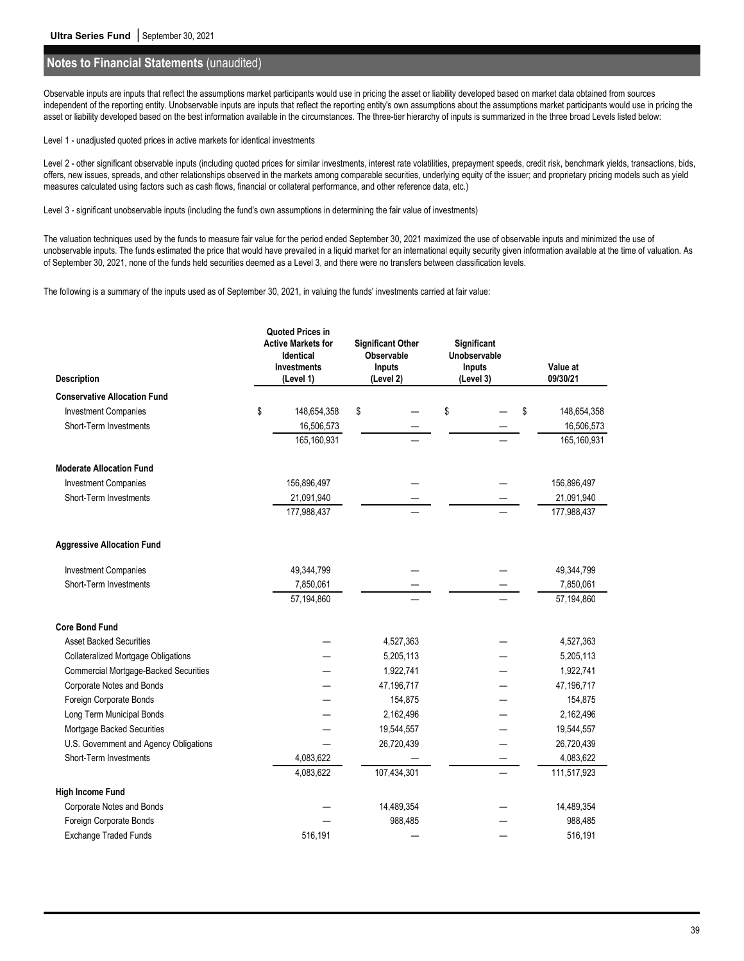Observable inputs are inputs that reflect the assumptions market participants would use in pricing the asset or liability developed based on market data obtained from sources independent of the reporting entity. Unobservable inputs are inputs that reflect the reporting entity's own assumptions about the assumptions market participants would use in pricing the asset or liability developed based on the best information available in the circumstances. The three-tier hierarchy of inputs is summarized in the three broad Levels listed below:

Level 1 - unadjusted quoted prices in active markets for identical investments

Level 2 - other significant observable inputs (including quoted prices for similar investments, interest rate volatilities, prepayment speeds, credit risk, benchmark yields, transactions, bids, offers, new issues, spreads, and other relationships observed in the markets among comparable securities, underlying equity of the issuer; and proprietary pricing models such as yield measures calculated using factors such as cash flows, financial or collateral performance, and other reference data, etc.)

Level 3 - significant unobservable inputs (including the fund's own assumptions in determining the fair value of investments)

The valuation techniques used by the funds to measure fair value for the period ended September 30, 2021 maximized the use of observable inputs and minimized the use of unobservable inputs. The funds estimated the price that would have prevailed in a liquid market for an international equity security given information available at the time of valuation. As of September 30, 2021, none of the funds held securities deemed as a Level 3, and there were no transfers between classification levels.

The following is a summary of the inputs used as of September 30, 2021, in valuing the funds' investments carried at fair value:

| <b>Description</b>                           | <b>Quoted Prices in</b><br><b>Active Markets for</b><br>Identical<br><b>Investments</b><br>(Level 1) | <b>Significant Other</b><br>Observable<br><b>Inputs</b><br>(Level 2) | Significant<br>Unobservable<br>Inputs<br>(Level 3) | Value at<br>09/30/21 |
|----------------------------------------------|------------------------------------------------------------------------------------------------------|----------------------------------------------------------------------|----------------------------------------------------|----------------------|
| <b>Conservative Allocation Fund</b>          |                                                                                                      |                                                                      |                                                    |                      |
| <b>Investment Companies</b>                  | \$<br>148,654,358                                                                                    | \$                                                                   | \$                                                 | \$<br>148,654,358    |
| Short-Term Investments                       | 16,506,573                                                                                           |                                                                      |                                                    | 16,506,573           |
|                                              | 165,160,931                                                                                          |                                                                      |                                                    | 165,160,931          |
| <b>Moderate Allocation Fund</b>              |                                                                                                      |                                                                      |                                                    |                      |
| <b>Investment Companies</b>                  | 156,896,497                                                                                          |                                                                      |                                                    | 156,896,497          |
| Short-Term Investments                       | 21,091,940                                                                                           |                                                                      |                                                    | 21,091,940           |
|                                              | 177,988,437                                                                                          |                                                                      |                                                    | 177,988,437          |
| <b>Aggressive Allocation Fund</b>            |                                                                                                      |                                                                      |                                                    |                      |
| <b>Investment Companies</b>                  | 49,344,799                                                                                           |                                                                      |                                                    | 49,344,799           |
| Short-Term Investments                       | 7,850,061                                                                                            |                                                                      |                                                    | 7,850,061            |
|                                              | 57,194,860                                                                                           |                                                                      |                                                    | 57,194,860           |
| <b>Core Bond Fund</b>                        |                                                                                                      |                                                                      |                                                    |                      |
| <b>Asset Backed Securities</b>               |                                                                                                      | 4,527,363                                                            |                                                    | 4,527,363            |
| <b>Collateralized Mortgage Obligations</b>   |                                                                                                      | 5,205,113                                                            |                                                    | 5,205,113            |
| <b>Commercial Mortgage-Backed Securities</b> |                                                                                                      | 1,922,741                                                            |                                                    | 1,922,741            |
| Corporate Notes and Bonds                    |                                                                                                      | 47,196,717                                                           |                                                    | 47,196,717           |
| Foreign Corporate Bonds                      |                                                                                                      | 154,875                                                              |                                                    | 154,875              |
| Long Term Municipal Bonds                    |                                                                                                      | 2,162,496                                                            |                                                    | 2,162,496            |
| Mortgage Backed Securities                   |                                                                                                      | 19,544,557                                                           |                                                    | 19,544,557           |
| U.S. Government and Agency Obligations       |                                                                                                      | 26,720,439                                                           |                                                    | 26,720,439           |
| Short-Term Investments                       | 4,083,622                                                                                            |                                                                      |                                                    | 4,083,622            |
|                                              | 4,083,622                                                                                            | 107,434,301                                                          |                                                    | 111,517,923          |
| <b>High Income Fund</b>                      |                                                                                                      |                                                                      |                                                    |                      |
| Corporate Notes and Bonds                    |                                                                                                      | 14,489,354                                                           |                                                    | 14,489,354           |
| Foreign Corporate Bonds                      |                                                                                                      | 988,485                                                              |                                                    | 988,485              |
| <b>Exchange Traded Funds</b>                 | 516.191                                                                                              |                                                                      |                                                    | 516,191              |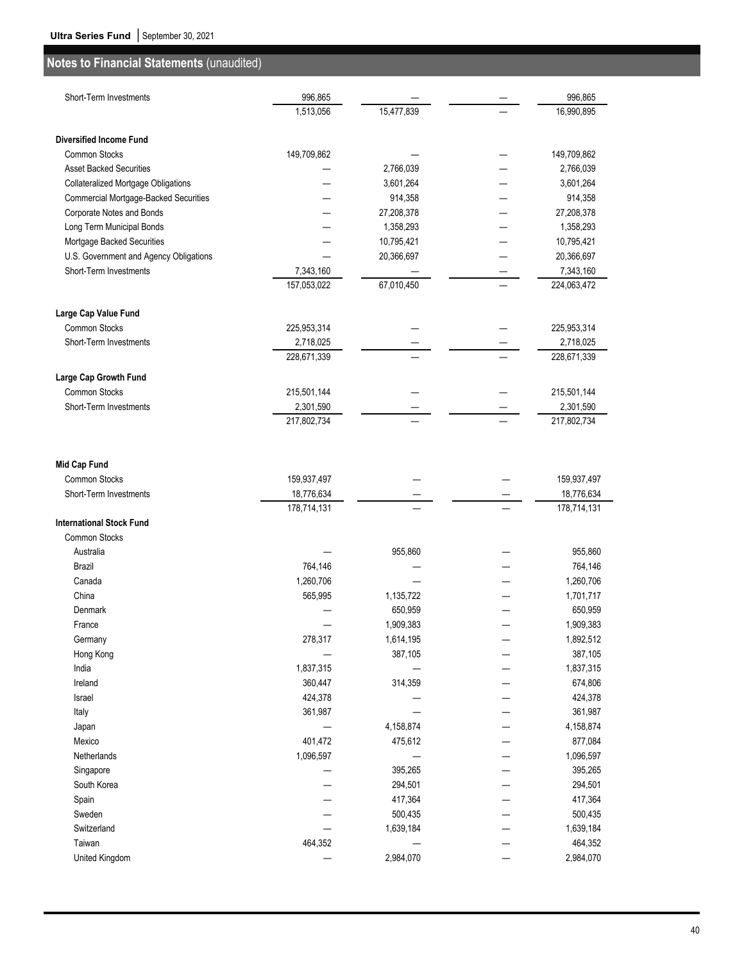| 15,477,839<br>16,990,895<br>1,513,056<br><b>Diversified Income Fund</b><br>Common Stocks<br>149,709,862<br>149,709,862<br><b>Asset Backed Securities</b><br>2,766,039<br>2,766,039<br>3,601,264<br>3,601,264<br><b>Collateralized Mortgage Obligations</b><br>914,358<br>Commercial Mortgage-Backed Securities<br>914,358<br>Corporate Notes and Bonds<br>27,208,378<br>27,208,378<br>Long Term Municipal Bonds<br>1,358,293<br>1,358,293<br>Mortgage Backed Securities<br>10,795,421<br>10,795,421<br>U.S. Government and Agency Obligations<br>20,366,697<br>20,366,697<br>Short-Term Investments<br>7,343,160<br>7,343,160<br>157,053,022<br>67,010,450<br>224,063,472<br>Large Cap Value Fund<br><b>Common Stocks</b><br>225,953,314<br>225,953,314<br>Short-Term Investments<br>2,718,025<br>2,718,025<br>228,671,339<br>228,671,339<br>Large Cap Growth Fund<br>Common Stocks<br>215,501,144<br>215,501,144<br>Short-Term Investments<br>2,301,590<br>2,301,590<br>217,802,734<br>217,802,734<br><b>Mid Cap Fund</b><br>Common Stocks<br>159,937,497<br>159,937,497<br>Short-Term Investments<br>18,776,634<br>18,776,634<br>178,714,131<br>178,714,131<br><b>International Stock Fund</b><br><b>Common Stocks</b><br>Australia<br>955,860<br>955,860<br>764,146<br>Brazil<br>764,146<br>1,260,706<br>Canada<br>1,260,706<br>565,995<br>China<br>1,135,722<br>1,701,717<br>650,959<br>650,959<br>Denmark<br>1,909,383<br>1,909,383<br>France<br>278,317<br>1,614,195<br>1,892,512<br>Germany<br>Hong Kong<br>387,105<br>387,105<br>India<br>1,837,315<br>1,837,315<br>360,447<br>314,359<br>Ireland<br>674,806<br>424,378<br>Israel<br>424,378<br>361,987<br>Italy<br>361,987<br>4,158,874<br>Japan<br>4,158,874<br>Mexico<br>401,472<br>475,612<br>877,084<br>1,096,597<br>Netherlands<br>1,096,597<br>395,265<br>Singapore<br>395,265<br>South Korea<br>294,501<br>294,501<br>417,364<br>417,364<br>Spain<br>Sweden<br>500,435<br>500,435<br>Switzerland<br>1,639,184<br>1,639,184<br>464,352<br>464,352<br>Taiwan<br>United Kingdom<br>2,984,070<br>2,984,070 | Short-Term Investments | 996,865 |  | 996,865 |
|------------------------------------------------------------------------------------------------------------------------------------------------------------------------------------------------------------------------------------------------------------------------------------------------------------------------------------------------------------------------------------------------------------------------------------------------------------------------------------------------------------------------------------------------------------------------------------------------------------------------------------------------------------------------------------------------------------------------------------------------------------------------------------------------------------------------------------------------------------------------------------------------------------------------------------------------------------------------------------------------------------------------------------------------------------------------------------------------------------------------------------------------------------------------------------------------------------------------------------------------------------------------------------------------------------------------------------------------------------------------------------------------------------------------------------------------------------------------------------------------------------------------------------------------------------------------------------------------------------------------------------------------------------------------------------------------------------------------------------------------------------------------------------------------------------------------------------------------------------------------------------------------------------------------------------------------------------------------------------------------------------------------------------------------------------------------|------------------------|---------|--|---------|
|                                                                                                                                                                                                                                                                                                                                                                                                                                                                                                                                                                                                                                                                                                                                                                                                                                                                                                                                                                                                                                                                                                                                                                                                                                                                                                                                                                                                                                                                                                                                                                                                                                                                                                                                                                                                                                                                                                                                                                                                                                                                        |                        |         |  |         |
|                                                                                                                                                                                                                                                                                                                                                                                                                                                                                                                                                                                                                                                                                                                                                                                                                                                                                                                                                                                                                                                                                                                                                                                                                                                                                                                                                                                                                                                                                                                                                                                                                                                                                                                                                                                                                                                                                                                                                                                                                                                                        |                        |         |  |         |
|                                                                                                                                                                                                                                                                                                                                                                                                                                                                                                                                                                                                                                                                                                                                                                                                                                                                                                                                                                                                                                                                                                                                                                                                                                                                                                                                                                                                                                                                                                                                                                                                                                                                                                                                                                                                                                                                                                                                                                                                                                                                        |                        |         |  |         |
|                                                                                                                                                                                                                                                                                                                                                                                                                                                                                                                                                                                                                                                                                                                                                                                                                                                                                                                                                                                                                                                                                                                                                                                                                                                                                                                                                                                                                                                                                                                                                                                                                                                                                                                                                                                                                                                                                                                                                                                                                                                                        |                        |         |  |         |
|                                                                                                                                                                                                                                                                                                                                                                                                                                                                                                                                                                                                                                                                                                                                                                                                                                                                                                                                                                                                                                                                                                                                                                                                                                                                                                                                                                                                                                                                                                                                                                                                                                                                                                                                                                                                                                                                                                                                                                                                                                                                        |                        |         |  |         |
|                                                                                                                                                                                                                                                                                                                                                                                                                                                                                                                                                                                                                                                                                                                                                                                                                                                                                                                                                                                                                                                                                                                                                                                                                                                                                                                                                                                                                                                                                                                                                                                                                                                                                                                                                                                                                                                                                                                                                                                                                                                                        |                        |         |  |         |
|                                                                                                                                                                                                                                                                                                                                                                                                                                                                                                                                                                                                                                                                                                                                                                                                                                                                                                                                                                                                                                                                                                                                                                                                                                                                                                                                                                                                                                                                                                                                                                                                                                                                                                                                                                                                                                                                                                                                                                                                                                                                        |                        |         |  |         |
|                                                                                                                                                                                                                                                                                                                                                                                                                                                                                                                                                                                                                                                                                                                                                                                                                                                                                                                                                                                                                                                                                                                                                                                                                                                                                                                                                                                                                                                                                                                                                                                                                                                                                                                                                                                                                                                                                                                                                                                                                                                                        |                        |         |  |         |
|                                                                                                                                                                                                                                                                                                                                                                                                                                                                                                                                                                                                                                                                                                                                                                                                                                                                                                                                                                                                                                                                                                                                                                                                                                                                                                                                                                                                                                                                                                                                                                                                                                                                                                                                                                                                                                                                                                                                                                                                                                                                        |                        |         |  |         |
|                                                                                                                                                                                                                                                                                                                                                                                                                                                                                                                                                                                                                                                                                                                                                                                                                                                                                                                                                                                                                                                                                                                                                                                                                                                                                                                                                                                                                                                                                                                                                                                                                                                                                                                                                                                                                                                                                                                                                                                                                                                                        |                        |         |  |         |
|                                                                                                                                                                                                                                                                                                                                                                                                                                                                                                                                                                                                                                                                                                                                                                                                                                                                                                                                                                                                                                                                                                                                                                                                                                                                                                                                                                                                                                                                                                                                                                                                                                                                                                                                                                                                                                                                                                                                                                                                                                                                        |                        |         |  |         |
|                                                                                                                                                                                                                                                                                                                                                                                                                                                                                                                                                                                                                                                                                                                                                                                                                                                                                                                                                                                                                                                                                                                                                                                                                                                                                                                                                                                                                                                                                                                                                                                                                                                                                                                                                                                                                                                                                                                                                                                                                                                                        |                        |         |  |         |
|                                                                                                                                                                                                                                                                                                                                                                                                                                                                                                                                                                                                                                                                                                                                                                                                                                                                                                                                                                                                                                                                                                                                                                                                                                                                                                                                                                                                                                                                                                                                                                                                                                                                                                                                                                                                                                                                                                                                                                                                                                                                        |                        |         |  |         |
|                                                                                                                                                                                                                                                                                                                                                                                                                                                                                                                                                                                                                                                                                                                                                                                                                                                                                                                                                                                                                                                                                                                                                                                                                                                                                                                                                                                                                                                                                                                                                                                                                                                                                                                                                                                                                                                                                                                                                                                                                                                                        |                        |         |  |         |
|                                                                                                                                                                                                                                                                                                                                                                                                                                                                                                                                                                                                                                                                                                                                                                                                                                                                                                                                                                                                                                                                                                                                                                                                                                                                                                                                                                                                                                                                                                                                                                                                                                                                                                                                                                                                                                                                                                                                                                                                                                                                        |                        |         |  |         |
|                                                                                                                                                                                                                                                                                                                                                                                                                                                                                                                                                                                                                                                                                                                                                                                                                                                                                                                                                                                                                                                                                                                                                                                                                                                                                                                                                                                                                                                                                                                                                                                                                                                                                                                                                                                                                                                                                                                                                                                                                                                                        |                        |         |  |         |
|                                                                                                                                                                                                                                                                                                                                                                                                                                                                                                                                                                                                                                                                                                                                                                                                                                                                                                                                                                                                                                                                                                                                                                                                                                                                                                                                                                                                                                                                                                                                                                                                                                                                                                                                                                                                                                                                                                                                                                                                                                                                        |                        |         |  |         |
|                                                                                                                                                                                                                                                                                                                                                                                                                                                                                                                                                                                                                                                                                                                                                                                                                                                                                                                                                                                                                                                                                                                                                                                                                                                                                                                                                                                                                                                                                                                                                                                                                                                                                                                                                                                                                                                                                                                                                                                                                                                                        |                        |         |  |         |
|                                                                                                                                                                                                                                                                                                                                                                                                                                                                                                                                                                                                                                                                                                                                                                                                                                                                                                                                                                                                                                                                                                                                                                                                                                                                                                                                                                                                                                                                                                                                                                                                                                                                                                                                                                                                                                                                                                                                                                                                                                                                        |                        |         |  |         |
|                                                                                                                                                                                                                                                                                                                                                                                                                                                                                                                                                                                                                                                                                                                                                                                                                                                                                                                                                                                                                                                                                                                                                                                                                                                                                                                                                                                                                                                                                                                                                                                                                                                                                                                                                                                                                                                                                                                                                                                                                                                                        |                        |         |  |         |
|                                                                                                                                                                                                                                                                                                                                                                                                                                                                                                                                                                                                                                                                                                                                                                                                                                                                                                                                                                                                                                                                                                                                                                                                                                                                                                                                                                                                                                                                                                                                                                                                                                                                                                                                                                                                                                                                                                                                                                                                                                                                        |                        |         |  |         |
|                                                                                                                                                                                                                                                                                                                                                                                                                                                                                                                                                                                                                                                                                                                                                                                                                                                                                                                                                                                                                                                                                                                                                                                                                                                                                                                                                                                                                                                                                                                                                                                                                                                                                                                                                                                                                                                                                                                                                                                                                                                                        |                        |         |  |         |
|                                                                                                                                                                                                                                                                                                                                                                                                                                                                                                                                                                                                                                                                                                                                                                                                                                                                                                                                                                                                                                                                                                                                                                                                                                                                                                                                                                                                                                                                                                                                                                                                                                                                                                                                                                                                                                                                                                                                                                                                                                                                        |                        |         |  |         |
|                                                                                                                                                                                                                                                                                                                                                                                                                                                                                                                                                                                                                                                                                                                                                                                                                                                                                                                                                                                                                                                                                                                                                                                                                                                                                                                                                                                                                                                                                                                                                                                                                                                                                                                                                                                                                                                                                                                                                                                                                                                                        |                        |         |  |         |
|                                                                                                                                                                                                                                                                                                                                                                                                                                                                                                                                                                                                                                                                                                                                                                                                                                                                                                                                                                                                                                                                                                                                                                                                                                                                                                                                                                                                                                                                                                                                                                                                                                                                                                                                                                                                                                                                                                                                                                                                                                                                        |                        |         |  |         |
|                                                                                                                                                                                                                                                                                                                                                                                                                                                                                                                                                                                                                                                                                                                                                                                                                                                                                                                                                                                                                                                                                                                                                                                                                                                                                                                                                                                                                                                                                                                                                                                                                                                                                                                                                                                                                                                                                                                                                                                                                                                                        |                        |         |  |         |
|                                                                                                                                                                                                                                                                                                                                                                                                                                                                                                                                                                                                                                                                                                                                                                                                                                                                                                                                                                                                                                                                                                                                                                                                                                                                                                                                                                                                                                                                                                                                                                                                                                                                                                                                                                                                                                                                                                                                                                                                                                                                        |                        |         |  |         |
|                                                                                                                                                                                                                                                                                                                                                                                                                                                                                                                                                                                                                                                                                                                                                                                                                                                                                                                                                                                                                                                                                                                                                                                                                                                                                                                                                                                                                                                                                                                                                                                                                                                                                                                                                                                                                                                                                                                                                                                                                                                                        |                        |         |  |         |
|                                                                                                                                                                                                                                                                                                                                                                                                                                                                                                                                                                                                                                                                                                                                                                                                                                                                                                                                                                                                                                                                                                                                                                                                                                                                                                                                                                                                                                                                                                                                                                                                                                                                                                                                                                                                                                                                                                                                                                                                                                                                        |                        |         |  |         |
|                                                                                                                                                                                                                                                                                                                                                                                                                                                                                                                                                                                                                                                                                                                                                                                                                                                                                                                                                                                                                                                                                                                                                                                                                                                                                                                                                                                                                                                                                                                                                                                                                                                                                                                                                                                                                                                                                                                                                                                                                                                                        |                        |         |  |         |
|                                                                                                                                                                                                                                                                                                                                                                                                                                                                                                                                                                                                                                                                                                                                                                                                                                                                                                                                                                                                                                                                                                                                                                                                                                                                                                                                                                                                                                                                                                                                                                                                                                                                                                                                                                                                                                                                                                                                                                                                                                                                        |                        |         |  |         |
|                                                                                                                                                                                                                                                                                                                                                                                                                                                                                                                                                                                                                                                                                                                                                                                                                                                                                                                                                                                                                                                                                                                                                                                                                                                                                                                                                                                                                                                                                                                                                                                                                                                                                                                                                                                                                                                                                                                                                                                                                                                                        |                        |         |  |         |
|                                                                                                                                                                                                                                                                                                                                                                                                                                                                                                                                                                                                                                                                                                                                                                                                                                                                                                                                                                                                                                                                                                                                                                                                                                                                                                                                                                                                                                                                                                                                                                                                                                                                                                                                                                                                                                                                                                                                                                                                                                                                        |                        |         |  |         |
|                                                                                                                                                                                                                                                                                                                                                                                                                                                                                                                                                                                                                                                                                                                                                                                                                                                                                                                                                                                                                                                                                                                                                                                                                                                                                                                                                                                                                                                                                                                                                                                                                                                                                                                                                                                                                                                                                                                                                                                                                                                                        |                        |         |  |         |
|                                                                                                                                                                                                                                                                                                                                                                                                                                                                                                                                                                                                                                                                                                                                                                                                                                                                                                                                                                                                                                                                                                                                                                                                                                                                                                                                                                                                                                                                                                                                                                                                                                                                                                                                                                                                                                                                                                                                                                                                                                                                        |                        |         |  |         |
|                                                                                                                                                                                                                                                                                                                                                                                                                                                                                                                                                                                                                                                                                                                                                                                                                                                                                                                                                                                                                                                                                                                                                                                                                                                                                                                                                                                                                                                                                                                                                                                                                                                                                                                                                                                                                                                                                                                                                                                                                                                                        |                        |         |  |         |
|                                                                                                                                                                                                                                                                                                                                                                                                                                                                                                                                                                                                                                                                                                                                                                                                                                                                                                                                                                                                                                                                                                                                                                                                                                                                                                                                                                                                                                                                                                                                                                                                                                                                                                                                                                                                                                                                                                                                                                                                                                                                        |                        |         |  |         |
|                                                                                                                                                                                                                                                                                                                                                                                                                                                                                                                                                                                                                                                                                                                                                                                                                                                                                                                                                                                                                                                                                                                                                                                                                                                                                                                                                                                                                                                                                                                                                                                                                                                                                                                                                                                                                                                                                                                                                                                                                                                                        |                        |         |  |         |
|                                                                                                                                                                                                                                                                                                                                                                                                                                                                                                                                                                                                                                                                                                                                                                                                                                                                                                                                                                                                                                                                                                                                                                                                                                                                                                                                                                                                                                                                                                                                                                                                                                                                                                                                                                                                                                                                                                                                                                                                                                                                        |                        |         |  |         |
|                                                                                                                                                                                                                                                                                                                                                                                                                                                                                                                                                                                                                                                                                                                                                                                                                                                                                                                                                                                                                                                                                                                                                                                                                                                                                                                                                                                                                                                                                                                                                                                                                                                                                                                                                                                                                                                                                                                                                                                                                                                                        |                        |         |  |         |
|                                                                                                                                                                                                                                                                                                                                                                                                                                                                                                                                                                                                                                                                                                                                                                                                                                                                                                                                                                                                                                                                                                                                                                                                                                                                                                                                                                                                                                                                                                                                                                                                                                                                                                                                                                                                                                                                                                                                                                                                                                                                        |                        |         |  |         |
|                                                                                                                                                                                                                                                                                                                                                                                                                                                                                                                                                                                                                                                                                                                                                                                                                                                                                                                                                                                                                                                                                                                                                                                                                                                                                                                                                                                                                                                                                                                                                                                                                                                                                                                                                                                                                                                                                                                                                                                                                                                                        |                        |         |  |         |
|                                                                                                                                                                                                                                                                                                                                                                                                                                                                                                                                                                                                                                                                                                                                                                                                                                                                                                                                                                                                                                                                                                                                                                                                                                                                                                                                                                                                                                                                                                                                                                                                                                                                                                                                                                                                                                                                                                                                                                                                                                                                        |                        |         |  |         |
|                                                                                                                                                                                                                                                                                                                                                                                                                                                                                                                                                                                                                                                                                                                                                                                                                                                                                                                                                                                                                                                                                                                                                                                                                                                                                                                                                                                                                                                                                                                                                                                                                                                                                                                                                                                                                                                                                                                                                                                                                                                                        |                        |         |  |         |
|                                                                                                                                                                                                                                                                                                                                                                                                                                                                                                                                                                                                                                                                                                                                                                                                                                                                                                                                                                                                                                                                                                                                                                                                                                                                                                                                                                                                                                                                                                                                                                                                                                                                                                                                                                                                                                                                                                                                                                                                                                                                        |                        |         |  |         |
|                                                                                                                                                                                                                                                                                                                                                                                                                                                                                                                                                                                                                                                                                                                                                                                                                                                                                                                                                                                                                                                                                                                                                                                                                                                                                                                                                                                                                                                                                                                                                                                                                                                                                                                                                                                                                                                                                                                                                                                                                                                                        |                        |         |  |         |
|                                                                                                                                                                                                                                                                                                                                                                                                                                                                                                                                                                                                                                                                                                                                                                                                                                                                                                                                                                                                                                                                                                                                                                                                                                                                                                                                                                                                                                                                                                                                                                                                                                                                                                                                                                                                                                                                                                                                                                                                                                                                        |                        |         |  |         |
|                                                                                                                                                                                                                                                                                                                                                                                                                                                                                                                                                                                                                                                                                                                                                                                                                                                                                                                                                                                                                                                                                                                                                                                                                                                                                                                                                                                                                                                                                                                                                                                                                                                                                                                                                                                                                                                                                                                                                                                                                                                                        |                        |         |  |         |
|                                                                                                                                                                                                                                                                                                                                                                                                                                                                                                                                                                                                                                                                                                                                                                                                                                                                                                                                                                                                                                                                                                                                                                                                                                                                                                                                                                                                                                                                                                                                                                                                                                                                                                                                                                                                                                                                                                                                                                                                                                                                        |                        |         |  |         |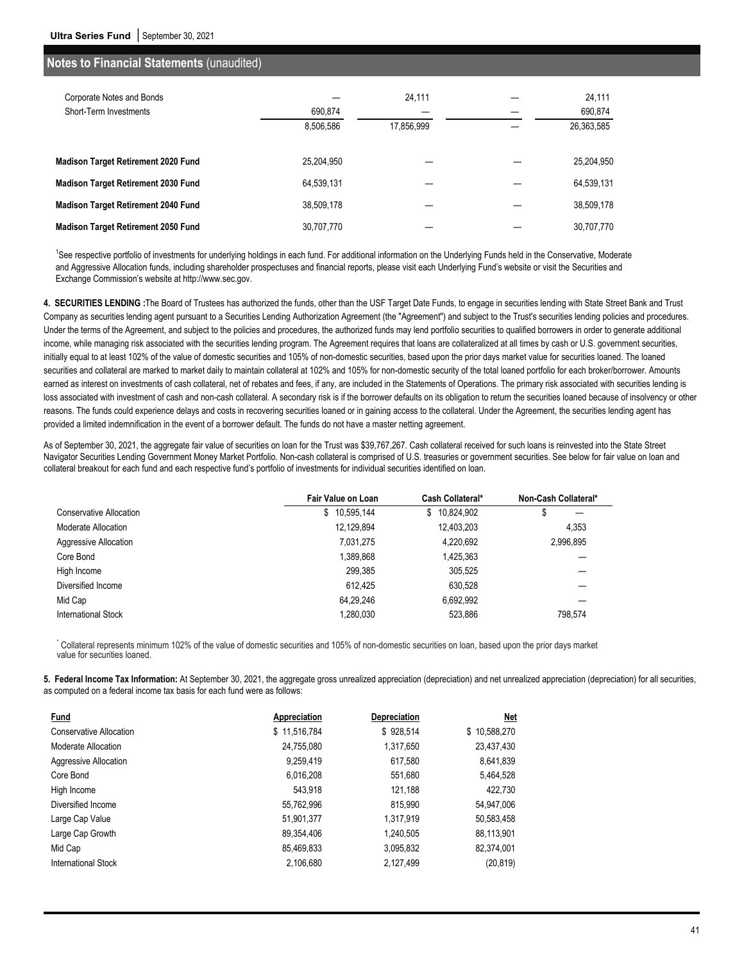|            | 24,111     | 24,111     |
|------------|------------|------------|
| 690,874    |            | 690,874    |
| 8,506,586  | 17,856,999 | 26,363,585 |
|            |            |            |
|            |            | 25,204,950 |
| 64,539,131 |            | 64,539,131 |
| 38,509,178 |            | 38,509,178 |
| 30,707,770 |            | 30,707,770 |
|            | 25.204.950 |            |

<sup>1</sup>See respective portfolio of investments for underlying holdings in each fund. For additional information on the Underlying Funds held in the Conservative, Moderate and Aggressive Allocation funds, including shareholder prospectuses and financial reports, please visit each Underlying Fund's website or visit the Securities and Exchange Commission's website at http://www.sec.gov.

**4. SECURITIES LENDING :**The Board of Trustees has authorized the funds, other than the USF Target Date Funds, to engage in securities lending with State Street Bank and Trust Company as securities lending agent pursuant to a Securities Lending Authorization Agreement (the "Agreement") and subject to the Trust's securities lending policies and procedures. Under the terms of the Agreement, and subject to the policies and procedures, the authorized funds may lend portfolio securities to qualified borrowers in order to generate additional income, while managing risk associated with the securities lending program. The Agreement requires that loans are collateralized at all times by cash or U.S. government securities, initially equal to at least 102% of the value of domestic securities and 105% of non-domestic securities, based upon the prior days market value for securities loaned. The loaned securities and collateral are marked to market daily to maintain collateral at 102% and 105% for non-domestic security of the total loaned portfolio for each broker/borrower. Amounts earned as interest on investments of cash collateral, net of rebates and fees, if any, are included in the Statements of Operations. The primary risk associated with securities lending is loss associated with investment of cash and non-cash collateral. A secondary risk is if the borrower defaults on its obligation to return the securities loaned because of insolvency or other reasons. The funds could experience delays and costs in recovering securities loaned or in gaining access to the collateral. Under the Agreement, the securities lending agent has provided a limited indemnification in the event of a borrower default. The funds do not have a master netting agreement.

As of September 30, 2021, the aggregate fair value of securities on loan for the Trust was \$39,767,267. Cash collateral received for such loans is reinvested into the State Street Navigator Securities Lending Government Money Market Portfolio. Non-cash collateral is comprised of U.S. treasuries or government securities. See below for fair value on loan and collateral breakout for each fund and each respective fund's portfolio of investments for individual securities identified on loan.

|                         | Fair Value on Loan | Cash Collateral* | Non-Cash Collateral* |
|-------------------------|--------------------|------------------|----------------------|
| Conservative Allocation | 10,595,144<br>\$   | 10,824,902<br>\$ | \$                   |
| Moderate Allocation     | 12,129,894         | 12,403,203       | 4.353                |
| Aggressive Allocation   | 7,031,275          | 4,220,692        | 2,996,895            |
| Core Bond               | 1,389,868          | 1,425,363        |                      |
| High Income             | 299.385            | 305.525          |                      |
| Diversified Income      | 612.425            | 630.528          |                      |
| Mid Cap                 | 64.29.246          | 6,692,992        |                      |
| International Stock     | 1.280.030          | 523.886          | 798.574              |

\* Collateral represents minimum 102% of the value of domestic securities and 105% of non-domestic securities on loan, based upon the prior days market value for securities loaned.

**5. Federal Income Tax Information:** At September 30, 2021, the aggregate gross unrealized appreciation (depreciation) and net unrealized appreciation (depreciation) for all securities, as computed on a federal income tax basis for each fund were as follows:

| Fund                    | <b>Appreciation</b> | <b>Depreciation</b> | Net          |
|-------------------------|---------------------|---------------------|--------------|
| Conservative Allocation | \$11,516,784        | \$928,514           | \$10,588,270 |
| Moderate Allocation     | 24,755,080          | 1,317,650           | 23,437,430   |
| Aggressive Allocation   | 9,259,419           | 617,580             | 8,641,839    |
| Core Bond               | 6,016,208           | 551,680             | 5,464,528    |
| High Income             | 543.918             | 121,188             | 422.730      |
| Diversified Income      | 55,762,996          | 815,990             | 54,947,006   |
| Large Cap Value         | 51,901,377          | 1.317.919           | 50,583,458   |
| Large Cap Growth        | 89.354.406          | 1.240.505           | 88,113,901   |
| Mid Cap                 | 85,469,833          | 3,095,832           | 82,374,001   |
| International Stock     | 2,106,680           | 2,127,499           | (20, 819)    |